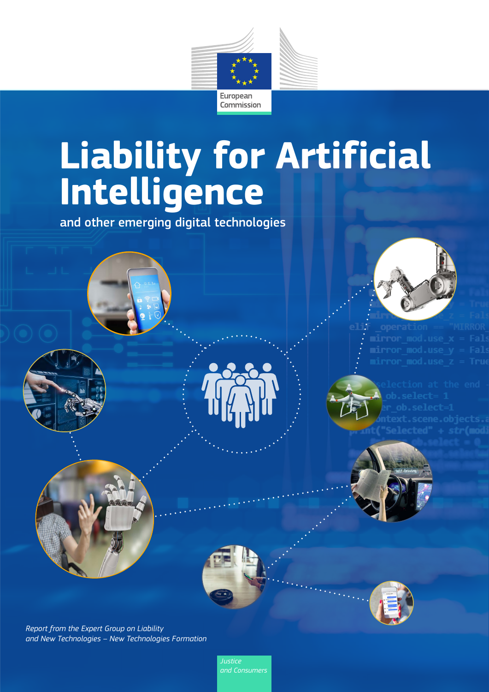

# **Liability for Artificial Intelligence**

and other emerging digital technologies



mirror mod.use x







*Report from the Expert Group on Liability and New Technologies – New Technologies Formation*

> *Justice and Consumers*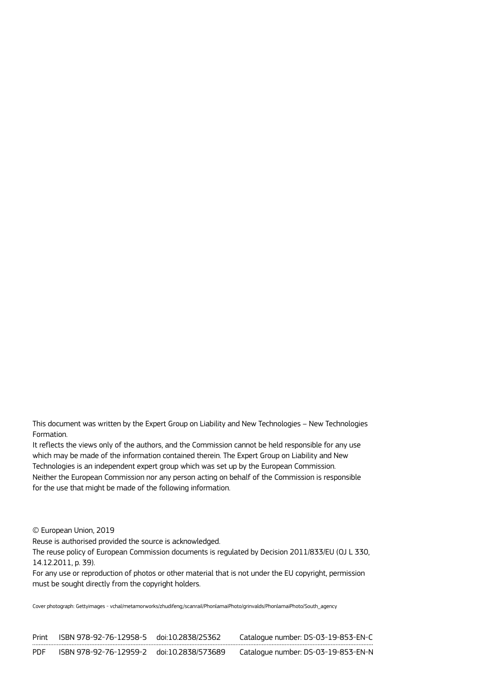This document was written by the Expert Group on Liability and New Technologies – New Technologies Formation.

It reflects the views only of the authors, and the Commission cannot be held responsible for any use which may be made of the information contained therein. The Expert Group on Liability and New Technologies is an independent expert group which was set up by the European Commission. Neither the European Commission nor any person acting on behalf of the Commission is responsible for the use that might be made of the following information.

© European Union, 2019

Reuse is authorised provided the source is acknowledged.

The reuse policy of European Commission documents is regulated by Decision 2011/833/EU (OJ L 330, 14.12.2011, p. 39).

For any use or reproduction of photos or other material that is not under the EU copyright, permission must be sought directly from the copyright holders.

Cover photograph: Gettyimages - vchal/metamorworks/zhudifeng;/scanrail/PhonlamaiPhoto/grinvalds/PhonlamaiPhoto/South\_agency

| Print      | ISBN 978-92-76-12958-5 doi:10.2838/25362  | Catalogue number: DS-03-19-853-EN-C |
|------------|-------------------------------------------|-------------------------------------|
| <b>PDF</b> | ISBN 978-92-76-12959-2 doi:10.2838/573689 | Catalogue number: DS-03-19-853-EN-N |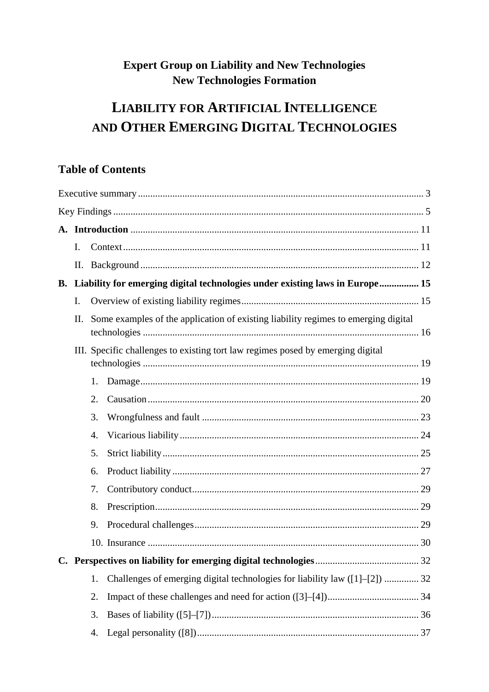# **Expert Group on Liability and New Technologies New Technologies Formation**

# **LIABILITY FOR ARTIFICIAL INTELLIGENCE** AND OTHER EMERGING DIGITAL TECHNOLOGIES

# **Table of Contents**

|           | I. |                                                                                    |                                                                              |  |
|-----------|----|------------------------------------------------------------------------------------|------------------------------------------------------------------------------|--|
|           | П. |                                                                                    |                                                                              |  |
| <b>B.</b> |    |                                                                                    | Liability for emerging digital technologies under existing laws in Europe 15 |  |
|           | I. |                                                                                    |                                                                              |  |
|           | Π. | Some examples of the application of existing liability regimes to emerging digital |                                                                              |  |
|           |    | III. Specific challenges to existing tort law regimes posed by emerging digital    |                                                                              |  |
|           |    | 1.                                                                                 |                                                                              |  |
|           |    | 2.                                                                                 |                                                                              |  |
|           |    | 3.                                                                                 |                                                                              |  |
|           |    | 4.                                                                                 |                                                                              |  |
|           |    | 5.                                                                                 |                                                                              |  |
|           |    | 6.                                                                                 |                                                                              |  |
|           |    | 7.                                                                                 |                                                                              |  |
|           |    | 8.                                                                                 |                                                                              |  |
|           |    | 9.                                                                                 |                                                                              |  |
|           |    |                                                                                    |                                                                              |  |
|           |    |                                                                                    |                                                                              |  |
|           |    | 1.                                                                                 | Challenges of emerging digital technologies for liability law ([1]-[2])  32  |  |
|           |    | 2.                                                                                 |                                                                              |  |
|           |    | 3.                                                                                 |                                                                              |  |
|           |    | 4.                                                                                 |                                                                              |  |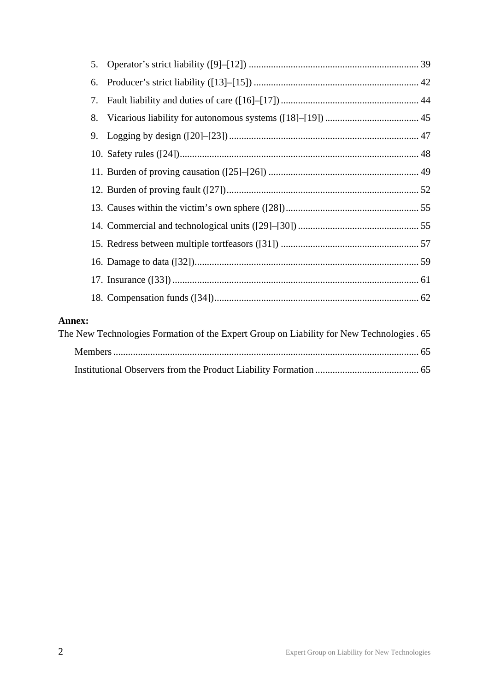| 5.            |                                                                                           |  |
|---------------|-------------------------------------------------------------------------------------------|--|
| 6.            |                                                                                           |  |
| 7.            |                                                                                           |  |
| 8.            |                                                                                           |  |
| 9.            |                                                                                           |  |
|               |                                                                                           |  |
|               |                                                                                           |  |
|               |                                                                                           |  |
|               |                                                                                           |  |
|               |                                                                                           |  |
|               |                                                                                           |  |
|               |                                                                                           |  |
|               |                                                                                           |  |
|               |                                                                                           |  |
| <b>Annex:</b> |                                                                                           |  |
|               | The New Technologies Formation of the Expert Group on Liability for New Technologies . 65 |  |
|               |                                                                                           |  |
|               |                                                                                           |  |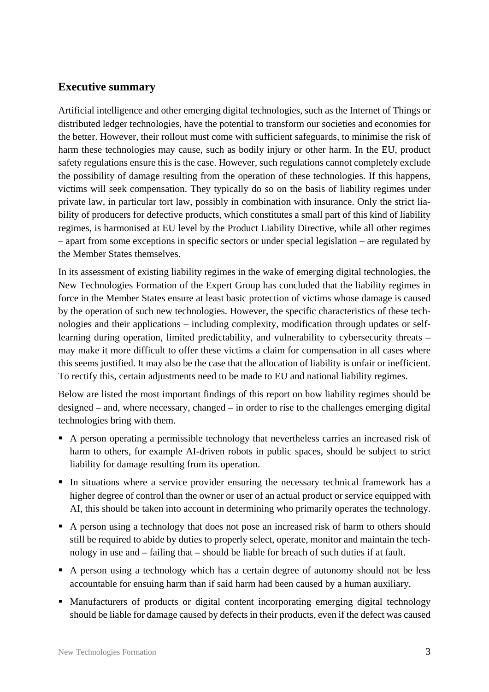### <span id="page-4-0"></span>**Executive summary**

Artificial intelligence and other emerging digital technologies, such as the Internet of Things or distributed ledger technologies, have the potential to transform our societies and economies for the better. However, their rollout must come with sufficient safeguards, to minimise the risk of harm these technologies may cause, such as bodily injury or other harm. In the EU, product safety regulations ensure this is the case. However, such regulations cannot completely exclude the possibility of damage resulting from the operation of these technologies. If this happens, victims will seek compensation. They typically do so on the basis of liability regimes under private law, in particular tort law, possibly in combination with insurance. Only the strict liability of producers for defective products, which constitutes a small part of this kind of liability regimes, is harmonised at EU level by the Product Liability Directive, while all other regimes – apart from some exceptions in specific sectors or under special legislation – are regulated by the Member States themselves.

In its assessment of existing liability regimes in the wake of emerging digital technologies, the New Technologies Formation of the Expert Group has concluded that the liability regimes in force in the Member States ensure at least basic protection of victims whose damage is caused by the operation of such new technologies. However, the specific characteristics of these technologies and their applications – including complexity, modification through updates or selflearning during operation, limited predictability, and vulnerability to cybersecurity threats – may make it more difficult to offer these victims a claim for compensation in all cases where this seems justified. It may also be the case that the allocation of liability is unfair or inefficient. To rectify this, certain adjustments need to be made to EU and national liability regimes.

Below are listed the most important findings of this report on how liability regimes should be designed – and, where necessary, changed – in order to rise to the challenges emerging digital technologies bring with them.

- A person operating a permissible technology that nevertheless carries an increased risk of harm to others, for example AI-driven robots in public spaces, should be subject to strict liability for damage resulting from its operation.
- In situations where a service provider ensuring the necessary technical framework has a higher degree of control than the owner or user of an actual product or service equipped with AI, this should be taken into account in determining who primarily operates the technology.
- A person using a technology that does not pose an increased risk of harm to others should still be required to abide by duties to properly select, operate, monitor and maintain the technology in use and – failing that – should be liable for breach of such duties if at fault.
- A person using a technology which has a certain degree of autonomy should not be less accountable for ensuing harm than if said harm had been caused by a human auxiliary.
- Manufacturers of products or digital content incorporating emerging digital technology should be liable for damage caused by defects in their products, even if the defect was caused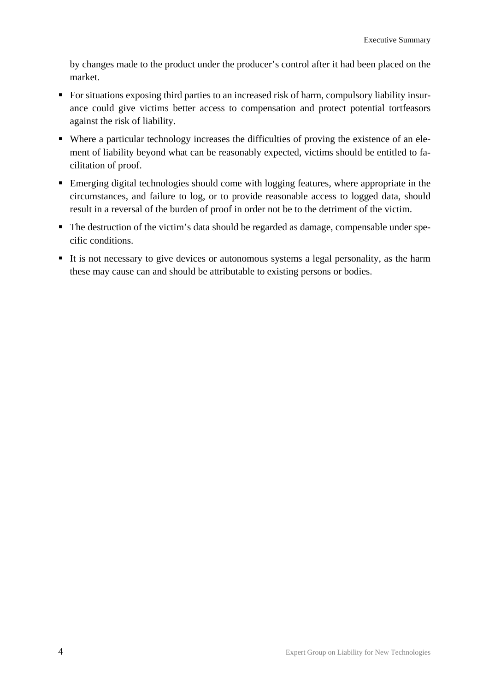by changes made to the product under the producer's control after it had been placed on the market.

- For situations exposing third parties to an increased risk of harm, compulsory liability insurance could give victims better access to compensation and protect potential tortfeasors against the risk of liability.
- Where a particular technology increases the difficulties of proving the existence of an element of liability beyond what can be reasonably expected, victims should be entitled to facilitation of proof.
- Emerging digital technologies should come with logging features, where appropriate in the circumstances, and failure to log, or to provide reasonable access to logged data, should result in a reversal of the burden of proof in order not be to the detriment of the victim.
- The destruction of the victim's data should be regarded as damage, compensable under specific conditions.
- It is not necessary to give devices or autonomous systems a legal personality, as the harm these may cause can and should be attributable to existing persons or bodies.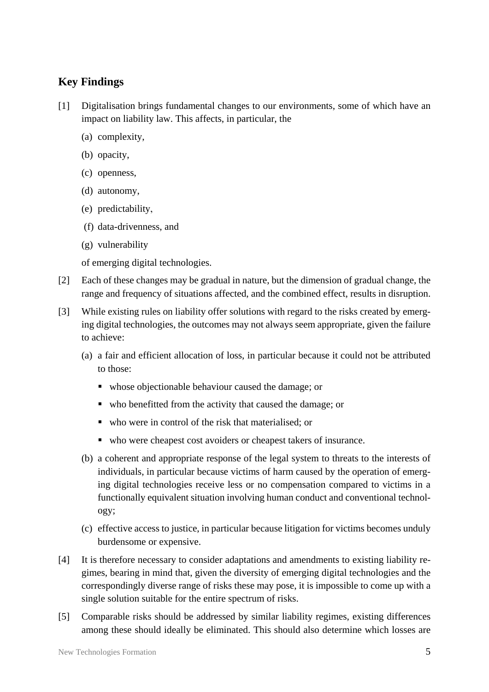## <span id="page-6-0"></span>**Key Findings**

- [1] Digitalisation brings fundamental changes to our environments, some of which have an impact on liability law. This affects, in particular, the
	- (a) complexity,
	- (b) opacity,
	- (c) openness,
	- (d) autonomy,
	- (e) predictability,
	- (f) data-drivenness, and
	- (g) vulnerability

of emerging digital technologies.

- [2] Each of these changes may be gradual in nature, but the dimension of gradual change, the range and frequency of situations affected, and the combined effect, results in disruption.
- [3] While existing rules on liability offer solutions with regard to the risks created by emerging digital technologies, the outcomes may not always seem appropriate, given the failure to achieve:
	- (a) a fair and efficient allocation of loss, in particular because it could not be attributed to those:
		- whose objectionable behaviour caused the damage; or
		- who benefitted from the activity that caused the damage; or
		- who were in control of the risk that materialised; or
		- who were cheapest cost avoiders or cheapest takers of insurance.
	- (b) a coherent and appropriate response of the legal system to threats to the interests of individuals, in particular because victims of harm caused by the operation of emerging digital technologies receive less or no compensation compared to victims in a functionally equivalent situation involving human conduct and conventional technology;
	- (c) effective access to justice, in particular because litigation for victims becomes unduly burdensome or expensive.
- [4] It is therefore necessary to consider adaptations and amendments to existing liability regimes, bearing in mind that, given the diversity of emerging digital technologies and the correspondingly diverse range of risks these may pose, it is impossible to come up with a single solution suitable for the entire spectrum of risks.
- [5] Comparable risks should be addressed by similar liability regimes, existing differences among these should ideally be eliminated. This should also determine which losses are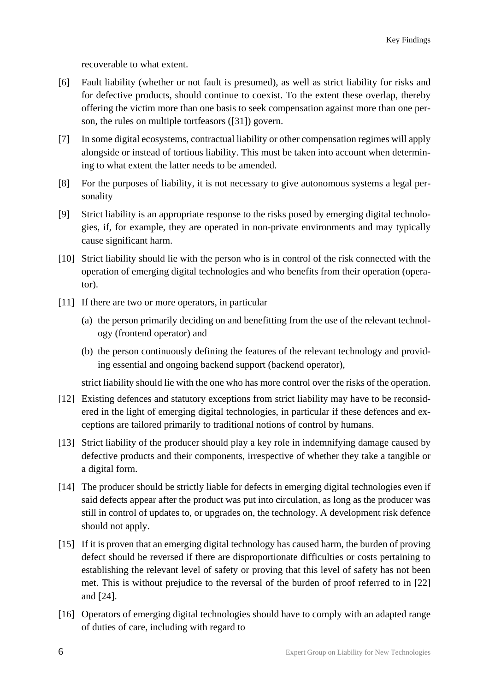recoverable to what extent.

- [6] Fault liability (whether or not fault is presumed), as well as strict liability for risks and for defective products, should continue to coexist. To the extent these overlap, thereby offering the victim more than one basis to seek compensation against more than one person, the rules on multiple tortfeasors ([31]) govern.
- [7] In some digital ecosystems, contractual liability or other compensation regimes will apply alongside or instead of tortious liability. This must be taken into account when determining to what extent the latter needs to be amended.
- [8] For the purposes of liability, it is not necessary to give autonomous systems a legal personality
- [9] Strict liability is an appropriate response to the risks posed by emerging digital technologies, if, for example, they are operated in non-private environments and may typically cause significant harm.
- [10] Strict liability should lie with the person who is in control of the risk connected with the operation of emerging digital technologies and who benefits from their operation (operator).
- [11] If there are two or more operators, in particular
	- (a) the person primarily deciding on and benefitting from the use of the relevant technology (frontend operator) and
	- (b) the person continuously defining the features of the relevant technology and providing essential and ongoing backend support (backend operator),

strict liability should lie with the one who has more control over the risks of the operation.

- [12] Existing defences and statutory exceptions from strict liability may have to be reconsidered in the light of emerging digital technologies, in particular if these defences and exceptions are tailored primarily to traditional notions of control by humans.
- [13] Strict liability of the producer should play a key role in indemnifying damage caused by defective products and their components, irrespective of whether they take a tangible or a digital form.
- [14] The producer should be strictly liable for defects in emerging digital technologies even if said defects appear after the product was put into circulation, as long as the producer was still in control of updates to, or upgrades on, the technology. A development risk defence should not apply.
- [15] If it is proven that an emerging digital technology has caused harm, the burden of proving defect should be reversed if there are disproportionate difficulties or costs pertaining to establishing the relevant level of safety or proving that this level of safety has not been met. This is without prejudice to the reversal of the burden of proof referred to in [22] and [24].
- [16] Operators of emerging digital technologies should have to comply with an adapted range of duties of care, including with regard to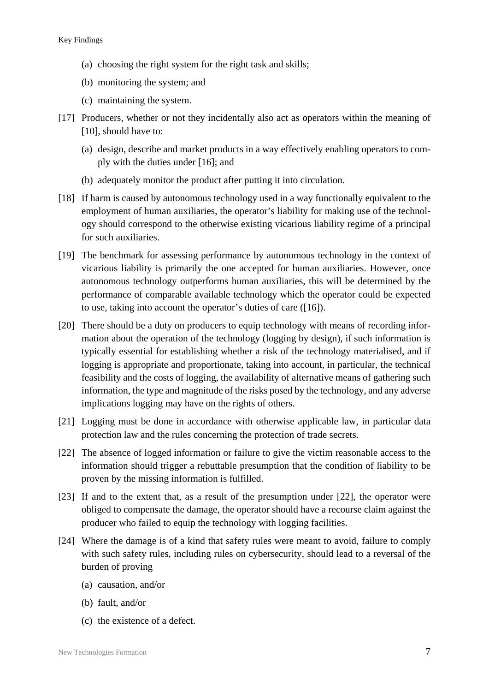- (a) choosing the right system for the right task and skills;
- (b) monitoring the system; and
- (c) maintaining the system.
- [17] Producers, whether or not they incidentally also act as operators within the meaning of [10], should have to:
	- (a) design, describe and market products in a way effectively enabling operators to comply with the duties under [16]; and
	- (b) adequately monitor the product after putting it into circulation.
- [18] If harm is caused by autonomous technology used in a way functionally equivalent to the employment of human auxiliaries, the operator's liability for making use of the technology should correspond to the otherwise existing vicarious liability regime of a principal for such auxiliaries.
- [19] The benchmark for assessing performance by autonomous technology in the context of vicarious liability is primarily the one accepted for human auxiliaries. However, once autonomous technology outperforms human auxiliaries, this will be determined by the performance of comparable available technology which the operator could be expected to use, taking into account the operator's duties of care ([16]).
- [20] There should be a duty on producers to equip technology with means of recording information about the operation of the technology (logging by design), if such information is typically essential for establishing whether a risk of the technology materialised, and if logging is appropriate and proportionate, taking into account, in particular, the technical feasibility and the costs of logging, the availability of alternative means of gathering such information, the type and magnitude of the risks posed by the technology, and any adverse implications logging may have on the rights of others.
- [21] Logging must be done in accordance with otherwise applicable law, in particular data protection law and the rules concerning the protection of trade secrets.
- [22] The absence of logged information or failure to give the victim reasonable access to the information should trigger a rebuttable presumption that the condition of liability to be proven by the missing information is fulfilled.
- [23] If and to the extent that, as a result of the presumption under [22], the operator were obliged to compensate the damage, the operator should have a recourse claim against the producer who failed to equip the technology with logging facilities.
- [24] Where the damage is of a kind that safety rules were meant to avoid, failure to comply with such safety rules, including rules on cybersecurity, should lead to a reversal of the burden of proving
	- (a) causation, and/or
	- (b) fault, and/or
	- (c) the existence of a defect.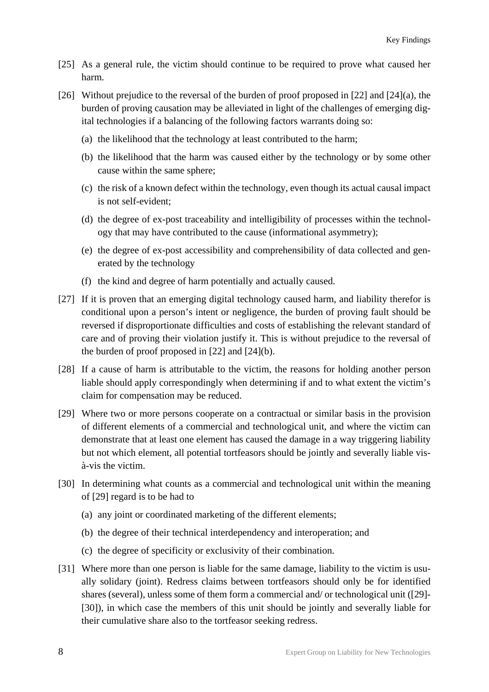- [25] As a general rule, the victim should continue to be required to prove what caused her harm.
- [26] Without prejudice to the reversal of the burden of proof proposed in [22] and [24](a), the burden of proving causation may be alleviated in light of the challenges of emerging digital technologies if a balancing of the following factors warrants doing so:
	- (a) the likelihood that the technology at least contributed to the harm;
	- (b) the likelihood that the harm was caused either by the technology or by some other cause within the same sphere;
	- (c) the risk of a known defect within the technology, even though its actual causal impact is not self-evident;
	- (d) the degree of ex-post traceability and intelligibility of processes within the technology that may have contributed to the cause (informational asymmetry);
	- (e) the degree of ex-post accessibility and comprehensibility of data collected and generated by the technology
	- (f) the kind and degree of harm potentially and actually caused.
- [27] If it is proven that an emerging digital technology caused harm, and liability therefor is conditional upon a person's intent or negligence, the burden of proving fault should be reversed if disproportionate difficulties and costs of establishing the relevant standard of care and of proving their violation justify it. This is without prejudice to the reversal of the burden of proof proposed in [22] and [24](b).
- [28] If a cause of harm is attributable to the victim, the reasons for holding another person liable should apply correspondingly when determining if and to what extent the victim's claim for compensation may be reduced.
- [29] Where two or more persons cooperate on a contractual or similar basis in the provision of different elements of a commercial and technological unit, and where the victim can demonstrate that at least one element has caused the damage in a way triggering liability but not which element, all potential tortfeasors should be jointly and severally liable visà-vis the victim.
- [30] In determining what counts as a commercial and technological unit within the meaning of [29] regard is to be had to
	- (a) any joint or coordinated marketing of the different elements;
	- (b) the degree of their technical interdependency and interoperation; and
	- (c) the degree of specificity or exclusivity of their combination.
- [31] Where more than one person is liable for the same damage, liability to the victim is usually solidary (joint). Redress claims between tortfeasors should only be for identified shares (several), unless some of them form a commercial and/ or technological unit ([29]- [30]), in which case the members of this unit should be jointly and severally liable for their cumulative share also to the tortfeasor seeking redress.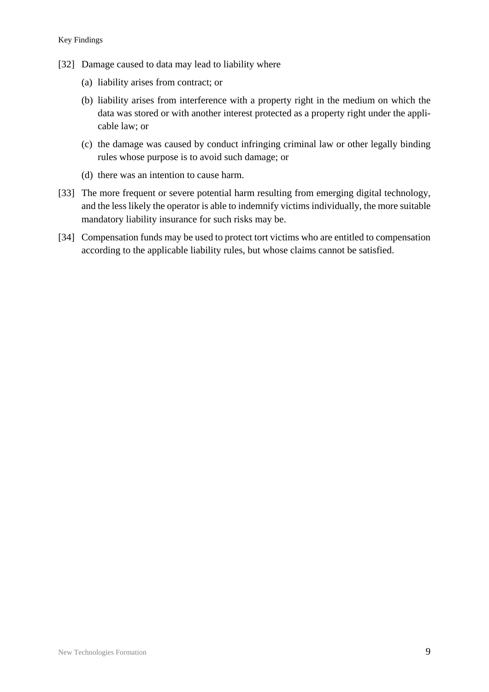- [32] Damage caused to data may lead to liability where
	- (a) liability arises from contract; or
	- (b) liability arises from interference with a property right in the medium on which the data was stored or with another interest protected as a property right under the applicable law; or
	- (c) the damage was caused by conduct infringing criminal law or other legally binding rules whose purpose is to avoid such damage; or
	- (d) there was an intention to cause harm.
- [33] The more frequent or severe potential harm resulting from emerging digital technology, and the less likely the operator is able to indemnify victims individually, the more suitable mandatory liability insurance for such risks may be.
- [34] Compensation funds may be used to protect tort victims who are entitled to compensation according to the applicable liability rules, but whose claims cannot be satisfied.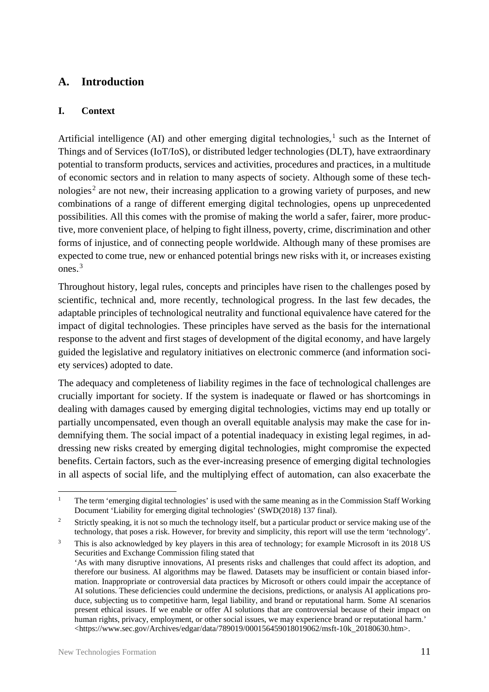## <span id="page-12-0"></span>**A. Introduction**

#### <span id="page-12-1"></span>**I. Context**

Artificial intelligence (AI) and other emerging digital technologies, $<sup>1</sup>$  such as the Internet of</sup> Things and of Services (IoT/IoS), or distributed ledger technologies (DLT), have extraordinary potential to transform products, services and activities, procedures and practices, in a multitude of economic sectors and in relation to many aspects of society. Although some of these technologies<sup>2</sup> are not new, their increasing application to a growing variety of purposes, and new combinations of a range of different emerging digital technologies, opens up unprecedented possibilities. All this comes with the promise of making the world a safer, fairer, more productive, more convenient place, of helping to fight illness, poverty, crime, discrimination and other forms of injustice, and of connecting people worldwide. Although many of these promises are expected to come true, new or enhanced potential brings new risks with it, or increases existing ones. $3$ 

Throughout history, legal rules, concepts and principles have risen to the challenges posed by scientific, technical and, more recently, technological progress. In the last few decades, the adaptable principles of technological neutrality and functional equivalence have catered for the impact of digital technologies. These principles have served as the basis for the international response to the advent and first stages of development of the digital economy, and have largely guided the legislative and regulatory initiatives on electronic commerce (and information society services) adopted to date.

The adequacy and completeness of liability regimes in the face of technological challenges are crucially important for society. If the system is inadequate or flawed or has shortcomings in dealing with damages caused by emerging digital technologies, victims may end up totally or partially uncompensated, even though an overall equitable analysis may make the case for indemnifying them. The social impact of a potential inadequacy in existing legal regimes, in addressing new risks created by emerging digital technologies, might compromise the expected benefits. Certain factors, such as the ever-increasing presence of emerging digital technologies in all aspects of social life, and the multiplying effect of automation, can also exacerbate the

<sup>&</sup>lt;sup>1</sup> The term 'emerging digital technologies' is used with the same meaning as in the Commission Staff Working Document 'Liability for emerging digital technologies' (SWD(2018) 137 final).

<sup>&</sup>lt;sup>2</sup> Strictly speaking, it is not so much the technology itself, but a particular product or service making use of the technology, that poses a risk. However, for brevity and simplicity, this report will use the term 'technology'.

<sup>&</sup>lt;sup>3</sup> This is also acknowledged by key players in this area of technology; for example Microsoft in its 2018 US Securities and Exchange Commission filing stated that 'As with many disruptive innovations, AI presents risks and challenges that could affect its adoption, and therefore our business. AI algorithms may be flawed. Datasets may be insufficient or contain biased information. Inappropriate or controversial data practices by Microsoft or others could impair the acceptance of AI solutions. These deficiencies could undermine the decisions, predictions, or analysis AI applications produce, subjecting us to competitive harm, legal liability, and brand or reputational harm. Some AI scenarios present ethical issues. If we enable or offer AI solutions that are controversial because of their impact on human rights, privacy, employment, or other social issues, we may experience brand or reputational harm.' <https://www.sec.gov/Archives/edgar/data/789019/000156459018019062/msft-10k\_20180630.htm>.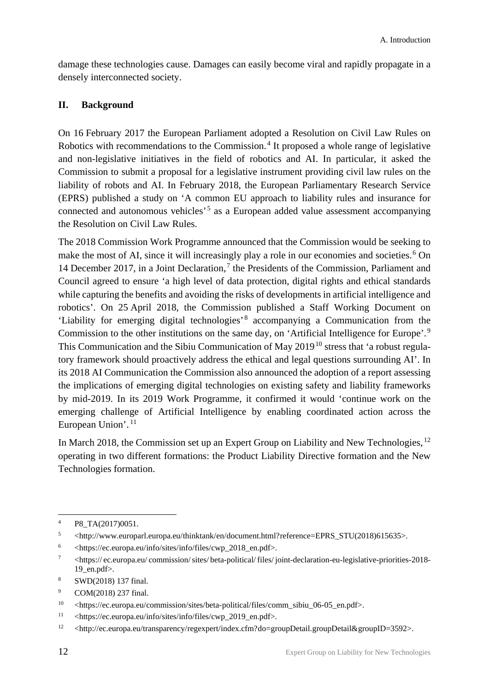damage these technologies cause. Damages can easily become viral and rapidly propagate in a densely interconnected society.

#### <span id="page-13-0"></span>**II. Background**

On 16 February 2017 the European Parliament adopted a Resolution on Civil Law Rules on Robotics with recommendations to the Commission.<sup>4</sup> It proposed a whole range of legislative and non-legislative initiatives in the field of robotics and AI. In particular, it asked the Commission to submit a proposal for a legislative instrument providing civil law rules on the liability of robots and AI. In February 2018, the European Parliamentary Research Service (EPRS) published a study on 'A common EU approach to liability rules and insurance for connected and autonomous vehicles'.<sup>5</sup> as a European added value assessment accompanying the Resolution on Civil Law Rules.

The 2018 Commission Work Programme announced that the Commission would be seeking to make the most of AI, since it will increasingly play a role in our economies and societies.<sup>6</sup> On 14 December 2017, in a Joint Declaration,<sup>7</sup> the Presidents of the Commission, Parliament and Council agreed to ensure 'a high level of data protection, digital rights and ethical standards while capturing the benefits and avoiding the risks of developments in artificial intelligence and robotics'. On 25 April 2018, the Commission published a Staff Working Document on 'Liability for emerging digital technologies' <sup>8</sup> accompanying a Communication from the Commission to the other institutions on the same day, on 'Artificial Intelligence for Europe'.<sup>9</sup> This Communication and the Sibiu Communication of May 2019<sup>10</sup> stress that 'a robust regulatory framework should proactively address the ethical and legal questions surrounding AI'. In its 2018 AI Communication the Commission also announced the adoption of a report assessing the implications of emerging digital technologies on existing safety and liability frameworks by mid-2019. In its 2019 Work Programme, it confirmed it would 'continue work on the emerging challenge of Artificial Intelligence by enabling coordinated action across the European Union'.<sup>11</sup>

In March 2018, the Commission set up an Expert Group on Liability and New Technologies, <sup>12</sup> operating in two different formations: the Product Liability Directive formation and the New Technologies formation.

 <sup>4</sup> P8\_TA(2017)0051.

<sup>5</sup> <http://www.europarl.europa.eu/thinktank/en/document.html?reference=EPRS\_STU(2018)615635>.

 $6 \times$ https://ec.europa.eu/info/sites/info/files/cwp\_2018\_en.pdf>.

<sup>7</sup> <https:// ec.europa.eu/ commission/sites/ beta-political/ files/ joint-declaration-eu-legislative-priorities-2018- 19\_en.pdf>.

<sup>8</sup> SWD(2018) 137 final.

<sup>9</sup> COM(2018) 237 final.

<sup>10</sup> <https://ec.europa.eu/commission/sites/beta-political/files/comm\_sibiu\_06-05\_en.pdf>.

<sup>11</sup> <https://ec.europa.eu/info/sites/info/files/cwp\_2019\_en.pdf>.

<sup>&</sup>lt;sup>12</sup> <http://ec.europa.eu/transparency/regexpert/index.cfm?do=groupDetail.groupDetail&groupID=3592>.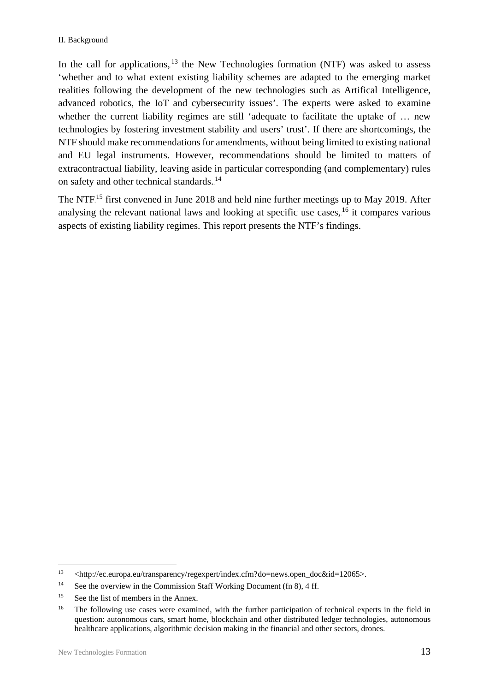In the call for applications,  $13$  the New Technologies formation (NTF) was asked to assess 'whether and to what extent existing liability schemes are adapted to the emerging market realities following the development of the new technologies such as Artifical Intelligence, advanced robotics, the IoT and cybersecurity issues'. The experts were asked to examine whether the current liability regimes are still 'adequate to facilitate the uptake of … new technologies by fostering investment stability and users' trust'. If there are shortcomings, the NTF should make recommendations for amendments, without being limited to existing national and EU legal instruments. However, recommendations should be limited to matters of extracontractual liability, leaving aside in particular corresponding (and complementary) rules on safety and other technical standards.<sup>14</sup>

The NTF.<sup>15</sup> first convened in June 2018 and held nine further meetings up to May 2019. After analysing the relevant national laws and looking at specific use cases, <sup>16</sup> it compares various aspects of existing liability regimes. This report presents the NTF's findings.

<sup>&</sup>lt;sup>13</sup> <http://ec.europa.eu/transparency/regexpert/index.cfm?do=news.open\_doc&id=12065>.

<sup>&</sup>lt;sup>14</sup> See the overview in the Commission Staff Working Document (fn 8), 4 ff.

<sup>&</sup>lt;sup>15</sup> See the list of members in the Annex.

<sup>&</sup>lt;sup>16</sup> The following use cases were examined, with the further participation of technical experts in the field in question: autonomous cars, smart home, blockchain and other distributed ledger technologies, autonomous healthcare applications, algorithmic decision making in the financial and other sectors, drones.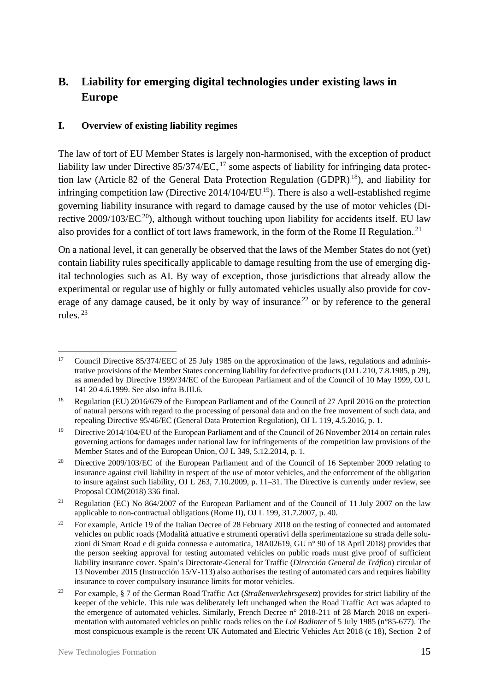# <span id="page-16-0"></span>**B. Liability for emerging digital technologies under existing laws in Europe**

#### <span id="page-16-1"></span>**I. Overview of existing liability regimes**

The law of tort of EU Member States is largely non-harmonised, with the exception of product liability law under Directive 85/374/EC, <sup>17</sup> some aspects of liability for infringing data protection law (Article 82 of the General Data Protection Regulation (GDPR).<sup>18</sup>), and liability for infringing competition law (Directive  $2014/104/EU^{19}$ ). There is also a well-established regime governing liability insurance with regard to damage caused by the use of motor vehicles (Directive  $2009/103/EC^{20}$ , although without touching upon liability for accidents itself. EU law also provides for a conflict of tort laws framework, in the form of the Rome II Regulation.<sup>21</sup>

On a national level, it can generally be observed that the laws of the Member States do not (yet) contain liability rules specifically applicable to damage resulting from the use of emerging digital technologies such as AI. By way of exception, those jurisdictions that already allow the experimental or regular use of highly or fully automated vehicles usually also provide for coverage of any damage caused, be it only by way of insurance.<sup>22</sup> or by reference to the general rules. $^{23}$ 

<sup>&</sup>lt;sup>17</sup> Council Directive 85/374/EEC of 25 July 1985 on the approximation of the laws, regulations and administrative provisions of the Member States concerning liability for defective products (OJ L 210, 7.8.1985, p 29), as amended by Directive 1999/34/EC of the European Parliament and of the Council of 10 May 1999, OJ L 141 20 4.6.1999. See also infra B.III.6.

<sup>18</sup> Regulation (EU) 2016/679 of the European Parliament and of the Council of 27 April 2016 on the protection of natural persons with regard to the processing of personal data and on the free movement of such data, and repealing Directive 95/46/EC (General Data Protection Regulation), OJ L 119, 4.5.2016, p. 1.

<sup>&</sup>lt;sup>19</sup> Directive 2014/104/EU of the European Parliament and of the Council of 26 November 2014 on certain rules governing actions for damages under national law for infringements of the competition law provisions of the Member States and of the European Union, OJ L 349, 5.12.2014, p. 1*.*

<sup>&</sup>lt;sup>20</sup> Directive 2009/103/EC of the European Parliament and of the Council of 16 September 2009 relating to insurance against civil liability in respect of the use of motor vehicles, and the enforcement of the obligation to insure against such liability, OJ L 263, 7.10.2009*,* p. 11–31. The Directive is currently under review, see Proposal COM(2018) 336 final.

<sup>&</sup>lt;sup>21</sup> Regulation (EC) No 864/2007 of the European Parliament and of the Council of 11 July 2007 on the law applicable to non-contractual obligations (Rome II), OJ L 199, 31.7.2007*,* p. 40*.*

<sup>&</sup>lt;sup>22</sup> For example, Article 19 of the Italian Decree of 28 February 2018 on the testing of connected and automated vehicles on public roads (Modalità attuative e strumenti operativi della sperimentazione su strada delle soluzioni di Smart Road e di guida connessa e automatica, 18A02619, GU n° 90 of 18 April 2018) provides that the person seeking approval for testing automated vehicles on public roads must give proof of sufficient liability insurance cover. Spain's Directorate-General for Traffic (*Dirección General de Tráfico*) circular of 13 November 2015 (Instrucción 15/V-113) also authorises the testing of automated cars and requires liability insurance to cover compulsory insurance limits for motor vehicles.

<sup>23</sup> For example, § 7 of the German Road Traffic Act (*Straßenverkehrsgesetz*) provides for strict liability of the keeper of the vehicle. This rule was deliberately left unchanged when the Road Traffic Act was adapted to the emergence of automated vehicles. Similarly, French Decree n° 2018-211 of 28 March 2018 on experimentation with automated vehicles on public roads relies on the *Loi Badinter* of 5 July 1985 (n°85-677). The most conspicuous example is the recent UK Automated and Electric Vehicles Act 2018 (c 18), Section 2 of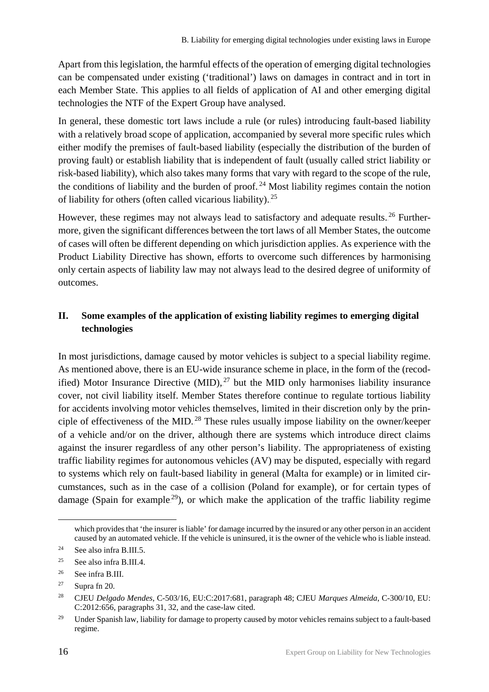Apart from this legislation, the harmful effects of the operation of emerging digital technologies can be compensated under existing ('traditional') laws on damages in contract and in tort in each Member State. This applies to all fields of application of AI and other emerging digital technologies the NTF of the Expert Group have analysed.

In general, these domestic tort laws include a rule (or rules) introducing fault-based liability with a relatively broad scope of application, accompanied by several more specific rules which either modify the premises of fault-based liability (especially the distribution of the burden of proving fault) or establish liability that is independent of fault (usually called strict liability or risk-based liability), which also takes many forms that vary with regard to the scope of the rule, the conditions of liability and the burden of proof.<sup>24</sup> Most liability regimes contain the notion of liability for others (often called vicarious liability).<sup>25</sup>

However, these regimes may not always lead to satisfactory and adequate results.<sup>26</sup> Furthermore, given the significant differences between the tort laws of all Member States, the outcome of cases will often be different depending on which jurisdiction applies. As experience with the Product Liability Directive has shown, efforts to overcome such differences by harmonising only certain aspects of liability law may not always lead to the desired degree of uniformity of outcomes.

#### <span id="page-17-0"></span>**II. Some examples of the application of existing liability regimes to emerging digital technologies**

In most jurisdictions, damage caused by motor vehicles is subject to a special liability regime. As mentioned above, there is an EU-wide insurance scheme in place, in the form of the (recodified) Motor Insurance Directive  $(MID)$ ,  $^{27}$  but the MID only harmonises liability insurance cover, not civil liability itself. Member States therefore continue to regulate tortious liability for accidents involving motor vehicles themselves, limited in their discretion only by the principle of effectiveness of the MID.<sup>28</sup> These rules usually impose liability on the owner/keeper of a vehicle and/or on the driver, although there are systems which introduce direct claims against the insurer regardless of any other person's liability. The appropriateness of existing traffic liability regimes for autonomous vehicles (AV) may be disputed, especially with regard to systems which rely on fault-based liability in general (Malta for example) or in limited circumstances, such as in the case of a collision (Poland for example), or for certain types of damage (Spain for example<sup>29</sup>), or which make the application of the traffic liability regime

which provides that 'the insurer is liable' for damage incurred by the insured or any other person in an accident caused by an automated vehicle. If the vehicle is uninsured, it is the owner of the vehicle who is liable instead.

<sup>&</sup>lt;sup>24</sup> See also infra B.III.5.

<sup>25</sup> See also infra B.III.4.

<sup>26</sup> See infra B.III.

<sup>&</sup>lt;sup>27</sup> Supra fn 20.

<sup>28</sup> CJEU *Delgado Mendes*, C-503/16, EU:C:2017:681, paragraph 48; CJEU *Marques Almeida*, C-300/10, EU: C:2012:656, paragraphs 31, 32, and the case-law cited.

<sup>&</sup>lt;sup>29</sup> Under Spanish law, liability for damage to property caused by motor vehicles remains subject to a fault-based regime.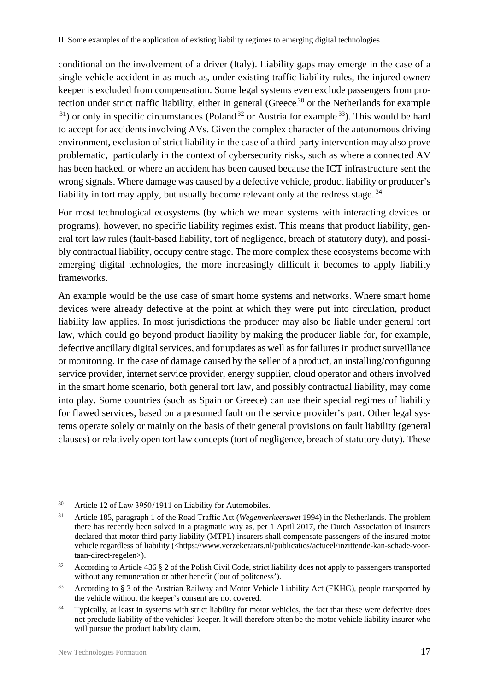conditional on the involvement of a driver (Italy). Liability gaps may emerge in the case of a single-vehicle accident in as much as, under existing traffic liability rules, the injured owner/ keeper is excluded from compensation. Some legal systems even exclude passengers from protection under strict traffic liability, either in general (Greece.<sup>30</sup> or the Netherlands for example  $31$ ) or only in specific circumstances (Poland<sup>32</sup> or Austria for example.<sup>33</sup>). This would be hard to accept for accidents involving AVs. Given the complex character of the autonomous driving environment, exclusion of strict liability in the case of a third-party intervention may also prove problematic, particularly in the context of cybersecurity risks, such as where a connected AV has been hacked, or where an accident has been caused because the ICT infrastructure sent the wrong signals. Where damage was caused by a defective vehicle, product liability or producer's liability in tort may apply, but usually become relevant only at the redress stage.<sup>34</sup>

For most technological ecosystems (by which we mean systems with interacting devices or programs), however, no specific liability regimes exist. This means that product liability, general tort law rules (fault-based liability, tort of negligence, breach of statutory duty), and possibly contractual liability, occupy centre stage. The more complex these ecosystems become with emerging digital technologies, the more increasingly difficult it becomes to apply liability frameworks.

An example would be the use case of smart home systems and networks. Where smart home devices were already defective at the point at which they were put into circulation, product liability law applies. In most jurisdictions the producer may also be liable under general tort law, which could go beyond product liability by making the producer liable for, for example, defective ancillary digital services, and for updates as well as for failures in product surveillance or monitoring. In the case of damage caused by the seller of a product, an installing/configuring service provider, internet service provider, energy supplier, cloud operator and others involved in the smart home scenario, both general tort law, and possibly contractual liability, may come into play. Some countries (such as Spain or Greece) can use their special regimes of liability for flawed services, based on a presumed fault on the service provider's part. Other legal systems operate solely or mainly on the basis of their general provisions on fault liability (general clauses) or relatively open tort law concepts (tort of negligence, breach of statutory duty). These

<sup>&</sup>lt;sup>30</sup> Article 12 of Law 3950/1911 on Liability for Automobiles.

<sup>31</sup> Article 185, paragraph 1 of the Road Traffic Act (*Wegenverkeerswet* 1994) in the Netherlands. The problem there has recently been solved in a pragmatic way as, per 1 April 2017, the Dutch Association of Insurers declared that motor third-party liability (MTPL) insurers shall compensate passengers of the insured motor vehicle regardless of liability (<https://www.verzekeraars.nl/publicaties/actueel/inzittende-kan-schade-voortaan-direct-regelen>).

 $32$  According to Article 436 § 2 of the Polish Civil Code, strict liability does not apply to passengers transported without any remuneration or other benefit ('out of politeness').

<sup>&</sup>lt;sup>33</sup> According to § 3 of the Austrian Railway and Motor Vehicle Liability Act (EKHG), people transported by the vehicle without the keeper's consent are not covered.

<sup>&</sup>lt;sup>34</sup> Typically, at least in systems with strict liability for motor vehicles, the fact that these were defective does not preclude liability of the vehicles' keeper. It will therefore often be the motor vehicle liability insurer who will pursue the product liability claim.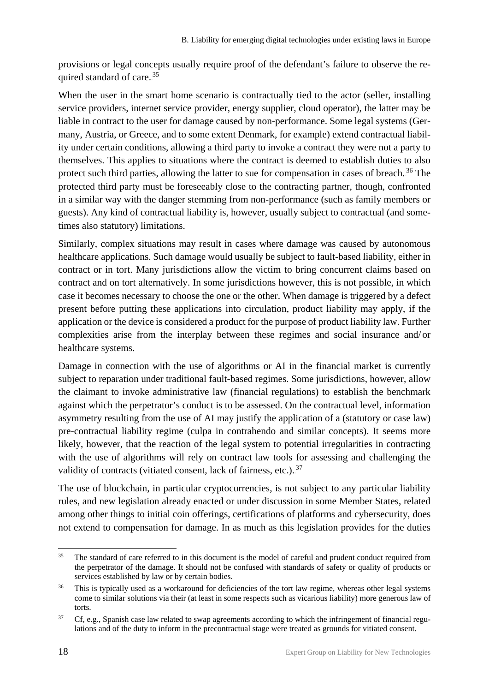provisions or legal concepts usually require proof of the defendant's failure to observe the required standard of care.<sup>35</sup>

When the user in the smart home scenario is contractually tied to the actor (seller, installing service providers, internet service provider, energy supplier, cloud operator), the latter may be liable in contract to the user for damage caused by non-performance. Some legal systems (Germany, Austria, or Greece, and to some extent Denmark, for example) extend contractual liability under certain conditions, allowing a third party to invoke a contract they were not a party to themselves. This applies to situations where the contract is deemed to establish duties to also protect such third parties, allowing the latter to sue for compensation in cases of breach.<sup>36</sup> The protected third party must be foreseeably close to the contracting partner, though, confronted in a similar way with the danger stemming from non-performance (such as family members or guests). Any kind of contractual liability is, however, usually subject to contractual (and sometimes also statutory) limitations.

Similarly, complex situations may result in cases where damage was caused by autonomous healthcare applications. Such damage would usually be subject to fault-based liability, either in contract or in tort. Many jurisdictions allow the victim to bring concurrent claims based on contract and on tort alternatively. In some jurisdictions however, this is not possible, in which case it becomes necessary to choose the one or the other. When damage is triggered by a defect present before putting these applications into circulation, product liability may apply, if the application or the device is considered a product for the purpose of product liability law. Further complexities arise from the interplay between these regimes and social insurance and/ or healthcare systems.

Damage in connection with the use of algorithms or AI in the financial market is currently subject to reparation under traditional fault-based regimes. Some jurisdictions, however, allow the claimant to invoke administrative law (financial regulations) to establish the benchmark against which the perpetrator's conduct is to be assessed. On the contractual level, information asymmetry resulting from the use of AI may justify the application of a (statutory or case law) pre-contractual liability regime (culpa in contrahendo and similar concepts). It seems more likely, however, that the reaction of the legal system to potential irregularities in contracting with the use of algorithms will rely on contract law tools for assessing and challenging the validity of contracts (vitiated consent, lack of fairness, etc.).<sup>37</sup>

The use of blockchain, in particular cryptocurrencies, is not subject to any particular liability rules, and new legislation already enacted or under discussion in some Member States, related among other things to initial coin offerings, certifications of platforms and cybersecurity, does not extend to compensation for damage. In as much as this legislation provides for the duties

<sup>&</sup>lt;sup>35</sup> The standard of care referred to in this document is the model of careful and prudent conduct required from the perpetrator of the damage. It should not be confused with standards of safety or quality of products or services established by law or by certain bodies.

<sup>&</sup>lt;sup>36</sup> This is typically used as a workaround for deficiencies of the tort law regime, whereas other legal systems come to similar solutions via their (at least in some respects such as vicarious liability) more generous law of torts.

 $37$  Cf, e.g., Spanish case law related to swap agreements according to which the infringement of financial regulations and of the duty to inform in the precontractual stage were treated as grounds for vitiated consent.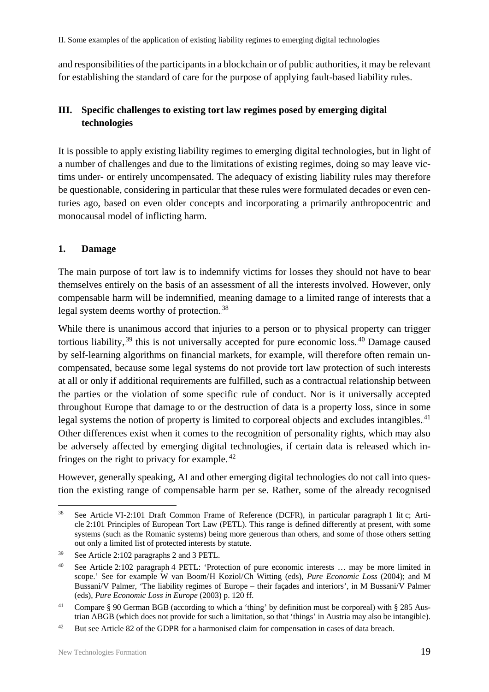II. Some examples of the application of existing liability regimes to emerging digital technologies

and responsibilities of the participants in a blockchain or of public authorities, it may be relevant for establishing the standard of care for the purpose of applying fault-based liability rules.

### <span id="page-20-0"></span>**III. Specific challenges to existing tort law regimes posed by emerging digital technologies**

It is possible to apply existing liability regimes to emerging digital technologies, but in light of a number of challenges and due to the limitations of existing regimes, doing so may leave victims under- or entirely uncompensated. The adequacy of existing liability rules may therefore be questionable, considering in particular that these rules were formulated decades or even centuries ago, based on even older concepts and incorporating a primarily anthropocentric and monocausal model of inflicting harm.

#### <span id="page-20-1"></span>**1. Damage**

The main purpose of tort law is to indemnify victims for losses they should not have to bear themselves entirely on the basis of an assessment of all the interests involved. However, only compensable harm will be indemnified, meaning damage to a limited range of interests that a legal system deems worthy of protection.<sup>38</sup>

While there is unanimous accord that injuries to a person or to physical property can trigger tortious liability,<sup>39</sup> this is not universally accepted for pure economic loss.<sup>40</sup> Damage caused by self-learning algorithms on financial markets, for example, will therefore often remain uncompensated, because some legal systems do not provide tort law protection of such interests at all or only if additional requirements are fulfilled, such as a contractual relationship between the parties or the violation of some specific rule of conduct. Nor is it universally accepted throughout Europe that damage to or the destruction of data is a property loss, since in some legal systems the notion of property is limited to corporeal objects and excludes intangibles.<sup>41</sup> Other differences exist when it comes to the recognition of personality rights, which may also be adversely affected by emerging digital technologies, if certain data is released which infringes on the right to privacy for example. $42$ 

However, generally speaking, AI and other emerging digital technologies do not call into question the existing range of compensable harm per se. Rather, some of the already recognised

<sup>38</sup> See Article VI-2:101 Draft Common Frame of Reference (DCFR), in particular paragraph 1 lit c; Article 2:101 Principles of European Tort Law (PETL). This range is defined differently at present, with some systems (such as the Romanic systems) being more generous than others, and some of those others setting out only a limited list of protected interests by statute.

<sup>39</sup> See Article 2:102 paragraphs 2 and 3 PETL.

<sup>40</sup> See Article 2:102 paragraph 4 PETL: 'Protection of pure economic interests … may be more limited in scope.' See for example W van Boom/H Koziol/Ch Witting (eds), *Pure Economic Loss* (2004); and M Bussani/V Palmer, 'The liability regimes of Europe – their façades and interiors', in M Bussani/V Palmer (eds), *Pure Economic Loss in Europe* (2003) p. 120 ff.

<sup>&</sup>lt;sup>41</sup> Compare § 90 German BGB (according to which a 'thing' by definition must be corporeal) with § 285 Austrian ABGB (which does not provide for such a limitation, so that 'things' in Austria may also be intangible).

<sup>&</sup>lt;sup>42</sup> But see Article 82 of the GDPR for a harmonised claim for compensation in cases of data breach.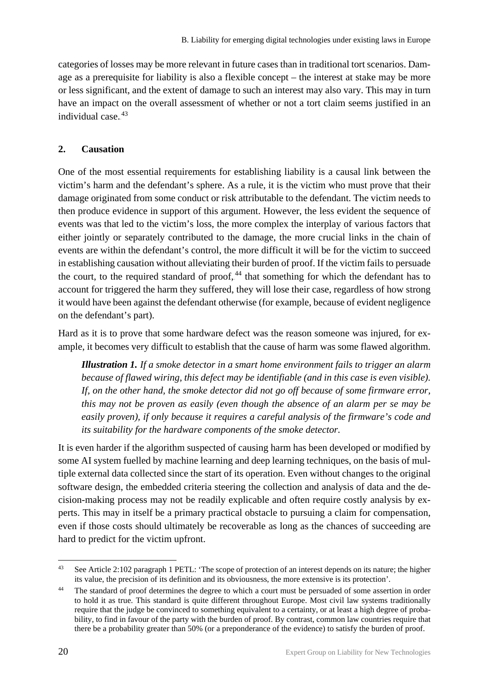categories of losses may be more relevant in future cases than in traditional tort scenarios. Damage as a prerequisite for liability is also a flexible concept – the interest at stake may be more or less significant, and the extent of damage to such an interest may also vary. This may in turn have an impact on the overall assessment of whether or not a tort claim seems justified in an individual case.<sup>43</sup>

#### <span id="page-21-0"></span>**2. Causation**

One of the most essential requirements for establishing liability is a causal link between the victim's harm and the defendant's sphere. As a rule, it is the victim who must prove that their damage originated from some conduct or risk attributable to the defendant. The victim needs to then produce evidence in support of this argument. However, the less evident the sequence of events was that led to the victim's loss, the more complex the interplay of various factors that either jointly or separately contributed to the damage, the more crucial links in the chain of events are within the defendant's control, the more difficult it will be for the victim to succeed in establishing causation without alleviating their burden of proof. If the victim fails to persuade the court, to the required standard of proof, <sup>44</sup> that something for which the defendant has to account for triggered the harm they suffered, they will lose their case, regardless of how strong it would have been against the defendant otherwise (for example, because of evident negligence on the defendant's part).

Hard as it is to prove that some hardware defect was the reason someone was injured, for example, it becomes very difficult to establish that the cause of harm was some flawed algorithm.

*Illustration 1. If a smoke detector in a smart home environment fails to trigger an alarm because of flawed wiring, this defect may be identifiable (and in this case is even visible). If, on the other hand, the smoke detector did not go off because of some firmware error, this may not be proven as easily (even though the absence of an alarm per se may be easily proven), if only because it requires a careful analysis of the firmware's code and its suitability for the hardware components of the smoke detector.* 

It is even harder if the algorithm suspected of causing harm has been developed or modified by some AI system fuelled by machine learning and deep learning techniques, on the basis of multiple external data collected since the start of its operation. Even without changes to the original software design, the embedded criteria steering the collection and analysis of data and the decision-making process may not be readily explicable and often require costly analysis by experts. This may in itself be a primary practical obstacle to pursuing a claim for compensation, even if those costs should ultimately be recoverable as long as the chances of succeeding are hard to predict for the victim upfront.

<sup>&</sup>lt;sup>43</sup> See Article 2:102 paragraph 1 PETL: 'The scope of protection of an interest depends on its nature; the higher its value, the precision of its definition and its obviousness, the more extensive is its protection'.

<sup>&</sup>lt;sup>44</sup> The standard of proof determines the degree to which a court must be persuaded of some assertion in order to hold it as true. This standard is quite different throughout Europe. Most civil law systems traditionally require that the judge be convinced to something equivalent to a certainty, or at least a high degree of probability, to find in favour of the party with the burden of proof. By contrast, common law countries require that there be a probability greater than 50% (or a preponderance of the evidence) to satisfy the burden of proof.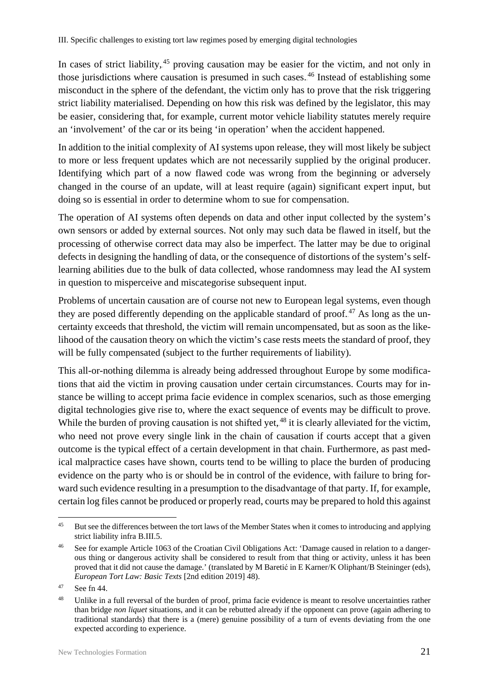In cases of strict liability, <sup>45</sup> proving causation may be easier for the victim, and not only in those jurisdictions where causation is presumed in such cases.<sup>46</sup> Instead of establishing some misconduct in the sphere of the defendant, the victim only has to prove that the risk triggering strict liability materialised. Depending on how this risk was defined by the legislator, this may be easier, considering that, for example, current motor vehicle liability statutes merely require an 'involvement' of the car or its being 'in operation' when the accident happened.

In addition to the initial complexity of AI systems upon release, they will most likely be subject to more or less frequent updates which are not necessarily supplied by the original producer. Identifying which part of a now flawed code was wrong from the beginning or adversely changed in the course of an update, will at least require (again) significant expert input, but doing so is essential in order to determine whom to sue for compensation.

The operation of AI systems often depends on data and other input collected by the system's own sensors or added by external sources. Not only may such data be flawed in itself, but the processing of otherwise correct data may also be imperfect. The latter may be due to original defects in designing the handling of data, or the consequence of distortions of the system's selflearning abilities due to the bulk of data collected, whose randomness may lead the AI system in question to misperceive and miscategorise subsequent input.

Problems of uncertain causation are of course not new to European legal systems, even though they are posed differently depending on the applicable standard of proof. $47$  As long as the uncertainty exceeds that threshold, the victim will remain uncompensated, but as soon as the likelihood of the causation theory on which the victim's case rests meets the standard of proof, they will be fully compensated (subject to the further requirements of liability).

This all-or-nothing dilemma is already being addressed throughout Europe by some modifications that aid the victim in proving causation under certain circumstances. Courts may for instance be willing to accept prima facie evidence in complex scenarios, such as those emerging digital technologies give rise to, where the exact sequence of events may be difficult to prove. While the burden of proving causation is not shifted yet, <sup>48</sup> it is clearly alleviated for the victim, who need not prove every single link in the chain of causation if courts accept that a given outcome is the typical effect of a certain development in that chain. Furthermore, as past medical malpractice cases have shown, courts tend to be willing to place the burden of producing evidence on the party who is or should be in control of the evidence, with failure to bring forward such evidence resulting in a presumption to the disadvantage of that party. If, for example, certain log files cannot be produced or properly read, courts may be prepared to hold this against

<sup>&</sup>lt;sup>45</sup> But see the differences between the tort laws of the Member States when it comes to introducing and applying strict liability infra B.III.5.

<sup>46</sup> See for example Article 1063 of the Croatian Civil Obligations Act: 'Damage caused in relation to a dangerous thing or dangerous activity shall be considered to result from that thing or activity, unless it has been proved that it did not cause the damage.' (translated by M Baretić in E Karner/K Oliphant/B Steininger (eds), *European Tort Law: Basic Texts* [2nd edition 2019] 48).

 $47$  See fn 44.

<sup>&</sup>lt;sup>48</sup> Unlike in a full reversal of the burden of proof, prima facie evidence is meant to resolve uncertainties rather than bridge *non liquet* situations, and it can be rebutted already if the opponent can prove (again adhering to traditional standards) that there is a (mere) genuine possibility of a turn of events deviating from the one expected according to experience.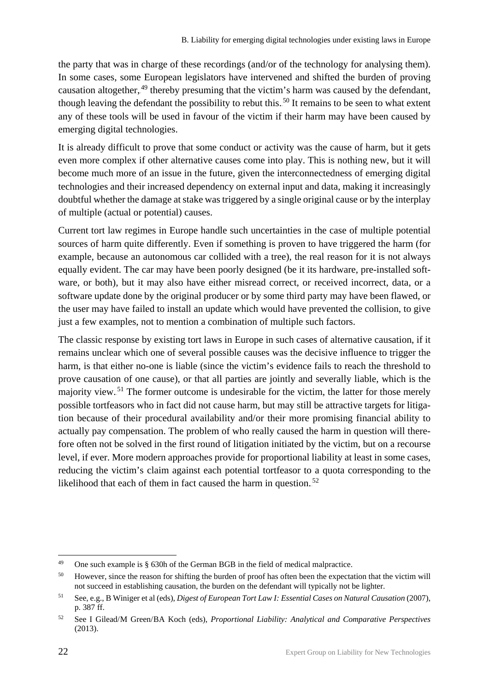the party that was in charge of these recordings (and/or of the technology for analysing them). In some cases, some European legislators have intervened and shifted the burden of proving causation altogether, <sup>49</sup> thereby presuming that the victim's harm was caused by the defendant, though leaving the defendant the possibility to rebut this.<sup>50</sup> It remains to be seen to what extent any of these tools will be used in favour of the victim if their harm may have been caused by emerging digital technologies.

It is already difficult to prove that some conduct or activity was the cause of harm, but it gets even more complex if other alternative causes come into play. This is nothing new, but it will become much more of an issue in the future, given the interconnectedness of emerging digital technologies and their increased dependency on external input and data, making it increasingly doubtful whether the damage at stake was triggered by a single original cause or by the interplay of multiple (actual or potential) causes.

Current tort law regimes in Europe handle such uncertainties in the case of multiple potential sources of harm quite differently. Even if something is proven to have triggered the harm (for example, because an autonomous car collided with a tree), the real reason for it is not always equally evident. The car may have been poorly designed (be it its hardware, pre-installed software, or both), but it may also have either misread correct, or received incorrect, data, or a software update done by the original producer or by some third party may have been flawed, or the user may have failed to install an update which would have prevented the collision, to give just a few examples, not to mention a combination of multiple such factors.

The classic response by existing tort laws in Europe in such cases of alternative causation, if it remains unclear which one of several possible causes was the decisive influence to trigger the harm, is that either no-one is liable (since the victim's evidence fails to reach the threshold to prove causation of one cause), or that all parties are jointly and severally liable, which is the majority view.<sup>51</sup> The former outcome is undesirable for the victim, the latter for those merely possible tortfeasors who in fact did not cause harm, but may still be attractive targets for litigation because of their procedural availability and/or their more promising financial ability to actually pay compensation. The problem of who really caused the harm in question will therefore often not be solved in the first round of litigation initiated by the victim, but on a recourse level, if ever. More modern approaches provide for proportional liability at least in some cases, reducing the victim's claim against each potential tortfeasor to a quota corresponding to the likelihood that each of them in fact caused the harm in question. $52$ 

<sup>49</sup> One such example is § 630h of the German BGB in the field of medical malpractice.

<sup>&</sup>lt;sup>50</sup> However, since the reason for shifting the burden of proof has often been the expectation that the victim will not succeed in establishing causation, the burden on the defendant will typically not be lighter.

<sup>51</sup> See, e.g., B Winiger et al (eds), *Digest of European Tort Law I: Essential Cases on Natural Causation* (2007), p. 387 ff.

<sup>52</sup> See I Gilead/M Green/BA Koch (eds), *Proportional Liability: Analytical and Comparative Perspectives* (2013).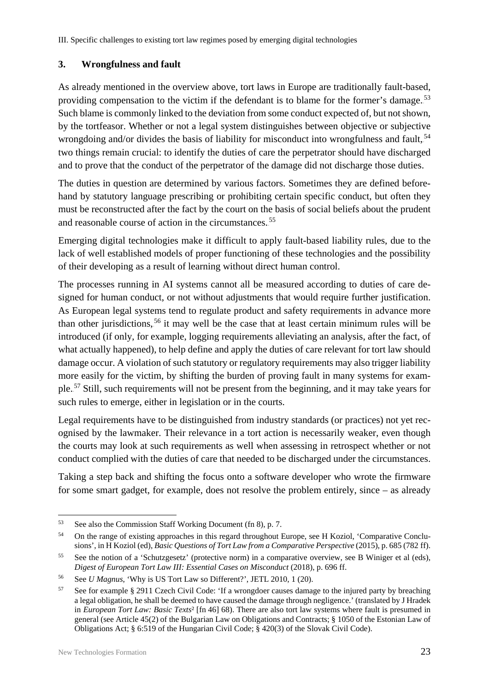III. Specific challenges to existing tort law regimes posed by emerging digital technologies

#### <span id="page-24-0"></span>**3. Wrongfulness and fault**

As already mentioned in the overview above, tort laws in Europe are traditionally fault-based, providing compensation to the victim if the defendant is to blame for the former's damage.<sup>53</sup> Such blame is commonly linked to the deviation from some conduct expected of, but not shown, by the tortfeasor. Whether or not a legal system distinguishes between objective or subjective wrongdoing and/or divides the basis of liability for misconduct into wrongfulness and fault,<sup>54</sup> two things remain crucial: to identify the duties of care the perpetrator should have discharged and to prove that the conduct of the perpetrator of the damage did not discharge those duties.

The duties in question are determined by various factors. Sometimes they are defined beforehand by statutory language prescribing or prohibiting certain specific conduct, but often they must be reconstructed after the fact by the court on the basis of social beliefs about the prudent and reasonable course of action in the circumstances.<sup>55</sup>

Emerging digital technologies make it difficult to apply fault-based liability rules, due to the lack of well established models of proper functioning of these technologies and the possibility of their developing as a result of learning without direct human control.

The processes running in AI systems cannot all be measured according to duties of care designed for human conduct, or not without adjustments that would require further justification. As European legal systems tend to regulate product and safety requirements in advance more than other jurisdictions,<sup>56</sup> it may well be the case that at least certain minimum rules will be introduced (if only, for example, logging requirements alleviating an analysis, after the fact, of what actually happened), to help define and apply the duties of care relevant for tort law should damage occur. A violation of such statutory or regulatory requirements may also trigger liability more easily for the victim, by shifting the burden of proving fault in many systems for example.<sup>57</sup> Still, such requirements will not be present from the beginning, and it may take years for such rules to emerge, either in legislation or in the courts.

Legal requirements have to be distinguished from industry standards (or practices) not yet recognised by the lawmaker. Their relevance in a tort action is necessarily weaker, even though the courts may look at such requirements as well when assessing in retrospect whether or not conduct complied with the duties of care that needed to be discharged under the circumstances.

Taking a step back and shifting the focus onto a software developer who wrote the firmware for some smart gadget, for example, does not resolve the problem entirely, since – as already

 <sup>53</sup> See also the Commission Staff Working Document (fn 8), p. 7.

<sup>&</sup>lt;sup>54</sup> On the range of existing approaches in this regard throughout Europe, see H Koziol, 'Comparative Conclusions', in H Koziol (ed), *Basic Questions of Tort Law from a Comparative Perspective* (2015), p. 685 (782 ff).

<sup>55</sup> See the notion of a 'Schutzgesetz' (protective norm) in a comparative overview, see B Winiger et al (eds), *Digest of European Tort Law III: Essential Cases on Misconduct* (2018), p. 696 ff.

<sup>56</sup> See *U Magnus*, 'Why is US Tort Law so Different?', JETL 2010, 1 (20).

<sup>57</sup> See for example § 2911 Czech Civil Code: 'If a wrongdoer causes damage to the injured party by breaching a legal obligation, he shall be deemed to have caused the damage through negligence.' (translated by J Hradek in *European Tort Law: Basic Texts*² [fn 46] 68). There are also tort law systems where fault is presumed in general (see Article 45(2) of the Bulgarian Law on Obligations and Contracts; § 1050 of the Estonian Law of Obligations Act; § 6:519 of the Hungarian Civil Code; § 420(3) of the Slovak Civil Code).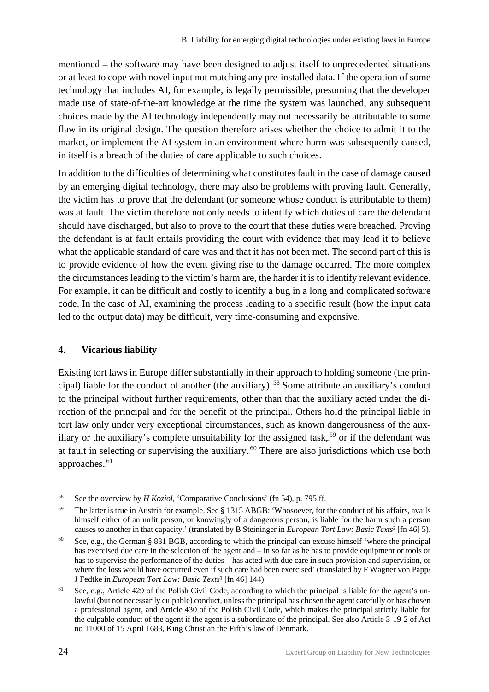mentioned – the software may have been designed to adjust itself to unprecedented situations or at least to cope with novel input not matching any pre-installed data. If the operation of some technology that includes AI, for example, is legally permissible, presuming that the developer made use of state-of-the-art knowledge at the time the system was launched, any subsequent choices made by the AI technology independently may not necessarily be attributable to some flaw in its original design. The question therefore arises whether the choice to admit it to the market, or implement the AI system in an environment where harm was subsequently caused, in itself is a breach of the duties of care applicable to such choices.

In addition to the difficulties of determining what constitutes fault in the case of damage caused by an emerging digital technology, there may also be problems with proving fault. Generally, the victim has to prove that the defendant (or someone whose conduct is attributable to them) was at fault. The victim therefore not only needs to identify which duties of care the defendant should have discharged, but also to prove to the court that these duties were breached. Proving the defendant is at fault entails providing the court with evidence that may lead it to believe what the applicable standard of care was and that it has not been met. The second part of this is to provide evidence of how the event giving rise to the damage occurred. The more complex the circumstances leading to the victim's harm are, the harder it is to identify relevant evidence. For example, it can be difficult and costly to identify a bug in a long and complicated software code. In the case of AI, examining the process leading to a specific result (how the input data led to the output data) may be difficult, very time-consuming and expensive.

#### <span id="page-25-0"></span>**4. Vicarious liability**

Existing tort laws in Europe differ substantially in their approach to holding someone (the principal) liable for the conduct of another (the auxiliary).<sup>58</sup> Some attribute an auxiliary's conduct to the principal without further requirements, other than that the auxiliary acted under the direction of the principal and for the benefit of the principal. Others hold the principal liable in tort law only under very exceptional circumstances, such as known dangerousness of the auxiliary or the auxiliary's complete unsuitability for the assigned task,  $59$  or if the defendant was at fault in selecting or supervising the auxiliary.<sup>60</sup> There are also jurisdictions which use both approaches.<sup>61</sup>

 <sup>58</sup> See the overview by *H Koziol*, 'Comparative Conclusions' (fn 54), p. <sup>795</sup> ff.

<sup>59</sup> The latter is true in Austria for example. See § 1315 ABGB: 'Whosoever, for the conduct of his affairs, avails himself either of an unfit person, or knowingly of a dangerous person, is liable for the harm such a person causes to another in that capacity.' (translated by B Steininger in *European Tort Law: Basic Texts*² [fn 46] 5).

<sup>60</sup> See, e.g., the German § 831 BGB, according to which the principal can excuse himself 'where the principal has exercised due care in the selection of the agent and – in so far as he has to provide equipment or tools or has to supervise the performance of the duties – has acted with due care in such provision and supervision, or where the loss would have occurred even if such care had been exercised' (translated by F Wagner von Papp/ J Fedtke in *European Tort Law: Basic Texts*² [fn 46] 144).

 $61$  See, e.g., Article 429 of the Polish Civil Code, according to which the principal is liable for the agent's unlawful (but not necessarily culpable) conduct, unless the principal has chosen the agent carefully or has chosen a professional agent, and Article 430 of the Polish Civil Code, which makes the principal strictly liable for the culpable conduct of the agent if the agent is a subordinate of the principal. See also Article 3-19-2 of Act no 11000 of 15 April 1683, King Christian the Fifth's law of Denmark.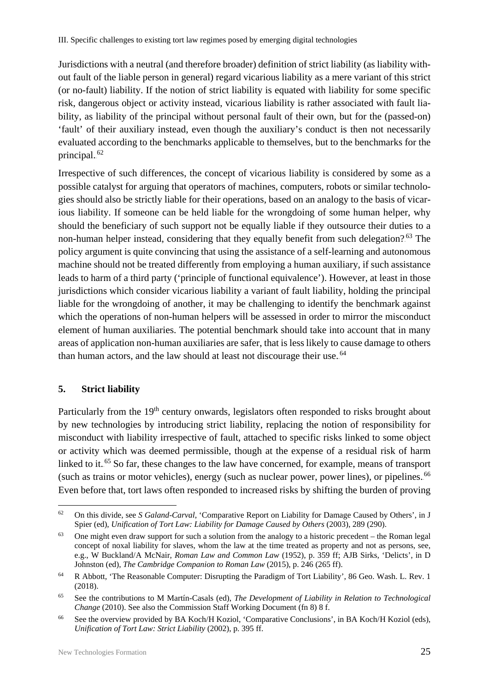III. Specific challenges to existing tort law regimes posed by emerging digital technologies

Jurisdictions with a neutral (and therefore broader) definition of strict liability (as liability without fault of the liable person in general) regard vicarious liability as a mere variant of this strict (or no-fault) liability. If the notion of strict liability is equated with liability for some specific risk, dangerous object or activity instead, vicarious liability is rather associated with fault liability, as liability of the principal without personal fault of their own, but for the (passed-on) 'fault' of their auxiliary instead, even though the auxiliary's conduct is then not necessarily evaluated according to the benchmarks applicable to themselves, but to the benchmarks for the principal.<sup>62</sup>

Irrespective of such differences, the concept of vicarious liability is considered by some as a possible catalyst for arguing that operators of machines, computers, robots or similar technologies should also be strictly liable for their operations, based on an analogy to the basis of vicarious liability. If someone can be held liable for the wrongdoing of some human helper, why should the beneficiary of such support not be equally liable if they outsource their duties to a non-human helper instead, considering that they equally benefit from such delegation?<sup>63</sup> The policy argument is quite convincing that using the assistance of a self-learning and autonomous machine should not be treated differently from employing a human auxiliary, if such assistance leads to harm of a third party ('principle of functional equivalence'). However, at least in those jurisdictions which consider vicarious liability a variant of fault liability, holding the principal liable for the wrongdoing of another, it may be challenging to identify the benchmark against which the operations of non-human helpers will be assessed in order to mirror the misconduct element of human auxiliaries. The potential benchmark should take into account that in many areas of application non-human auxiliaries are safer, that is less likely to cause damage to others than human actors, and the law should at least not discourage their use.<sup>64</sup>

#### <span id="page-26-0"></span>**5. Strict liability**

Particularly from the 19<sup>th</sup> century onwards, legislators often responded to risks brought about by new technologies by introducing strict liability, replacing the notion of responsibility for misconduct with liability irrespective of fault, attached to specific risks linked to some object or activity which was deemed permissible, though at the expense of a residual risk of harm linked to it.<sup>65</sup> So far, these changes to the law have concerned, for example, means of transport (such as trains or motor vehicles), energy (such as nuclear power, power lines), or pipelines.<sup>66</sup> Even before that, tort laws often responded to increased risks by shifting the burden of proving

 <sup>62</sup> On this divide, see *S Galand-Carval*, 'Comparative Report on Liability for Damage Caused by Others', in J Spier (ed), *Unification of Tort Law: Liability for Damage Caused by Others* (2003), 289 (290).

<sup>&</sup>lt;sup>63</sup> One might even draw support for such a solution from the analogy to a historic precedent – the Roman legal concept of noxal liability for slaves, whom the law at the time treated as property and not as persons, see, e.g., W Buckland/A McNair, *Roman Law and Common Law* (1952), p. 359 ff; AJB Sirks, 'Delicts', in D Johnston (ed), *The Cambridge Companion to Roman Law* (2015), p. 246 (265 ff).

<sup>64</sup> R Abbott*,* 'The Reasonable Computer: Disrupting the Paradigm of Tort Liability', 86 Geo. Wash. L. Rev. 1 (2018).

<sup>65</sup> See the contributions to M Martín-Casals (ed), *The Development of Liability in Relation to Technological Change* (2010). See also the Commission Staff Working Document (fn 8) 8 f.

<sup>66</sup> See the overview provided by BA Koch/H Koziol, 'Comparative Conclusions', in BA Koch/H Koziol (eds), *Unification of Tort Law: Strict Liability* (2002), p. 395 ff.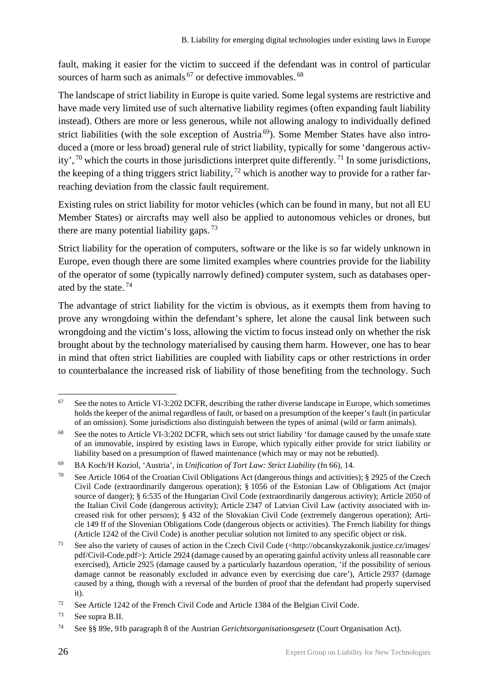fault, making it easier for the victim to succeed if the defendant was in control of particular sources of harm such as animals.<sup>67</sup> or defective immovables..<sup>68</sup>

The landscape of strict liability in Europe is quite varied. Some legal systems are restrictive and have made very limited use of such alternative liability regimes (often expanding fault liability instead). Others are more or less generous, while not allowing analogy to individually defined strict liabilities (with the sole exception of Austria<sup>69</sup>). Some Member States have also introduced a (more or less broad) general rule of strict liability, typically for some 'dangerous activity',<sup>70</sup> which the courts in those jurisdictions interpret quite differently.<sup>71</sup> In some jurisdictions, the keeping of a thing triggers strict liability,  $72$  which is another way to provide for a rather farreaching deviation from the classic fault requirement.

Existing rules on strict liability for motor vehicles (which can be found in many, but not all EU Member States) or aircrafts may well also be applied to autonomous vehicles or drones, but there are many potential liability gaps.<sup>73</sup>

Strict liability for the operation of computers, software or the like is so far widely unknown in Europe, even though there are some limited examples where countries provide for the liability of the operator of some (typically narrowly defined) computer system, such as databases operated by the state. $74$ 

The advantage of strict liability for the victim is obvious, as it exempts them from having to prove any wrongdoing within the defendant's sphere, let alone the causal link between such wrongdoing and the victim's loss, allowing the victim to focus instead only on whether the risk brought about by the technology materialised by causing them harm. However, one has to bear in mind that often strict liabilities are coupled with liability caps or other restrictions in order to counterbalance the increased risk of liability of those benefiting from the technology. Such

 $67$  See the notes to Article VI-3:202 DCFR, describing the rather diverse landscape in Europe, which sometimes holds the keeper of the animal regardless of fault, or based on a presumption of the keeper's fault (in particular of an omission). Some jurisdictions also distinguish between the types of animal (wild or farm animals).

<sup>&</sup>lt;sup>68</sup> See the notes to Article VI-3:202 DCFR, which sets out strict liability 'for damage caused by the unsafe state of an immovable, inspired by existing laws in Europe, which typically either provide for strict liability or liability based on a presumption of flawed maintenance (which may or may not be rebutted).

<sup>69</sup> BA Koch/H Koziol, 'Austria', in *Unification of Tort Law: Strict Liability* (fn 66), 14.

See Article 1064 of the Croatian Civil Obligations Act (dangerous things and activities); § 2925 of the Czech Civil Code (extraordinarily dangerous operation); § 1056 of the Estonian Law of Obligations Act (major source of danger); § 6:535 of the Hungarian Civil Code (extraordinarily dangerous activity); Article 2050 of the Italian Civil Code (dangerous activity); Article 2347 of Latvian Civil Law (activity associated with increased risk for other persons); § 432 of the Slovakian Civil Code (extremely dangerous operation); Article 149 ff of the Slovenian Obligations Code (dangerous objects or activities). The French liability for things (Article 1242 of the Civil Code) is another peculiar solution not limited to any specific object or risk.

<sup>71</sup> See also the variety of causes of action in the Czech Civil Code (<http://obcanskyzakonik.justice.cz/images/ pdf/Civil-Code.pdf>): Article 2924 (damage caused by an operating gainful activity unless all reasonable care exercised), Article 2925 (damage caused by a particularly hazardous operation, 'if the possibility of serious damage cannot be reasonably excluded in advance even by exercising due care'), Article 2937 (damage caused by a thing, though with a reversal of the burden of proof that the defendant had properly supervised it).

<sup>72</sup> See Article 1242 of the French Civil Code and Article 1384 of the Belgian Civil Code.

<sup>73</sup> See supra B.II.

<sup>74</sup> See §§ 89e, 91b paragraph 8 of the Austrian *Gerichtsorganisationsgesetz* (Court Organisation Act).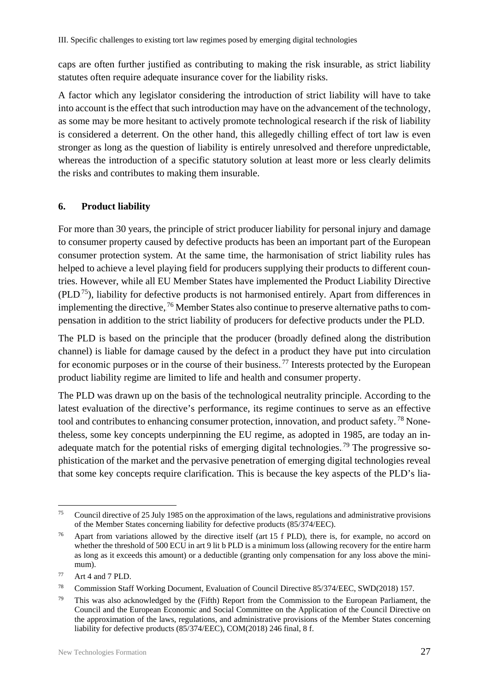caps are often further justified as contributing to making the risk insurable, as strict liability statutes often require adequate insurance cover for the liability risks.

A factor which any legislator considering the introduction of strict liability will have to take into account is the effect that such introduction may have on the advancement of the technology, as some may be more hesitant to actively promote technological research if the risk of liability is considered a deterrent. On the other hand, this allegedly chilling effect of tort law is even stronger as long as the question of liability is entirely unresolved and therefore unpredictable, whereas the introduction of a specific statutory solution at least more or less clearly delimits the risks and contributes to making them insurable.

#### <span id="page-28-0"></span>**6. Product liability**

For more than 30 years, the principle of strict producer liability for personal injury and damage to consumer property caused by defective products has been an important part of the European consumer protection system. At the same time, the harmonisation of strict liability rules has helped to achieve a level playing field for producers supplying their products to different countries. However, while all EU Member States have implemented the Product Liability Directive (PLD.<sup>75</sup>), liability for defective products is not harmonised entirely. Apart from differences in implementing the directive, <sup>76</sup> Member States also continue to preserve alternative paths to compensation in addition to the strict liability of producers for defective products under the PLD.

The PLD is based on the principle that the producer (broadly defined along the distribution channel) is liable for damage caused by the defect in a product they have put into circulation for economic purposes or in the course of their business.<sup>77</sup> Interests protected by the European product liability regime are limited to life and health and consumer property.

The PLD was drawn up on the basis of the technological neutrality principle. According to the latest evaluation of the directive's performance, its regime continues to serve as an effective tool and contributes to enhancing consumer protection, innovation, and product safety.<sup>78</sup> Nonetheless, some key concepts underpinning the EU regime, as adopted in 1985, are today an inadequate match for the potential risks of emerging digital technologies.<sup>79</sup> The progressive sophistication of the market and the pervasive penetration of emerging digital technologies reveal that some key concepts require clarification. This is because the key aspects of the PLD's lia-

 <sup>75</sup> Council directive of 25 July 1985 on the approximation of the laws, regulations and administrative provisions of the Member States concerning liability for defective products (85/374/EEC).

<sup>&</sup>lt;sup>76</sup> Apart from variations allowed by the directive itself (art 15 f PLD), there is, for example, no accord on whether the threshold of 500 ECU in art 9 lit b PLD is a minimum loss (allowing recovery for the entire harm as long as it exceeds this amount) or a deductible (granting only compensation for any loss above the minimum).

<sup>77</sup> Art 4 and 7 PLD.

<sup>78</sup> Commission Staff Working Document, Evaluation of Council Directive 85/374/EEC, SWD(2018) 157.

<sup>&</sup>lt;sup>79</sup> This was also acknowledged by the (Fifth) Report from the Commission to the European Parliament, the Council and the European Economic and Social Committee on the Application of the Council Directive on the approximation of the laws, regulations, and administrative provisions of the Member States concerning liability for defective products (85/374/EEC), COM(2018) 246 final, 8 f.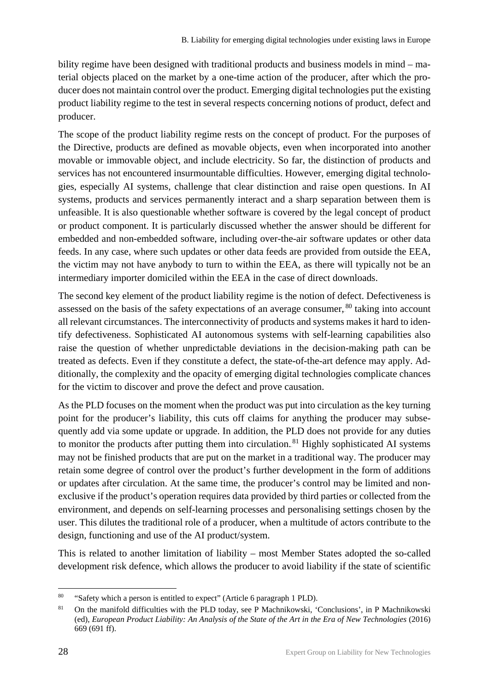bility regime have been designed with traditional products and business models in mind – material objects placed on the market by a one-time action of the producer, after which the producer does not maintain control over the product. Emerging digital technologies put the existing product liability regime to the test in several respects concerning notions of product, defect and producer.

The scope of the product liability regime rests on the concept of product. For the purposes of the Directive, products are defined as movable objects, even when incorporated into another movable or immovable object, and include electricity. So far, the distinction of products and services has not encountered insurmountable difficulties. However, emerging digital technologies, especially AI systems, challenge that clear distinction and raise open questions. In AI systems, products and services permanently interact and a sharp separation between them is unfeasible. It is also questionable whether software is covered by the legal concept of product or product component. It is particularly discussed whether the answer should be different for embedded and non-embedded software, including over-the-air software updates or other data feeds. In any case, where such updates or other data feeds are provided from outside the EEA, the victim may not have anybody to turn to within the EEA, as there will typically not be an intermediary importer domiciled within the EEA in the case of direct downloads.

The second key element of the product liability regime is the notion of defect. Defectiveness is assessed on the basis of the safety expectations of an average consumer, <sup>80</sup> taking into account all relevant circumstances. The interconnectivity of products and systems makes it hard to identify defectiveness. Sophisticated AI autonomous systems with self-learning capabilities also raise the question of whether unpredictable deviations in the decision-making path can be treated as defects. Even if they constitute a defect, the state-of-the-art defence may apply. Additionally, the complexity and the opacity of emerging digital technologies complicate chances for the victim to discover and prove the defect and prove causation.

As the PLD focuses on the moment when the product was put into circulation as the key turning point for the producer's liability, this cuts off claims for anything the producer may subsequently add via some update or upgrade. In addition, the PLD does not provide for any duties to monitor the products after putting them into circulation.<sup>81</sup> Highly sophisticated AI systems may not be finished products that are put on the market in a traditional way. The producer may retain some degree of control over the product's further development in the form of additions or updates after circulation. At the same time, the producer's control may be limited and nonexclusive if the product's operation requires data provided by third parties or collected from the environment, and depends on self-learning processes and personalising settings chosen by the user. This dilutes the traditional role of a producer, when a multitude of actors contribute to the design, functioning and use of the AI product/system.

This is related to another limitation of liability – most Member States adopted the so-called development risk defence, which allows the producer to avoid liability if the state of scientific

 <sup>80</sup> "Safety which a person is entitled to expect" (Article 6 paragraph 1 PLD).

<sup>81</sup> On the manifold difficulties with the PLD today, see P Machnikowski, 'Conclusions', in P Machnikowski (ed), *European Product Liability: An Analysis of the State of the Art in the Era of New Technologies* (2016) 669 (691 ff).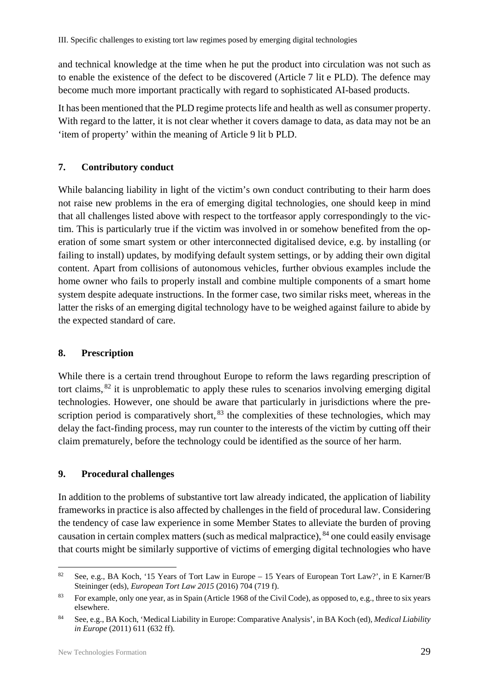and technical knowledge at the time when he put the product into circulation was not such as to enable the existence of the defect to be discovered (Article 7 lit e PLD). The defence may become much more important practically with regard to sophisticated AI-based products.

It has been mentioned that the PLD regime protects life and health as well as consumer property. With regard to the latter, it is not clear whether it covers damage to data, as data may not be an 'item of property' within the meaning of Article 9 lit b PLD.

#### <span id="page-30-0"></span>**7. Contributory conduct**

While balancing liability in light of the victim's own conduct contributing to their harm does not raise new problems in the era of emerging digital technologies, one should keep in mind that all challenges listed above with respect to the tortfeasor apply correspondingly to the victim. This is particularly true if the victim was involved in or somehow benefited from the operation of some smart system or other interconnected digitalised device, e.g. by installing (or failing to install) updates, by modifying default system settings, or by adding their own digital content. Apart from collisions of autonomous vehicles, further obvious examples include the home owner who fails to properly install and combine multiple components of a smart home system despite adequate instructions. In the former case, two similar risks meet, whereas in the latter the risks of an emerging digital technology have to be weighed against failure to abide by the expected standard of care.

#### <span id="page-30-1"></span>**8. Prescription**

While there is a certain trend throughout Europe to reform the laws regarding prescription of tort claims,  $82$  it is unproblematic to apply these rules to scenarios involving emerging digital technologies. However, one should be aware that particularly in jurisdictions where the prescription period is comparatively short,  $83$  the complexities of these technologies, which may delay the fact-finding process, may run counter to the interests of the victim by cutting off their claim prematurely, before the technology could be identified as the source of her harm.

#### <span id="page-30-2"></span>**9. Procedural challenges**

In addition to the problems of substantive tort law already indicated, the application of liability frameworks in practice is also affected by challenges in the field of procedural law. Considering the tendency of case law experience in some Member States to alleviate the burden of proving causation in certain complex matters (such as medical malpractice), <sup>84</sup> one could easily envisage that courts might be similarly supportive of victims of emerging digital technologies who have

 <sup>82</sup> See, e.g., BA Koch, '15 Years of Tort Law in Europe – 15 Years of European Tort Law?', in E Karner/B Steininger (eds), *European Tort Law 2015* (2016) 704 (719 f).

<sup>83</sup> For example, only one year, as in Spain (Article 1968 of the Civil Code), as opposed to, e.g., three to six years elsewhere.

<sup>84</sup> See, e.g., BA Koch, 'Medical Liability in Europe: Comparative Analysis', in BA Koch (ed), *Medical Liability in Europe* (2011) 611 (632 ff).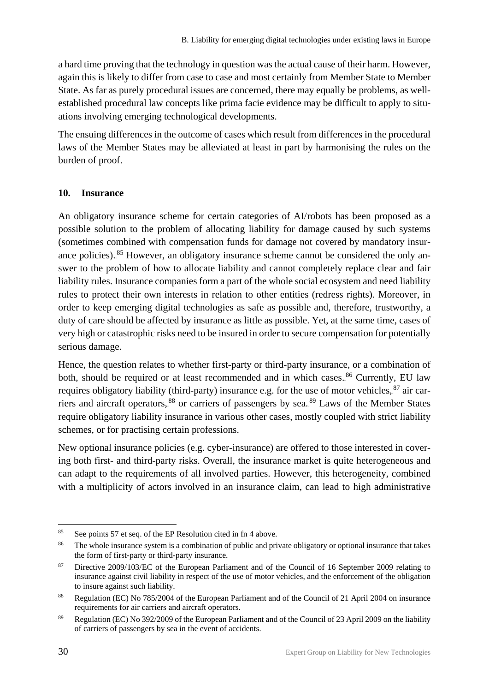a hard time proving that the technology in question was the actual cause of their harm. However, again this is likely to differ from case to case and most certainly from Member State to Member State. As far as purely procedural issues are concerned, there may equally be problems, as wellestablished procedural law concepts like prima facie evidence may be difficult to apply to situations involving emerging technological developments.

The ensuing differences in the outcome of cases which result from differences in the procedural laws of the Member States may be alleviated at least in part by harmonising the rules on the burden of proof.

#### <span id="page-31-0"></span>**10. Insurance**

An obligatory insurance scheme for certain categories of AI/robots has been proposed as a possible solution to the problem of allocating liability for damage caused by such systems (sometimes combined with compensation funds for damage not covered by mandatory insurance policies). <sup>85</sup> However, an obligatory insurance scheme cannot be considered the only answer to the problem of how to allocate liability and cannot completely replace clear and fair liability rules. Insurance companies form a part of the whole social ecosystem and need liability rules to protect their own interests in relation to other entities (redress rights). Moreover, in order to keep emerging digital technologies as safe as possible and, therefore, trustworthy, a duty of care should be affected by insurance as little as possible. Yet, at the same time, cases of very high or catastrophic risks need to be insured in order to secure compensation for potentially serious damage.

Hence, the question relates to whether first-party or third-party insurance, or a combination of both, should be required or at least recommended and in which cases.<sup>86</sup> Currently, EU law requires obligatory liability (third-party) insurance e.g. for the use of motor vehicles, <sup>87</sup> air carriers and aircraft operators, <sup>88</sup> or carriers of passengers by sea.<sup>89</sup> Laws of the Member States require obligatory liability insurance in various other cases, mostly coupled with strict liability schemes, or for practising certain professions.

New optional insurance policies (e.g. cyber-insurance) are offered to those interested in covering both first- and third-party risks. Overall, the insurance market is quite heterogeneous and can adapt to the requirements of all involved parties. However, this heterogeneity, combined with a multiplicity of actors involved in an insurance claim, can lead to high administrative

 <sup>85</sup> See points 57 et seq. of the EP Resolution cited in fn 4 above.

<sup>&</sup>lt;sup>86</sup> The whole insurance system is a combination of public and private obligatory or optional insurance that takes the form of first-party or third-party insurance.

<sup>&</sup>lt;sup>87</sup> Directive 2009/103/EC of the European Parliament and of the Council of 16 September 2009 relating to insurance against civil liability in respect of the use of motor vehicles, and the enforcement of the obligation to insure against such liability.

<sup>88</sup> Regulation (EC) No 785/2004 of the European Parliament and of the Council of 21 April 2004 on insurance requirements for air carriers and aircraft operators.

<sup>89</sup> Regulation (EC) No 392/2009 of the European Parliament and of the Council of 23 April 2009 on the liability of carriers of passengers by sea in the event of accidents.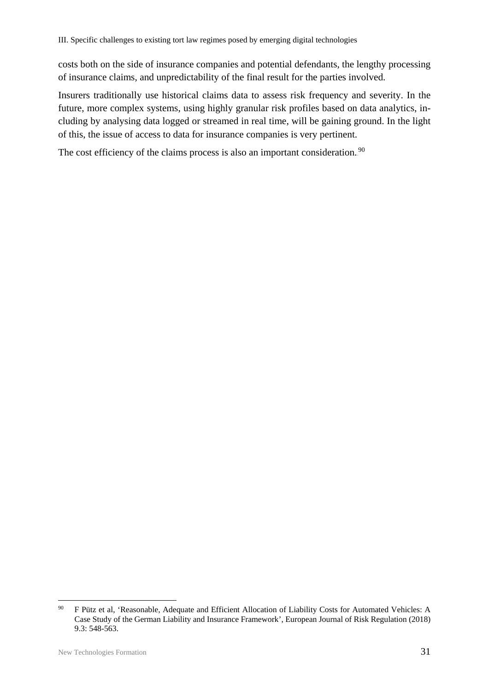costs both on the side of insurance companies and potential defendants, the lengthy processing of insurance claims, and unpredictability of the final result for the parties involved.

Insurers traditionally use historical claims data to assess risk frequency and severity. In the future, more complex systems, using highly granular risk profiles based on data analytics, including by analysing data logged or streamed in real time, will be gaining ground. In the light of this, the issue of access to data for insurance companies is very pertinent.

The cost efficiency of the claims process is also an important consideration.<sup>90</sup>

<sup>&</sup>lt;sup>90</sup> F Pütz et al, 'Reasonable, Adequate and Efficient Allocation of Liability Costs for Automated Vehicles: A Case Study of the German Liability and Insurance Framework', European Journal of Risk Regulation (2018) 9.3: 548-563.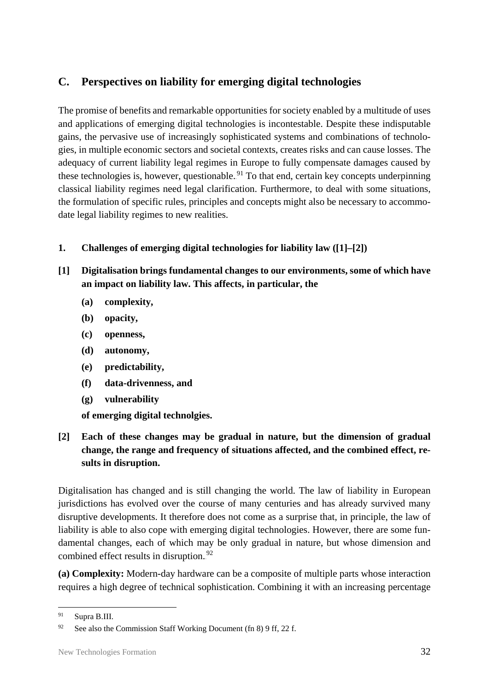# <span id="page-33-0"></span>**C. Perspectives on liability for emerging digital technologies**

The promise of benefits and remarkable opportunities for society enabled by a multitude of uses and applications of emerging digital technologies is incontestable. Despite these indisputable gains, the pervasive use of increasingly sophisticated systems and combinations of technologies, in multiple economic sectors and societal contexts, creates risks and can cause losses. The adequacy of current liability legal regimes in Europe to fully compensate damages caused by these technologies is, however, questionable.<sup>91</sup> To that end, certain key concepts underpinning classical liability regimes need legal clarification. Furthermore, to deal with some situations, the formulation of specific rules, principles and concepts might also be necessary to accommodate legal liability regimes to new realities.

#### <span id="page-33-1"></span>**1. Challenges of emerging digital technologies for liability law ([1]–[2])**

- **[1] Digitalisation brings fundamental changes to our environments, some of which have an impact on liability law. This affects, in particular, the**
	- **(a) complexity,**
	- **(b) opacity,**
	- **(c) openness,**
	- **(d) autonomy,**
	- **(e) predictability,**
	- **(f) data-drivenness, and**
	- **(g) vulnerability**

**of emerging digital technolgies.** 

**[2] Each of these changes may be gradual in nature, but the dimension of gradual change, the range and frequency of situations affected, and the combined effect, results in disruption.**

Digitalisation has changed and is still changing the world. The law of liability in European jurisdictions has evolved over the course of many centuries and has already survived many disruptive developments. It therefore does not come as a surprise that, in principle, the law of liability is able to also cope with emerging digital technologies. However, there are some fundamental changes, each of which may be only gradual in nature, but whose dimension and combined effect results in disruption.<sup>92</sup>

**(a) Complexity:** Modern-day hardware can be a composite of multiple parts whose interaction requires a high degree of technical sophistication. Combining it with an increasing percentage

<sup>91</sup> Supra B.III.

<sup>&</sup>lt;sup>92</sup> See also the Commission Staff Working Document (fn 8) 9 ff, 22 f.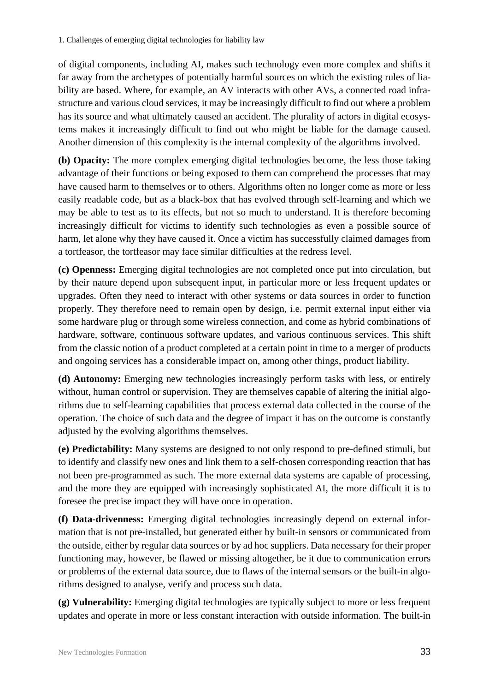of digital components, including AI, makes such technology even more complex and shifts it far away from the archetypes of potentially harmful sources on which the existing rules of liability are based. Where, for example, an AV interacts with other AVs, a connected road infrastructure and various cloud services, it may be increasingly difficult to find out where a problem has its source and what ultimately caused an accident. The plurality of actors in digital ecosystems makes it increasingly difficult to find out who might be liable for the damage caused. Another dimension of this complexity is the internal complexity of the algorithms involved.

**(b) Opacity:** The more complex emerging digital technologies become, the less those taking advantage of their functions or being exposed to them can comprehend the processes that may have caused harm to themselves or to others. Algorithms often no longer come as more or less easily readable code, but as a black-box that has evolved through self-learning and which we may be able to test as to its effects, but not so much to understand. It is therefore becoming increasingly difficult for victims to identify such technologies as even a possible source of harm, let alone why they have caused it. Once a victim has successfully claimed damages from a tortfeasor, the tortfeasor may face similar difficulties at the redress level.

**(c) Openness:** Emerging digital technologies are not completed once put into circulation, but by their nature depend upon subsequent input, in particular more or less frequent updates or upgrades. Often they need to interact with other systems or data sources in order to function properly. They therefore need to remain open by design, i.e. permit external input either via some hardware plug or through some wireless connection, and come as hybrid combinations of hardware, software, continuous software updates, and various continuous services. This shift from the classic notion of a product completed at a certain point in time to a merger of products and ongoing services has a considerable impact on, among other things, product liability.

**(d) Autonomy:** Emerging new technologies increasingly perform tasks with less, or entirely without, human control or supervision. They are themselves capable of altering the initial algorithms due to self-learning capabilities that process external data collected in the course of the operation. The choice of such data and the degree of impact it has on the outcome is constantly adjusted by the evolving algorithms themselves.

**(e) Predictability:** Many systems are designed to not only respond to pre-defined stimuli, but to identify and classify new ones and link them to a self-chosen corresponding reaction that has not been pre-programmed as such. The more external data systems are capable of processing, and the more they are equipped with increasingly sophisticated AI, the more difficult it is to foresee the precise impact they will have once in operation.

**(f) Data-drivenness:** Emerging digital technologies increasingly depend on external information that is not pre-installed, but generated either by built-in sensors or communicated from the outside, either by regular data sources or by ad hoc suppliers. Data necessary for their proper functioning may, however, be flawed or missing altogether, be it due to communication errors or problems of the external data source, due to flaws of the internal sensors or the built-in algorithms designed to analyse, verify and process such data.

**(g) Vulnerability:** Emerging digital technologies are typically subject to more or less frequent updates and operate in more or less constant interaction with outside information. The built-in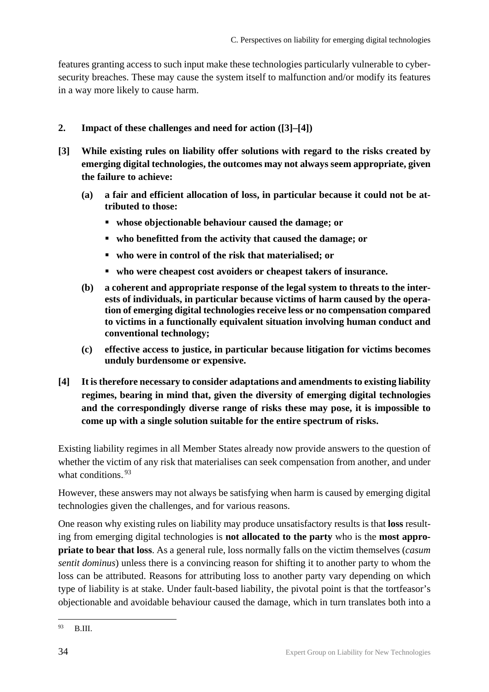features granting access to such input make these technologies particularly vulnerable to cybersecurity breaches. These may cause the system itself to malfunction and/or modify its features in a way more likely to cause harm.

#### <span id="page-35-0"></span>**2. Impact of these challenges and need for action ([3]–[4])**

- **[3] While existing rules on liability offer solutions with regard to the risks created by emerging digital technologies, the outcomes may not always seem appropriate, given the failure to achieve:**
	- **(a) a fair and efficient allocation of loss, in particular because it could not be attributed to those:** 
		- **whose objectionable behaviour caused the damage; or**
		- **who benefitted from the activity that caused the damage; or**
		- **who were in control of the risk that materialised; or**
		- **who were cheapest cost avoiders or cheapest takers of insurance.**
	- **(b) a coherent and appropriate response of the legal system to threats to the interests of individuals, in particular because victims of harm caused by the operation of emerging digital technologies receive less or no compensation compared to victims in a functionally equivalent situation involving human conduct and conventional technology;**
	- **(c) effective access to justice, in particular because litigation for victims becomes unduly burdensome or expensive.**
- **[4] It is therefore necessary to consider adaptations and amendments to existing liability regimes, bearing in mind that, given the diversity of emerging digital technologies and the correspondingly diverse range of risks these may pose, it is impossible to come up with a single solution suitable for the entire spectrum of risks.**

Existing liability regimes in all Member States already now provide answers to the question of whether the victim of any risk that materialises can seek compensation from another, and under what conditions.<sup>93</sup>

However, these answers may not always be satisfying when harm is caused by emerging digital technologies given the challenges, and for various reasons.

One reason why existing rules on liability may produce unsatisfactory results is that **loss** resulting from emerging digital technologies is **not allocated to the party** who is the **most appropriate to bear that loss**. As a general rule, loss normally falls on the victim themselves (*casum sentit dominus*) unless there is a convincing reason for shifting it to another party to whom the loss can be attributed. Reasons for attributing loss to another party vary depending on which type of liability is at stake. Under fault-based liability, the pivotal point is that the tortfeasor's objectionable and avoidable behaviour caused the damage, which in turn translates both into a

<sup>93</sup> B.III.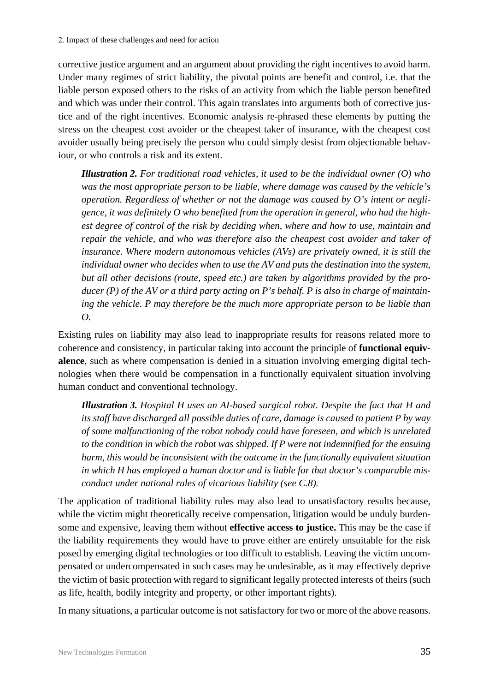corrective justice argument and an argument about providing the right incentives to avoid harm. Under many regimes of strict liability, the pivotal points are benefit and control, i.e. that the liable person exposed others to the risks of an activity from which the liable person benefited and which was under their control. This again translates into arguments both of corrective justice and of the right incentives. Economic analysis re-phrased these elements by putting the stress on the cheapest cost avoider or the cheapest taker of insurance, with the cheapest cost avoider usually being precisely the person who could simply desist from objectionable behaviour, or who controls a risk and its extent.

*Illustration 2. For traditional road vehicles, it used to be the individual owner (O) who was the most appropriate person to be liable, where damage was caused by the vehicle's operation. Regardless of whether or not the damage was caused by O's intent or negligence, it was definitely O who benefited from the operation in general, who had the highest degree of control of the risk by deciding when, where and how to use, maintain and repair the vehicle, and who was therefore also the cheapest cost avoider and taker of insurance. Where modern autonomous vehicles (AVs) are privately owned, it is still the individual owner who decides when to use the AV and puts the destination into the system, but all other decisions (route, speed etc.) are taken by algorithms provided by the producer (P) of the AV or a third party acting on P's behalf. P is also in charge of maintaining the vehicle. P may therefore be the much more appropriate person to be liable than O.*

Existing rules on liability may also lead to inappropriate results for reasons related more to coherence and consistency, in particular taking into account the principle of **functional equivalence**, such as where compensation is denied in a situation involving emerging digital technologies when there would be compensation in a functionally equivalent situation involving human conduct and conventional technology.

*Illustration 3. Hospital H uses an AI-based surgical robot. Despite the fact that H and its staff have discharged all possible duties of care, damage is caused to patient P by way of some malfunctioning of the robot nobody could have foreseen, and which is unrelated to the condition in which the robot was shipped. If P were not indemnified for the ensuing harm, this would be inconsistent with the outcome in the functionally equivalent situation in which H has employed a human doctor and is liable for that doctor's comparable misconduct under national rules of vicarious liability (see C.8).*

The application of traditional liability rules may also lead to unsatisfactory results because, while the victim might theoretically receive compensation, litigation would be unduly burdensome and expensive, leaving them without **effective access to justice.** This may be the case if the liability requirements they would have to prove either are entirely unsuitable for the risk posed by emerging digital technologies or too difficult to establish. Leaving the victim uncompensated or undercompensated in such cases may be undesirable, as it may effectively deprive the victim of basic protection with regard to significant legally protected interests of theirs (such as life, health, bodily integrity and property, or other important rights).

In many situations, a particular outcome is not satisfactory for two or more of the above reasons.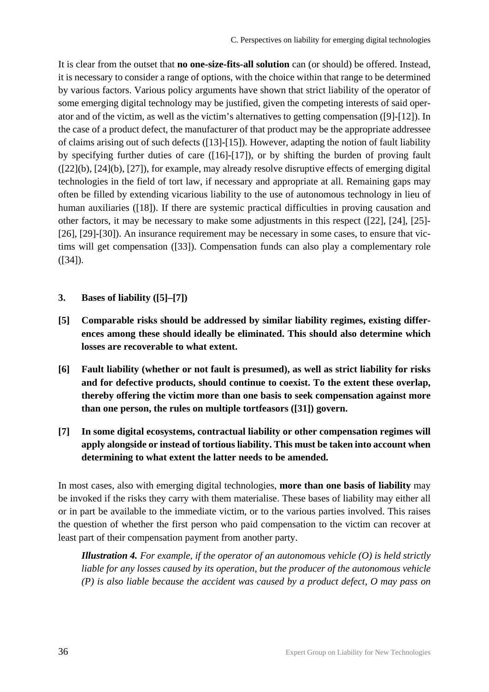It is clear from the outset that **no one-size-fits-all solution** can (or should) be offered. Instead, it is necessary to consider a range of options, with the choice within that range to be determined by various factors. Various policy arguments have shown that strict liability of the operator of some emerging digital technology may be justified, given the competing interests of said operator and of the victim, as well as the victim's alternatives to getting compensation ([9]-[12]). In the case of a product defect, the manufacturer of that product may be the appropriate addressee of claims arising out of such defects ([13]-[15]). However, adapting the notion of fault liability by specifying further duties of care ([16]-[17]), or by shifting the burden of proving fault ([22](b), [24](b), [27]), for example, may already resolve disruptive effects of emerging digital technologies in the field of tort law, if necessary and appropriate at all. Remaining gaps may often be filled by extending vicarious liability to the use of autonomous technology in lieu of human auxiliaries ([18]). If there are systemic practical difficulties in proving causation and other factors, it may be necessary to make some adjustments in this respect ([22], [24], [25]- [26], [29]-[30]). An insurance requirement may be necessary in some cases, to ensure that victims will get compensation ([33]). Compensation funds can also play a complementary role  $(I34)$ .

- <span id="page-37-0"></span>**3. Bases of liability ([5]–[7])**
- **[5] Comparable risks should be addressed by similar liability regimes, existing differences among these should ideally be eliminated. This should also determine which losses are recoverable to what extent.**
- **[6] Fault liability (whether or not fault is presumed), as well as strict liability for risks and for defective products, should continue to coexist. To the extent these overlap, thereby offering the victim more than one basis to seek compensation against more than one person, the rules on multiple tortfeasors ([31]) govern.**
- **[7] In some digital ecosystems, contractual liability or other compensation regimes will apply alongside or instead of tortious liability. This must be taken into account when determining to what extent the latter needs to be amended.**

In most cases, also with emerging digital technologies, **more than one basis of liability** may be invoked if the risks they carry with them materialise. These bases of liability may either all or in part be available to the immediate victim, or to the various parties involved. This raises the question of whether the first person who paid compensation to the victim can recover at least part of their compensation payment from another party.

*Illustration 4. For example, if the operator of an autonomous vehicle (O) is held strictly liable for any losses caused by its operation, but the producer of the autonomous vehicle (P) is also liable because the accident was caused by a product defect, O may pass on*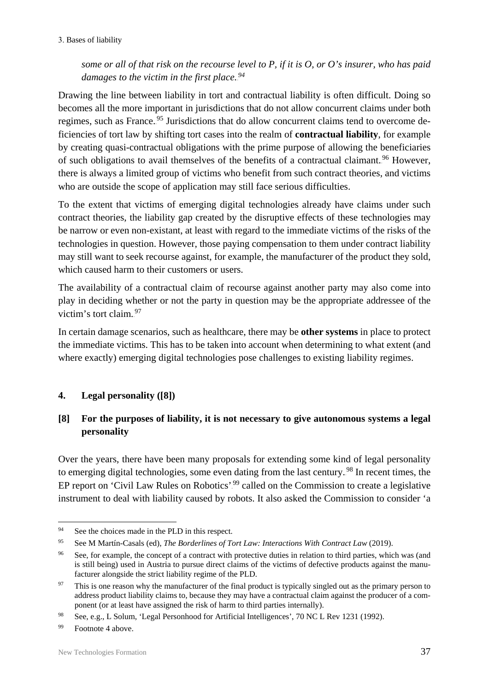*some or all of that risk on the recourse level to P, if it is O, or O's insurer, who has paid*  damages to the victim in the first place.<sup>94</sup>

Drawing the line between liability in tort and contractual liability is often difficult. Doing so becomes all the more important in jurisdictions that do not allow concurrent claims under both regimes, such as France.<sup>95</sup> Jurisdictions that do allow concurrent claims tend to overcome deficiencies of tort law by shifting tort cases into the realm of **contractual liability**, for example by creating quasi-contractual obligations with the prime purpose of allowing the beneficiaries of such obligations to avail themselves of the benefits of a contractual claimant.<sup>96</sup> However, there is always a limited group of victims who benefit from such contract theories, and victims who are outside the scope of application may still face serious difficulties.

To the extent that victims of emerging digital technologies already have claims under such contract theories, the liability gap created by the disruptive effects of these technologies may be narrow or even non-existant, at least with regard to the immediate victims of the risks of the technologies in question. However, those paying compensation to them under contract liability may still want to seek recourse against, for example, the manufacturer of the product they sold, which caused harm to their customers or users.

The availability of a contractual claim of recourse against another party may also come into play in deciding whether or not the party in question may be the appropriate addressee of the victim's tort claim.<sup>97</sup>

In certain damage scenarios, such as healthcare, there may be **other systems** in place to protect the immediate victims. This has to be taken into account when determining to what extent (and where exactly) emerging digital technologies pose challenges to existing liability regimes.

## <span id="page-38-0"></span>**4. Legal personality ([8])**

## **[8] For the purposes of liability, it is not necessary to give autonomous systems a legal personality**

Over the years, there have been many proposals for extending some kind of legal personality to emerging digital technologies, some even dating from the last century.<sup>98</sup> In recent times, the EP report on 'Civil Law Rules on Robotics'.<sup>99</sup> called on the Commission to create a legislative instrument to deal with liability caused by robots. It also asked the Commission to consider 'a

<sup>&</sup>lt;sup>94</sup> See the choices made in the PLD in this respect.

<sup>95</sup> See M Martín-Casals (ed), *The Borderlines of Tort Law: Interactions With Contract Law* (2019).

<sup>&</sup>lt;sup>96</sup> See, for example, the concept of a contract with protective duties in relation to third parties, which was (and is still being) used in Austria to pursue direct claims of the victims of defective products against the manufacturer alongside the strict liability regime of the PLD.

<sup>&</sup>lt;sup>97</sup> This is one reason why the manufacturer of the final product is typically singled out as the primary person to address product liability claims to, because they may have a contractual claim against the producer of a component (or at least have assigned the risk of harm to third parties internally).

<sup>98</sup> See, e.g., L Solum, 'Legal Personhood for Artificial Intelligences', 70 NC L Rev 1231 (1992).

<sup>99</sup> Footnote 4 above.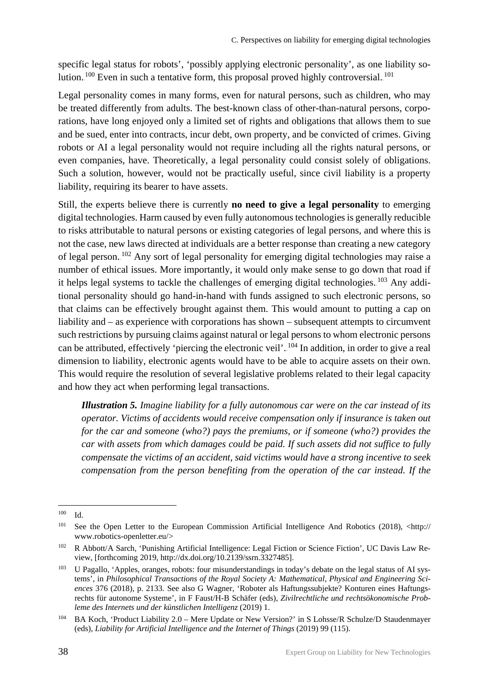specific legal status for robots', 'possibly applying electronic personality', as one liability solution.  $100$  Even in such a tentative form, this proposal proved highly controversial.  $101$ 

Legal personality comes in many forms, even for natural persons, such as children, who may be treated differently from adults. The best-known class of other-than-natural persons, corporations, have long enjoyed only a limited set of rights and obligations that allows them to sue and be sued, enter into contracts, incur debt, own property, and be convicted of crimes. Giving robots or AI a legal personality would not require including all the rights natural persons, or even companies, have. Theoretically, a legal personality could consist solely of obligations. Such a solution, however, would not be practically useful, since civil liability is a property liability, requiring its bearer to have assets.

Still, the experts believe there is currently **no need to give a legal personality** to emerging digital technologies. Harm caused by even fully autonomous technologies is generally reducible to risks attributable to natural persons or existing categories of legal persons, and where this is not the case, new laws directed at individuals are a better response than creating a new category of legal person.<sup>102</sup> Any sort of legal personality for emerging digital technologies may raise a number of ethical issues. More importantly, it would only make sense to go down that road if it helps legal systems to tackle the challenges of emerging digital technologies. <sup>103</sup> Any additional personality should go hand-in-hand with funds assigned to such electronic persons, so that claims can be effectively brought against them. This would amount to putting a cap on liability and – as experience with corporations has shown – subsequent attempts to circumvent such restrictions by pursuing claims against natural or legal persons to whom electronic persons can be attributed, effectively 'piercing the electronic veil'.<sup>104</sup> In addition, in order to give a real dimension to liability, electronic agents would have to be able to acquire assets on their own. This would require the resolution of several legislative problems related to their legal capacity and how they act when performing legal transactions.

*Illustration 5. Imagine liability for a fully autonomous car were on the car instead of its operator. Victims of accidents would receive compensation only if insurance is taken out for the car and someone (who?) pays the premiums, or if someone (who?) provides the car with assets from which damages could be paid. If such assets did not suffice to fully compensate the victims of an accident, said victims would have a strong incentive to seek compensation from the person benefiting from the operation of the car instead. If the* 

<sup>100</sup> Id.

 $101$  See the Open Letter to the European Commission Artificial Intelligence And Robotics (2018),  $\lt$ http:// www.robotics-openletter.eu/>

<sup>102</sup> R Abbott/A Sarch*,* 'Punishing Artificial Intelligence: Legal Fiction or Science Fiction', UC Davis Law Review, [forthcoming 2019, http://dx.doi.org/10.2139/ssrn.3327485].

<sup>&</sup>lt;sup>103</sup> U Pagallo, 'Apples, oranges, robots: four misunderstandings in today's debate on the legal status of AI systems', in *Philosophical Transactions of the Royal Society A: Mathematical, Physical and Engineering Sciences* 376 (2018), p. 2133. See also G Wagner, 'Roboter als Haftungssubjekte? Konturen eines Haftungsrechts für autonome Systeme', in F Faust/H-B Schäfer (eds), *Zivilrechtliche und rechtsökonomische Probleme des Internets und der künstlichen Intelligenz* (2019) 1.

<sup>104</sup> BA Koch, 'Product Liability 2.0 – Mere Update or New Version?' in S Lohsse/R Schulze/D Staudenmayer (eds), *Liability for Artificial Intelligence and the Internet of Things* (2019) 99 (115).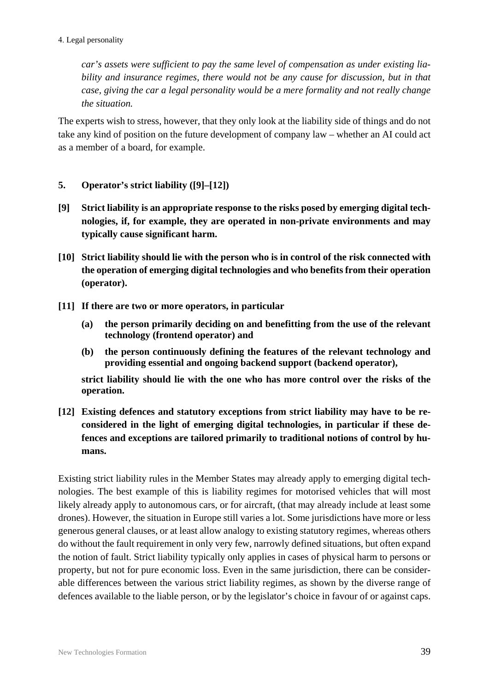*car's assets were sufficient to pay the same level of compensation as under existing liability and insurance regimes, there would not be any cause for discussion, but in that case, giving the car a legal personality would be a mere formality and not really change the situation.* 

The experts wish to stress, however, that they only look at the liability side of things and do not take any kind of position on the future development of company law – whether an AI could act as a member of a board, for example.

- <span id="page-40-0"></span>**5. Operator's strict liability ([9]–[12])**
- **[9] Strict liability is an appropriate response to the risks posed by emerging digital technologies, if, for example, they are operated in non-private environments and may typically cause significant harm.**
- **[10] Strict liability should lie with the person who is in control of the risk connected with the operation of emerging digital technologies and who benefits from their operation (operator).**
- **[11] If there are two or more operators, in particular**
	- **(a) the person primarily deciding on and benefitting from the use of the relevant technology (frontend operator) and**
	- **(b) the person continuously defining the features of the relevant technology and providing essential and ongoing backend support (backend operator),**

**strict liability should lie with the one who has more control over the risks of the operation.** 

**[12] Existing defences and statutory exceptions from strict liability may have to be reconsidered in the light of emerging digital technologies, in particular if these defences and exceptions are tailored primarily to traditional notions of control by humans.**

Existing strict liability rules in the Member States may already apply to emerging digital technologies. The best example of this is liability regimes for motorised vehicles that will most likely already apply to autonomous cars, or for aircraft, (that may already include at least some drones). However, the situation in Europe still varies a lot. Some jurisdictions have more or less generous general clauses, or at least allow analogy to existing statutory regimes, whereas others do without the fault requirement in only very few, narrowly defined situations, but often expand the notion of fault. Strict liability typically only applies in cases of physical harm to persons or property, but not for pure economic loss. Even in the same jurisdiction, there can be considerable differences between the various strict liability regimes, as shown by the diverse range of defences available to the liable person, or by the legislator's choice in favour of or against caps.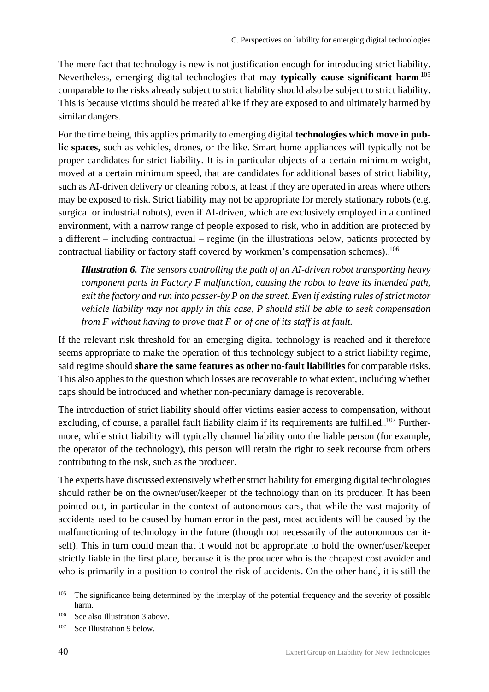The mere fact that technology is new is not justification enough for introducing strict liability. Nevertheless, emerging digital technologies that may typically cause significant harm.<sup>105</sup> comparable to the risks already subject to strict liability should also be subject to strict liability. This is because victims should be treated alike if they are exposed to and ultimately harmed by similar dangers.

For the time being, this applies primarily to emerging digital **technologies which move in public spaces,** such as vehicles, drones, or the like. Smart home appliances will typically not be proper candidates for strict liability. It is in particular objects of a certain minimum weight, moved at a certain minimum speed, that are candidates for additional bases of strict liability, such as AI-driven delivery or cleaning robots, at least if they are operated in areas where others may be exposed to risk. Strict liability may not be appropriate for merely stationary robots (e.g. surgical or industrial robots), even if AI-driven, which are exclusively employed in a confined environment, with a narrow range of people exposed to risk, who in addition are protected by a different – including contractual – regime (in the illustrations below, patients protected by contractual liability or factory staff covered by workmen's compensation schemes).  $^{106}$ 

*Illustration 6. The sensors controlling the path of an AI-driven robot transporting heavy component parts in Factory F malfunction, causing the robot to leave its intended path, exit the factory and run into passer-by P on the street. Even if existing rules of strict motor vehicle liability may not apply in this case, P should still be able to seek compensation from F without having to prove that F or of one of its staff is at fault.* 

If the relevant risk threshold for an emerging digital technology is reached and it therefore seems appropriate to make the operation of this technology subject to a strict liability regime, said regime should **share the same features as other no-fault liabilities** for comparable risks. This also applies to the question which losses are recoverable to what extent, including whether caps should be introduced and whether non-pecuniary damage is recoverable.

The introduction of strict liability should offer victims easier access to compensation, without excluding, of course, a parallel fault liability claim if its requirements are fulfilled. <sup>107</sup> Furthermore, while strict liability will typically channel liability onto the liable person (for example, the operator of the technology), this person will retain the right to seek recourse from others contributing to the risk, such as the producer.

The experts have discussed extensively whether strict liability for emerging digital technologies should rather be on the owner/user/keeper of the technology than on its producer. It has been pointed out, in particular in the context of autonomous cars, that while the vast majority of accidents used to be caused by human error in the past, most accidents will be caused by the malfunctioning of technology in the future (though not necessarily of the autonomous car itself). This in turn could mean that it would not be appropriate to hold the owner/user/keeper strictly liable in the first place, because it is the producer who is the cheapest cost avoider and who is primarily in a position to control the risk of accidents. On the other hand, it is still the

<sup>&</sup>lt;sup>105</sup> The significance being determined by the interplay of the potential frequency and the severity of possible harm.

<sup>106</sup> See also Illustration 3 above.

<sup>107</sup> See Illustration 9 below.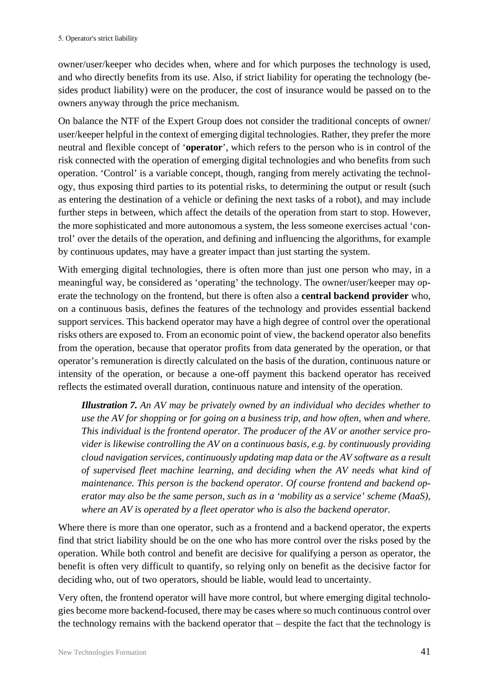owner/user/keeper who decides when, where and for which purposes the technology is used, and who directly benefits from its use. Also, if strict liability for operating the technology (besides product liability) were on the producer, the cost of insurance would be passed on to the owners anyway through the price mechanism.

On balance the NTF of the Expert Group does not consider the traditional concepts of owner/ user/keeper helpful in the context of emerging digital technologies. Rather, they prefer the more neutral and flexible concept of '**operator**', which refers to the person who is in control of the risk connected with the operation of emerging digital technologies and who benefits from such operation. 'Control' is a variable concept, though, ranging from merely activating the technology, thus exposing third parties to its potential risks, to determining the output or result (such as entering the destination of a vehicle or defining the next tasks of a robot), and may include further steps in between, which affect the details of the operation from start to stop. However, the more sophisticated and more autonomous a system, the less someone exercises actual 'control' over the details of the operation, and defining and influencing the algorithms, for example by continuous updates, may have a greater impact than just starting the system.

With emerging digital technologies, there is often more than just one person who may, in a meaningful way, be considered as 'operating' the technology. The owner/user/keeper may operate the technology on the frontend, but there is often also a **central backend provider** who, on a continuous basis, defines the features of the technology and provides essential backend support services. This backend operator may have a high degree of control over the operational risks others are exposed to. From an economic point of view, the backend operator also benefits from the operation, because that operator profits from data generated by the operation, or that operator's remuneration is directly calculated on the basis of the duration, continuous nature or intensity of the operation, or because a one-off payment this backend operator has received reflects the estimated overall duration, continuous nature and intensity of the operation.

*Illustration 7. An AV may be privately owned by an individual who decides whether to use the AV for shopping or for going on a business trip, and how often, when and where. This individual is the frontend operator. The producer of the AV or another service provider is likewise controlling the AV on a continuous basis, e.g. by continuously providing cloud navigation services, continuously updating map data or the AV software as a result of supervised fleet machine learning, and deciding when the AV needs what kind of maintenance. This person is the backend operator. Of course frontend and backend operator may also be the same person, such as in a 'mobility as a service' scheme (MaaS), where an AV is operated by a fleet operator who is also the backend operator.*

Where there is more than one operator, such as a frontend and a backend operator, the experts find that strict liability should be on the one who has more control over the risks posed by the operation. While both control and benefit are decisive for qualifying a person as operator, the benefit is often very difficult to quantify, so relying only on benefit as the decisive factor for deciding who, out of two operators, should be liable, would lead to uncertainty.

Very often, the frontend operator will have more control, but where emerging digital technologies become more backend-focused, there may be cases where so much continuous control over the technology remains with the backend operator that – despite the fact that the technology is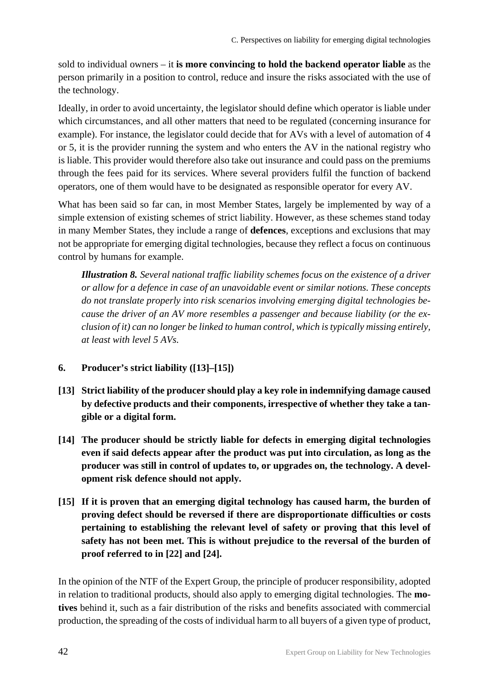sold to individual owners – it **is more convincing to hold the backend operator liable** as the person primarily in a position to control, reduce and insure the risks associated with the use of the technology.

Ideally, in order to avoid uncertainty, the legislator should define which operator is liable under which circumstances, and all other matters that need to be regulated (concerning insurance for example). For instance, the legislator could decide that for AVs with a level of automation of 4 or 5, it is the provider running the system and who enters the AV in the national registry who is liable. This provider would therefore also take out insurance and could pass on the premiums through the fees paid for its services. Where several providers fulfil the function of backend operators, one of them would have to be designated as responsible operator for every AV.

What has been said so far can, in most Member States, largely be implemented by way of a simple extension of existing schemes of strict liability. However, as these schemes stand today in many Member States, they include a range of **defences**, exceptions and exclusions that may not be appropriate for emerging digital technologies, because they reflect a focus on continuous control by humans for example.

*Illustration 8. Several national traffic liability schemes focus on the existence of a driver or allow for a defence in case of an unavoidable event or similar notions. These concepts do not translate properly into risk scenarios involving emerging digital technologies because the driver of an AV more resembles a passenger and because liability (or the exclusion of it) can no longer be linked to human control, which is typically missing entirely, at least with level 5 AVs.*

#### <span id="page-43-0"></span>**6. Producer's strict liability ([13]–[15])**

- **[13] Strict liability of the producer should play a key role in indemnifying damage caused by defective products and their components, irrespective of whether they take a tangible or a digital form.**
- **[14] The producer should be strictly liable for defects in emerging digital technologies even if said defects appear after the product was put into circulation, as long as the producer was still in control of updates to, or upgrades on, the technology. A development risk defence should not apply.**
- **[15] If it is proven that an emerging digital technology has caused harm, the burden of proving defect should be reversed if there are disproportionate difficulties or costs pertaining to establishing the relevant level of safety or proving that this level of safety has not been met. This is without prejudice to the reversal of the burden of proof referred to in [22] and [24].**

In the opinion of the NTF of the Expert Group, the principle of producer responsibility, adopted in relation to traditional products, should also apply to emerging digital technologies. The **motives** behind it, such as a fair distribution of the risks and benefits associated with commercial production, the spreading of the costs of individual harm to all buyers of a given type of product,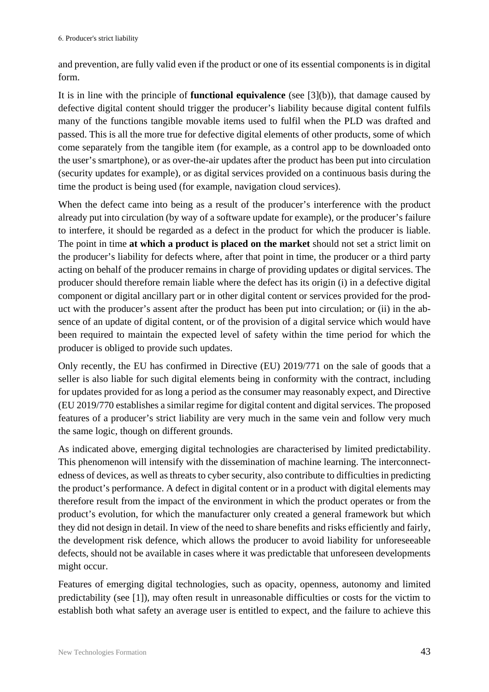and prevention, are fully valid even if the product or one of its essential components is in digital form.

It is in line with the principle of **functional equivalence** (see [3](b)), that damage caused by defective digital content should trigger the producer's liability because digital content fulfils many of the functions tangible movable items used to fulfil when the PLD was drafted and passed. This is all the more true for defective digital elements of other products, some of which come separately from the tangible item (for example, as a control app to be downloaded onto the user's smartphone), or as over-the-air updates after the product has been put into circulation (security updates for example), or as digital services provided on a continuous basis during the time the product is being used (for example, navigation cloud services).

When the defect came into being as a result of the producer's interference with the product already put into circulation (by way of a software update for example), or the producer's failure to interfere, it should be regarded as a defect in the product for which the producer is liable. The point in time **at which a product is placed on the market** should not set a strict limit on the producer's liability for defects where, after that point in time, the producer or a third party acting on behalf of the producer remains in charge of providing updates or digital services. The producer should therefore remain liable where the defect has its origin (i) in a defective digital component or digital ancillary part or in other digital content or services provided for the product with the producer's assent after the product has been put into circulation; or (ii) in the absence of an update of digital content, or of the provision of a digital service which would have been required to maintain the expected level of safety within the time period for which the producer is obliged to provide such updates.

Only recently, the EU has confirmed in Directive (EU) 2019/771 on the sale of goods that a seller is also liable for such digital elements being in conformity with the contract, including for updates provided for as long a period as the consumer may reasonably expect, and Directive (EU 2019/770 establishes a similar regime for digital content and digital services. The proposed features of a producer's strict liability are very much in the same vein and follow very much the same logic, though on different grounds.

As indicated above, emerging digital technologies are characterised by limited predictability. This phenomenon will intensify with the dissemination of machine learning. The interconnectedness of devices, as well as threats to cyber security, also contribute to difficulties in predicting the product's performance. A defect in digital content or in a product with digital elements may therefore result from the impact of the environment in which the product operates or from the product's evolution, for which the manufacturer only created a general framework but which they did not design in detail. In view of the need to share benefits and risks efficiently and fairly, the development risk defence, which allows the producer to avoid liability for unforeseeable defects, should not be available in cases where it was predictable that unforeseen developments might occur.

Features of emerging digital technologies, such as opacity, openness, autonomy and limited predictability (see [1]), may often result in unreasonable difficulties or costs for the victim to establish both what safety an average user is entitled to expect, and the failure to achieve this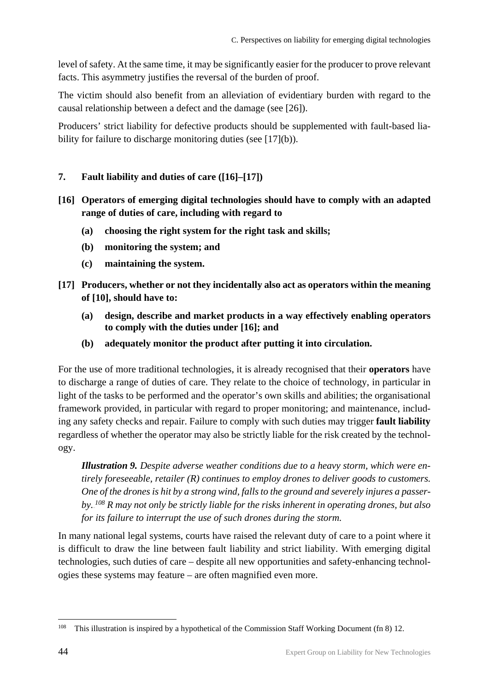level of safety. At the same time, it may be significantly easier for the producer to prove relevant facts. This asymmetry justifies the reversal of the burden of proof.

The victim should also benefit from an alleviation of evidentiary burden with regard to the causal relationship between a defect and the damage (see [26]).

Producers' strict liability for defective products should be supplemented with fault-based liability for failure to discharge monitoring duties (see [17](b)).

#### <span id="page-45-0"></span>**7. Fault liability and duties of care ([16]–[17])**

- **[16] Operators of emerging digital technologies should have to comply with an adapted range of duties of care, including with regard to**
	- **(a) choosing the right system for the right task and skills;**
	- **(b) monitoring the system; and**
	- **(c) maintaining the system.**
- **[17] Producers, whether or not they incidentally also act as operators within the meaning of [10], should have to:** 
	- **(a) design, describe and market products in a way effectively enabling operators to comply with the duties under [16]; and**
	- **(b) adequately monitor the product after putting it into circulation.**

For the use of more traditional technologies, it is already recognised that their **operators** have to discharge a range of duties of care. They relate to the choice of technology, in particular in light of the tasks to be performed and the operator's own skills and abilities; the organisational framework provided, in particular with regard to proper monitoring; and maintenance, including any safety checks and repair. Failure to comply with such duties may trigger **fault liability** regardless of whether the operator may also be strictly liable for the risk created by the technology.

*Illustration 9. Despite adverse weather conditions due to a heavy storm, which were entirely foreseeable, retailer (R) continues to employ drones to deliver goods to customers. One of the drones is hit by a strong wind, falls to the ground and severely injures a passer*by.<sup>108</sup> *R* may not only be strictly liable for the risks inherent in operating drones, but also *for its failure to interrupt the use of such drones during the storm.* 

In many national legal systems, courts have raised the relevant duty of care to a point where it is difficult to draw the line between fault liability and strict liability. With emerging digital technologies, such duties of care – despite all new opportunities and safety-enhancing technologies these systems may feature – are often magnified even more.

<sup>&</sup>lt;sup>108</sup> This illustration is inspired by a hypothetical of the Commission Staff Working Document (fn 8) 12.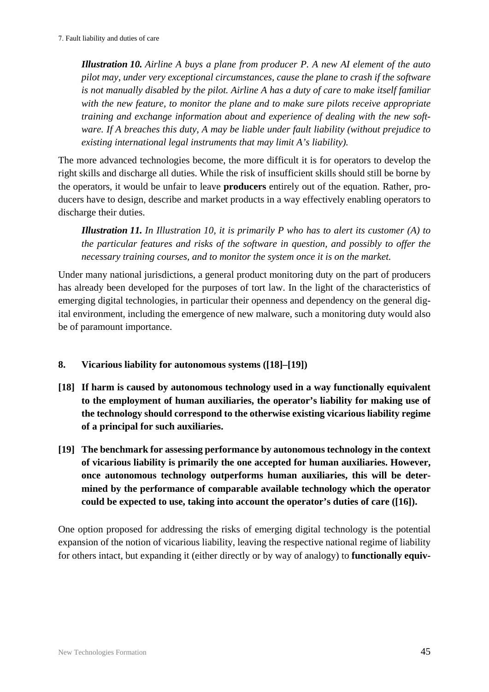*Illustration 10. Airline A buys a plane from producer P. A new AI element of the auto pilot may, under very exceptional circumstances, cause the plane to crash if the software is not manually disabled by the pilot. Airline A has a duty of care to make itself familiar with the new feature, to monitor the plane and to make sure pilots receive appropriate training and exchange information about and experience of dealing with the new software. If A breaches this duty, A may be liable under fault liability (without prejudice to existing international legal instruments that may limit A's liability).*

The more advanced technologies become, the more difficult it is for operators to develop the right skills and discharge all duties. While the risk of insufficient skills should still be borne by the operators, it would be unfair to leave **producers** entirely out of the equation. Rather, producers have to design, describe and market products in a way effectively enabling operators to discharge their duties.

*Illustration 11. In Illustration 10, it is primarily P who has to alert its customer (A) to the particular features and risks of the software in question, and possibly to offer the necessary training courses, and to monitor the system once it is on the market.* 

Under many national jurisdictions, a general product monitoring duty on the part of producers has already been developed for the purposes of tort law. In the light of the characteristics of emerging digital technologies, in particular their openness and dependency on the general digital environment, including the emergence of new malware, such a monitoring duty would also be of paramount importance.

- <span id="page-46-0"></span>**8. Vicarious liability for autonomous systems ([18]–[19])**
- **[18] If harm is caused by autonomous technology used in a way functionally equivalent to the employment of human auxiliaries, the operator's liability for making use of the technology should correspond to the otherwise existing vicarious liability regime of a principal for such auxiliaries.**
- **[19] The benchmark for assessing performance by autonomous technology in the context of vicarious liability is primarily the one accepted for human auxiliaries. However, once autonomous technology outperforms human auxiliaries, this will be determined by the performance of comparable available technology which the operator could be expected to use, taking into account the operator's duties of care ([16]).**

One option proposed for addressing the risks of emerging digital technology is the potential expansion of the notion of vicarious liability, leaving the respective national regime of liability for others intact, but expanding it (either directly or by way of analogy) to **functionally equiv-**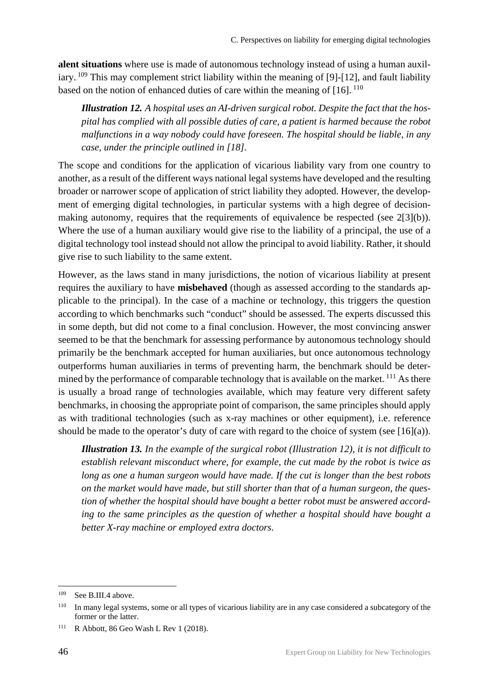**alent situations** where use is made of autonomous technology instead of using a human auxiliary.<sup>109</sup> This may complement strict liability within the meaning of [9]-[12], and fault liability based on the notion of enhanced duties of care within the meaning of  $[16]$ .<sup>110</sup>

*Illustration 12. A hospital uses an AI-driven surgical robot. Despite the fact that the hospital has complied with all possible duties of care, a patient is harmed because the robot malfunctions in a way nobody could have foreseen. The hospital should be liable, in any case, under the principle outlined in [18].* 

The scope and conditions for the application of vicarious liability vary from one country to another, as a result of the different ways national legal systems have developed and the resulting broader or narrower scope of application of strict liability they adopted. However, the development of emerging digital technologies, in particular systems with a high degree of decisionmaking autonomy, requires that the requirements of equivalence be respected (see 2[3](b)). Where the use of a human auxiliary would give rise to the liability of a principal, the use of a digital technology tool instead should not allow the principal to avoid liability. Rather, it should give rise to such liability to the same extent.

However, as the laws stand in many jurisdictions, the notion of vicarious liability at present requires the auxiliary to have **misbehaved** (though as assessed according to the standards applicable to the principal). In the case of a machine or technology, this triggers the question according to which benchmarks such "conduct" should be assessed. The experts discussed this in some depth, but did not come to a final conclusion. However, the most convincing answer seemed to be that the benchmark for assessing performance by autonomous technology should primarily be the benchmark accepted for human auxiliaries, but once autonomous technology outperforms human auxiliaries in terms of preventing harm, the benchmark should be determined by the performance of comparable technology that is available on the market.<sup>111</sup> As there is usually a broad range of technologies available, which may feature very different safety benchmarks, in choosing the appropriate point of comparison, the same principles should apply as with traditional technologies (such as x-ray machines or other equipment), i.e. reference should be made to the operator's duty of care with regard to the choice of system (see [16](a)).

*Illustration 13. In the example of the surgical robot (Illustration 12), it is not difficult to establish relevant misconduct where, for example, the cut made by the robot is twice as long as one a human surgeon would have made. If the cut is longer than the best robots on the market would have made, but still shorter than that of a human surgeon, the question of whether the hospital should have bought a better robot must be answered according to the same principles as the question of whether a hospital should have bought a better X-ray machine or employed extra doctors.* 

<sup>&</sup>lt;sup>109</sup> See B.III.4 above.

<sup>&</sup>lt;sup>110</sup> In many legal systems, some or all types of vicarious liability are in any case considered a subcategory of the former or the latter.

<sup>111</sup> R Abbott*,* 86 Geo Wash L Rev 1 (2018).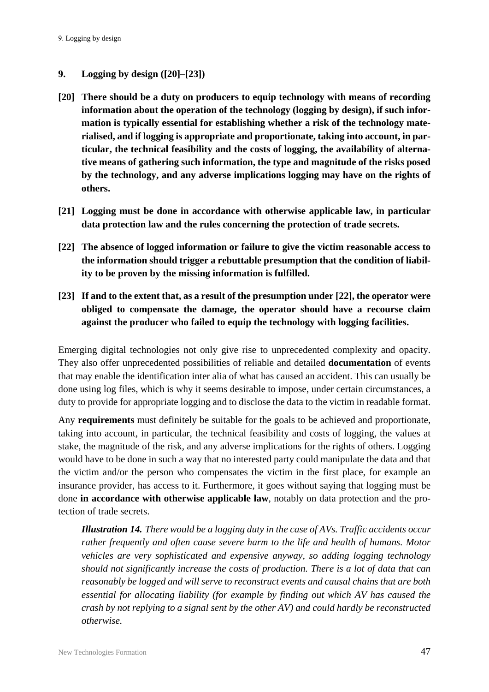#### <span id="page-48-0"></span>**9. Logging by design ([20]–[23])**

- **[20] There should be a duty on producers to equip technology with means of recording information about the operation of the technology (logging by design), if such information is typically essential for establishing whether a risk of the technology materialised, and if logging is appropriate and proportionate, taking into account, in particular, the technical feasibility and the costs of logging, the availability of alternative means of gathering such information, the type and magnitude of the risks posed by the technology, and any adverse implications logging may have on the rights of others.**
- **[21] Logging must be done in accordance with otherwise applicable law, in particular data protection law and the rules concerning the protection of trade secrets.**
- **[22] The absence of logged information or failure to give the victim reasonable access to the information should trigger a rebuttable presumption that the condition of liability to be proven by the missing information is fulfilled.**
- **[23] If and to the extent that, as a result of the presumption under [22], the operator were obliged to compensate the damage, the operator should have a recourse claim against the producer who failed to equip the technology with logging facilities.**

Emerging digital technologies not only give rise to unprecedented complexity and opacity. They also offer unprecedented possibilities of reliable and detailed **documentation** of events that may enable the identification inter alia of what has caused an accident. This can usually be done using log files, which is why it seems desirable to impose, under certain circumstances, a duty to provide for appropriate logging and to disclose the data to the victim in readable format.

Any **requirements** must definitely be suitable for the goals to be achieved and proportionate, taking into account, in particular, the technical feasibility and costs of logging, the values at stake, the magnitude of the risk, and any adverse implications for the rights of others. Logging would have to be done in such a way that no interested party could manipulate the data and that the victim and/or the person who compensates the victim in the first place, for example an insurance provider, has access to it. Furthermore, it goes without saying that logging must be done **in accordance with otherwise applicable law**, notably on data protection and the protection of trade secrets.

*Illustration 14. There would be a logging duty in the case of AVs. Traffic accidents occur rather frequently and often cause severe harm to the life and health of humans. Motor vehicles are very sophisticated and expensive anyway, so adding logging technology should not significantly increase the costs of production. There is a lot of data that can reasonably be logged and will serve to reconstruct events and causal chains that are both essential for allocating liability (for example by finding out which AV has caused the crash by not replying to a signal sent by the other AV) and could hardly be reconstructed otherwise.*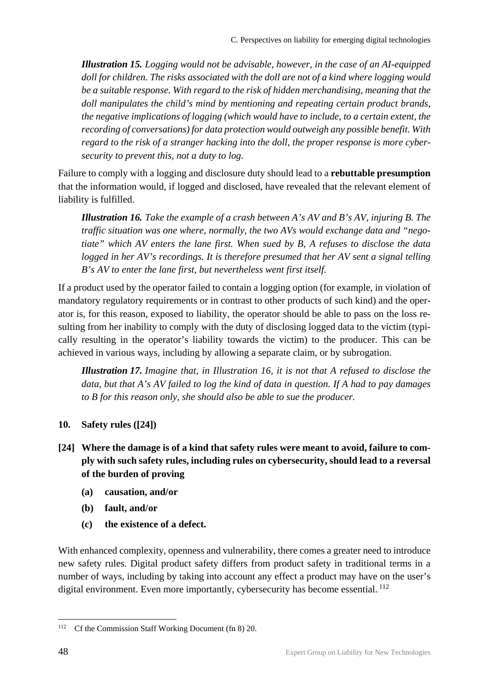*Illustration 15. Logging would not be advisable, however, in the case of an AI-equipped doll for children. The risks associated with the doll are not of a kind where logging would be a suitable response. With regard to the risk of hidden merchandising, meaning that the doll manipulates the child's mind by mentioning and repeating certain product brands, the negative implications of logging (which would have to include, to a certain extent, the recording of conversations) for data protection would outweigh any possible benefit. With regard to the risk of a stranger hacking into the doll, the proper response is more cybersecurity to prevent this, not a duty to log.* 

Failure to comply with a logging and disclosure duty should lead to a **rebuttable presumption** that the information would, if logged and disclosed, have revealed that the relevant element of liability is fulfilled.

*Illustration 16. Take the example of a crash between A's AV and B's AV, injuring B. The traffic situation was one where, normally, the two AVs would exchange data and "negotiate" which AV enters the lane first. When sued by B, A refuses to disclose the data logged in her AV's recordings. It is therefore presumed that her AV sent a signal telling B's AV to enter the lane first, but nevertheless went first itself.*

If a product used by the operator failed to contain a logging option (for example, in violation of mandatory regulatory requirements or in contrast to other products of such kind) and the operator is, for this reason, exposed to liability, the operator should be able to pass on the loss resulting from her inability to comply with the duty of disclosing logged data to the victim (typically resulting in the operator's liability towards the victim) to the producer. This can be achieved in various ways, including by allowing a separate claim, or by subrogation.

*Illustration 17. Imagine that, in Illustration 16, it is not that A refused to disclose the data, but that A's AV failed to log the kind of data in question. If A had to pay damages to B for this reason only, she should also be able to sue the producer.* 

- <span id="page-49-0"></span>**10. Safety rules ([24])**
- **[24] Where the damage is of a kind that safety rules were meant to avoid, failure to comply with such safety rules, including rules on cybersecurity, should lead to a reversal of the burden of proving**
	- **(a) causation, and/or**
	- **(b) fault, and/or**
	- **(c) the existence of a defect.**

With enhanced complexity, openness and vulnerability, there comes a greater need to introduce new safety rules. Digital product safety differs from product safety in traditional terms in a number of ways, including by taking into account any effect a product may have on the user's digital environment. Even more importantly, cybersecurity has become essential.<sup>112</sup>

<sup>&</sup>lt;sup>112</sup> Cf the Commission Staff Working Document (fn 8) 20.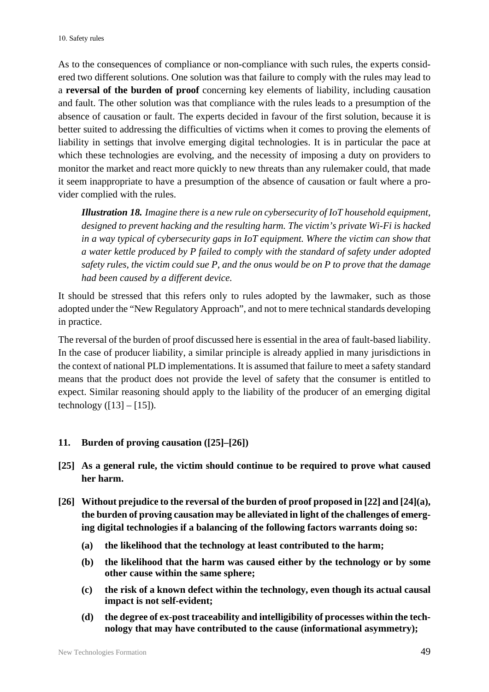As to the consequences of compliance or non-compliance with such rules, the experts considered two different solutions. One solution was that failure to comply with the rules may lead to a **reversal of the burden of proof** concerning key elements of liability, including causation and fault. The other solution was that compliance with the rules leads to a presumption of the absence of causation or fault. The experts decided in favour of the first solution, because it is better suited to addressing the difficulties of victims when it comes to proving the elements of liability in settings that involve emerging digital technologies. It is in particular the pace at which these technologies are evolving, and the necessity of imposing a duty on providers to monitor the market and react more quickly to new threats than any rulemaker could, that made it seem inappropriate to have a presumption of the absence of causation or fault where a provider complied with the rules.

*Illustration 18. Imagine there is a new rule on cybersecurity of IoT household equipment, designed to prevent hacking and the resulting harm. The victim's private Wi-Fi is hacked in a way typical of cybersecurity gaps in IoT equipment. Where the victim can show that a water kettle produced by P failed to comply with the standard of safety under adopted safety rules, the victim could sue P, and the onus would be on P to prove that the damage had been caused by a different device.* 

It should be stressed that this refers only to rules adopted by the lawmaker, such as those adopted under the "New Regulatory Approach", and not to mere technical standards developing in practice.

The reversal of the burden of proof discussed here is essential in the area of fault-based liability. In the case of producer liability, a similar principle is already applied in many jurisdictions in the context of national PLD implementations. It is assumed that failure to meet a safety standard means that the product does not provide the level of safety that the consumer is entitled to expect. Similar reasoning should apply to the liability of the producer of an emerging digital technology  $([13] - [15])$ .

#### <span id="page-50-0"></span>**11. Burden of proving causation ([25]–[26])**

- **[25] As a general rule, the victim should continue to be required to prove what caused her harm.**
- **[26] Without prejudice to the reversal of the burden of proof proposed in [22] and [24](a), the burden of proving causation may be alleviated in light of the challenges of emerging digital technologies if a balancing of the following factors warrants doing so:** 
	- **(a) the likelihood that the technology at least contributed to the harm;**
	- **(b) the likelihood that the harm was caused either by the technology or by some other cause within the same sphere;**
	- **(c) the risk of a known defect within the technology, even though its actual causal impact is not self-evident;**
	- **(d) the degree of ex-post traceability and intelligibility of processes within the technology that may have contributed to the cause (informational asymmetry);**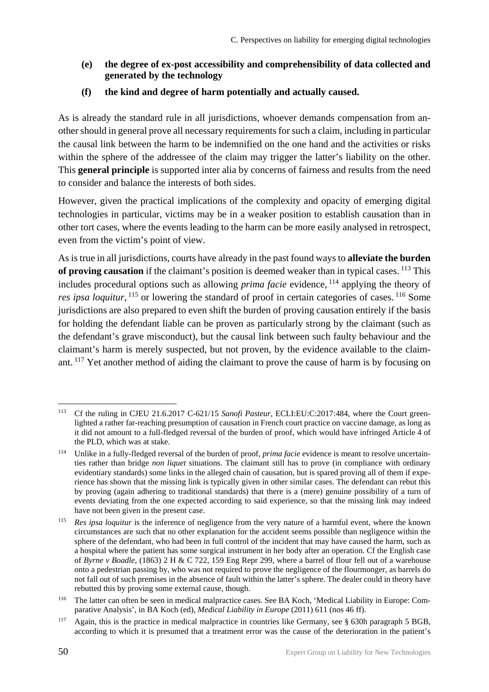- **(e) the degree of ex-post accessibility and comprehensibility of data collected and generated by the technology**
- **(f) the kind and degree of harm potentially and actually caused.**

As is already the standard rule in all jurisdictions, whoever demands compensation from another should in general prove all necessary requirements for such a claim, including in particular the causal link between the harm to be indemnified on the one hand and the activities or risks within the sphere of the addressee of the claim may trigger the latter's liability on the other. This **general principle** is supported inter alia by concerns of fairness and results from the need to consider and balance the interests of both sides.

However, given the practical implications of the complexity and opacity of emerging digital technologies in particular, victims may be in a weaker position to establish causation than in other tort cases, where the events leading to the harm can be more easily analysed in retrospect, even from the victim's point of view.

As is true in all jurisdictions, courts have already in the past found ways to **alleviate the burden**  of proving causation if the claimant's position is deemed weaker than in typical cases.<sup>113</sup> This includes procedural options such as allowing *prima facie* evidence, <sup>114</sup> applying the theory of res ipsa loquitur, <sup>115</sup> or lowering the standard of proof in certain categories of cases. <sup>116</sup> Some jurisdictions are also prepared to even shift the burden of proving causation entirely if the basis for holding the defendant liable can be proven as particularly strong by the claimant (such as the defendant's grave misconduct), but the causal link between such faulty behaviour and the claimant's harm is merely suspected, but not proven, by the evidence available to the claimant.<sup>117</sup> Yet another method of aiding the claimant to prove the cause of harm is by focusing on

<sup>113</sup> Cf the ruling in CJEU 21.6.2017 C-621/15 *Sanofi Pasteur*, ECLI:EU:C:2017:484, where the Court greenlighted a rather far-reaching presumption of causation in French court practice on vaccine damage, as long as it did not amount to a full-fledged reversal of the burden of proof, which would have infringed Article 4 of the PLD, which was at stake.

<sup>114</sup> Unlike in a fully-fledged reversal of the burden of proof, *prima facie* evidence is meant to resolve uncertainties rather than bridge *non liquet* situations. The claimant still has to prove (in compliance with ordinary evidentiary standards) some links in the alleged chain of causation, but is spared proving all of them if experience has shown that the missing link is typically given in other similar cases. The defendant can rebut this by proving (again adhering to traditional standards) that there is a (mere) genuine possibility of a turn of events deviating from the one expected according to said experience, so that the missing link may indeed have not been given in the present case.

<sup>115</sup>*Res ipsa loquitur* is the inference of negligence from the very nature of a harmful event, where the known circumstances are such that no other explanation for the accident seems possible than negligence within the sphere of the defendant, who had been in full control of the incident that may have caused the harm, such as a hospital where the patient has some surgical instrument in her body after an operation. Cf the English case of *Byrne v Boadle*, (1863) 2 H & C 722, 159 Eng Repr 299, where a barrel of flour fell out of a warehouse onto a pedestrian passing by, who was not required to prove the negligence of the flourmonger, as barrels do not fall out of such premises in the absence of fault within the latter's sphere. The dealer could in theory have rebutted this by proving some external cause, though.

<sup>116</sup> The latter can often be seen in medical malpractice cases. See BA Koch, 'Medical Liability in Europe: Comparative Analysis', in BA Koch (ed), *Medical Liability in Europe* (2011) 611 (nos 46 ff).

<sup>117</sup> Again, this is the practice in medical malpractice in countries like Germany, see § 630h paragraph 5 BGB, according to which it is presumed that a treatment error was the cause of the deterioration in the patient's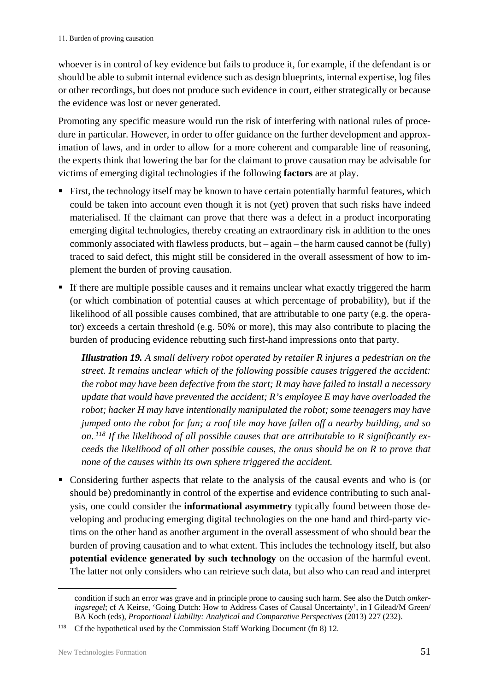whoever is in control of key evidence but fails to produce it, for example, if the defendant is or should be able to submit internal evidence such as design blueprints, internal expertise, log files or other recordings, but does not produce such evidence in court, either strategically or because the evidence was lost or never generated.

Promoting any specific measure would run the risk of interfering with national rules of procedure in particular. However, in order to offer guidance on the further development and approximation of laws, and in order to allow for a more coherent and comparable line of reasoning, the experts think that lowering the bar for the claimant to prove causation may be advisable for victims of emerging digital technologies if the following **factors** are at play.

- First, the technology itself may be known to have certain potentially harmful features, which could be taken into account even though it is not (yet) proven that such risks have indeed materialised. If the claimant can prove that there was a defect in a product incorporating emerging digital technologies, thereby creating an extraordinary risk in addition to the ones commonly associated with flawless products, but – again – the harm caused cannot be (fully) traced to said defect, this might still be considered in the overall assessment of how to implement the burden of proving causation.
- If there are multiple possible causes and it remains unclear what exactly triggered the harm (or which combination of potential causes at which percentage of probability), but if the likelihood of all possible causes combined, that are attributable to one party (e.g. the operator) exceeds a certain threshold (e.g. 50% or more), this may also contribute to placing the burden of producing evidence rebutting such first-hand impressions onto that party.

*Illustration 19. A small delivery robot operated by retailer R injures a pedestrian on the street. It remains unclear which of the following possible causes triggered the accident: the robot may have been defective from the start; R may have failed to install a necessary update that would have prevented the accident; R's employee E may have overloaded the robot; hacker H may have intentionally manipulated the robot; some teenagers may have jumped onto the robot for fun; a roof tile may have fallen off a nearby building, and so on.*<sup>118</sup> If the likelihood of all possible causes that are attributable to R significantly ex*ceeds the likelihood of all other possible causes, the onus should be on R to prove that none of the causes within its own sphere triggered the accident.* 

 Considering further aspects that relate to the analysis of the causal events and who is (or should be) predominantly in control of the expertise and evidence contributing to such analysis, one could consider the **informational asymmetry** typically found between those developing and producing emerging digital technologies on the one hand and third-party victims on the other hand as another argument in the overall assessment of who should bear the burden of proving causation and to what extent. This includes the technology itself, but also **potential evidence generated by such technology** on the occasion of the harmful event. The latter not only considers who can retrieve such data, but also who can read and interpret

condition if such an error was grave and in principle prone to causing such harm. See also the Dutch *omkeringsregel*; cf A Keirse, 'Going Dutch: How to Address Cases of Causal Uncertainty', in I Gilead/M Green/ BA Koch (eds), *Proportional Liability: Analytical and Comparative Perspectives* (2013) 227 (232).

<sup>&</sup>lt;sup>118</sup> Cf the hypothetical used by the Commission Staff Working Document (fn 8) 12.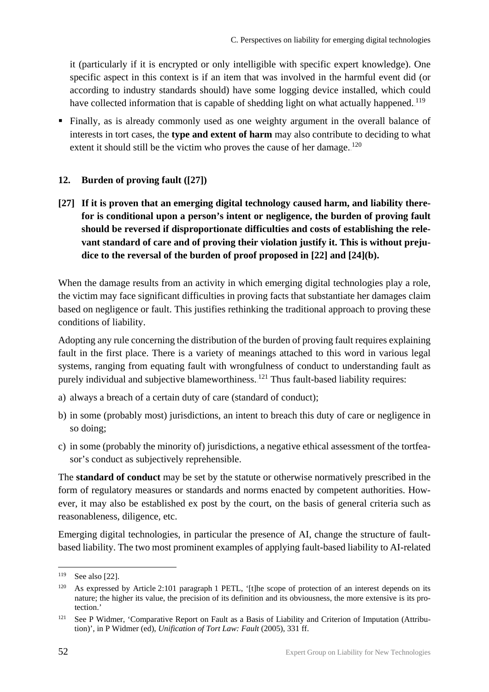it (particularly if it is encrypted or only intelligible with specific expert knowledge). One specific aspect in this context is if an item that was involved in the harmful event did (or according to industry standards should) have some logging device installed, which could have collected information that is capable of shedding light on what actually happened. <sup>119</sup>

 Finally, as is already commonly used as one weighty argument in the overall balance of interests in tort cases, the **type and extent of harm** may also contribute to deciding to what extent it should still be the victim who proves the cause of her damage. $120$ 

### <span id="page-53-0"></span>**12. Burden of proving fault ([27])**

**[27] If it is proven that an emerging digital technology caused harm, and liability therefor is conditional upon a person's intent or negligence, the burden of proving fault should be reversed if disproportionate difficulties and costs of establishing the relevant standard of care and of proving their violation justify it. This is without prejudice to the reversal of the burden of proof proposed in [22] and [24](b).**

When the damage results from an activity in which emerging digital technologies play a role, the victim may face significant difficulties in proving facts that substantiate her damages claim based on negligence or fault. This justifies rethinking the traditional approach to proving these conditions of liability.

Adopting any rule concerning the distribution of the burden of proving fault requires explaining fault in the first place. There is a variety of meanings attached to this word in various legal systems, ranging from equating fault with wrongfulness of conduct to understanding fault as purely individual and subjective blameworthiness. <sup>121</sup> Thus fault-based liability requires:

- a) always a breach of a certain duty of care (standard of conduct);
- b) in some (probably most) jurisdictions, an intent to breach this duty of care or negligence in so doing;
- c) in some (probably the minority of) jurisdictions, a negative ethical assessment of the tortfeasor's conduct as subjectively reprehensible.

The **standard of conduct** may be set by the statute or otherwise normatively prescribed in the form of regulatory measures or standards and norms enacted by competent authorities. However, it may also be established ex post by the court, on the basis of general criteria such as reasonableness, diligence, etc.

Emerging digital technologies, in particular the presence of AI, change the structure of faultbased liability. The two most prominent examples of applying fault-based liability to AI-related

<sup>119</sup> See also [22].

<sup>&</sup>lt;sup>120</sup> As expressed by Article 2:101 paragraph 1 PETL, '[t]he scope of protection of an interest depends on its nature; the higher its value, the precision of its definition and its obviousness, the more extensive is its protection.'

<sup>&</sup>lt;sup>121</sup> See P Widmer, 'Comparative Report on Fault as a Basis of Liability and Criterion of Imputation (Attribution)', in P Widmer (ed), *Unification of Tort Law: Fault* (2005), 331 ff.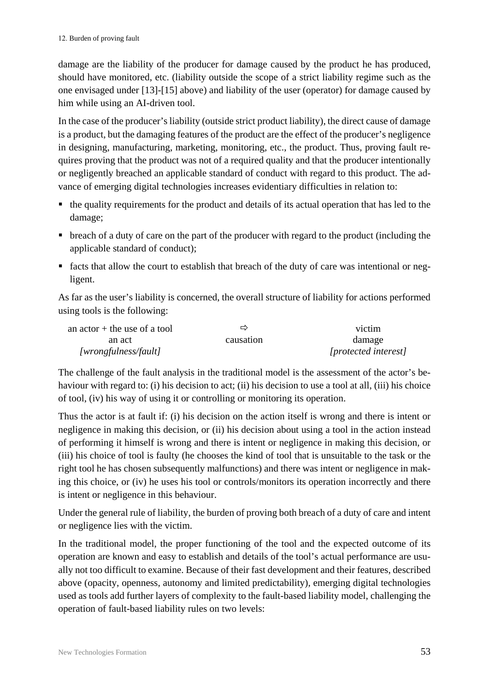damage are the liability of the producer for damage caused by the product he has produced, should have monitored, etc. (liability outside the scope of a strict liability regime such as the one envisaged under [13]-[15] above) and liability of the user (operator) for damage caused by him while using an AI-driven tool.

In the case of the producer's liability (outside strict product liability), the direct cause of damage is a product, but the damaging features of the product are the effect of the producer's negligence in designing, manufacturing, marketing, monitoring, etc., the product. Thus, proving fault requires proving that the product was not of a required quality and that the producer intentionally or negligently breached an applicable standard of conduct with regard to this product. The advance of emerging digital technologies increases evidentiary difficulties in relation to:

- the quality requirements for the product and details of its actual operation that has led to the damage;
- breach of a duty of care on the part of the producer with regard to the product (including the applicable standard of conduct);
- facts that allow the court to establish that breach of the duty of care was intentional or negligent.

As far as the user's liability is concerned, the overall structure of liability for actions performed using tools is the following:

| an actor $+$ the use of a tool | ⇨         | victim               |
|--------------------------------|-----------|----------------------|
| an act                         | causation | damage               |
| [wrongfulness/fault]           |           | [protected interest] |

The challenge of the fault analysis in the traditional model is the assessment of the actor's behaviour with regard to: (i) his decision to act; (ii) his decision to use a tool at all, (iii) his choice of tool, (iv) his way of using it or controlling or monitoring its operation.

Thus the actor is at fault if: (i) his decision on the action itself is wrong and there is intent or negligence in making this decision, or (ii) his decision about using a tool in the action instead of performing it himself is wrong and there is intent or negligence in making this decision, or (iii) his choice of tool is faulty (he chooses the kind of tool that is unsuitable to the task or the right tool he has chosen subsequently malfunctions) and there was intent or negligence in making this choice, or (iv) he uses his tool or controls/monitors its operation incorrectly and there is intent or negligence in this behaviour.

Under the general rule of liability, the burden of proving both breach of a duty of care and intent or negligence lies with the victim.

In the traditional model, the proper functioning of the tool and the expected outcome of its operation are known and easy to establish and details of the tool's actual performance are usually not too difficult to examine. Because of their fast development and their features, described above (opacity, openness, autonomy and limited predictability), emerging digital technologies used as tools add further layers of complexity to the fault-based liability model, challenging the operation of fault-based liability rules on two levels: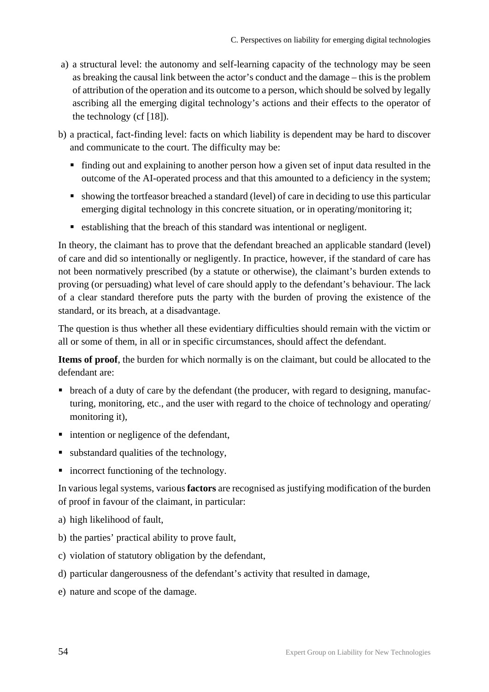- a) a structural level: the autonomy and self-learning capacity of the technology may be seen as breaking the causal link between the actor's conduct and the damage – this is the problem of attribution of the operation and its outcome to a person, which should be solved by legally ascribing all the emerging digital technology's actions and their effects to the operator of the technology (cf [18]).
- b) a practical, fact-finding level: facts on which liability is dependent may be hard to discover and communicate to the court. The difficulty may be:
	- finding out and explaining to another person how a given set of input data resulted in the outcome of the AI-operated process and that this amounted to a deficiency in the system;
	- showing the tortfeasor breached a standard (level) of care in deciding to use this particular emerging digital technology in this concrete situation, or in operating/monitoring it;
	- establishing that the breach of this standard was intentional or negligent.

In theory, the claimant has to prove that the defendant breached an applicable standard (level) of care and did so intentionally or negligently. In practice, however, if the standard of care has not been normatively prescribed (by a statute or otherwise), the claimant's burden extends to proving (or persuading) what level of care should apply to the defendant's behaviour. The lack of a clear standard therefore puts the party with the burden of proving the existence of the standard, or its breach, at a disadvantage.

The question is thus whether all these evidentiary difficulties should remain with the victim or all or some of them, in all or in specific circumstances, should affect the defendant.

**Items of proof**, the burden for which normally is on the claimant, but could be allocated to the defendant are:

- breach of a duty of care by the defendant (the producer, with regard to designing, manufacturing, monitoring, etc., and the user with regard to the choice of technology and operating/ monitoring it),
- intention or negligence of the defendant,
- substandard qualities of the technology,
- incorrect functioning of the technology.

In various legal systems, various **factors** are recognised as justifying modification of the burden of proof in favour of the claimant, in particular:

- a) high likelihood of fault,
- b) the parties' practical ability to prove fault,
- c) violation of statutory obligation by the defendant,
- d) particular dangerousness of the defendant's activity that resulted in damage,
- e) nature and scope of the damage.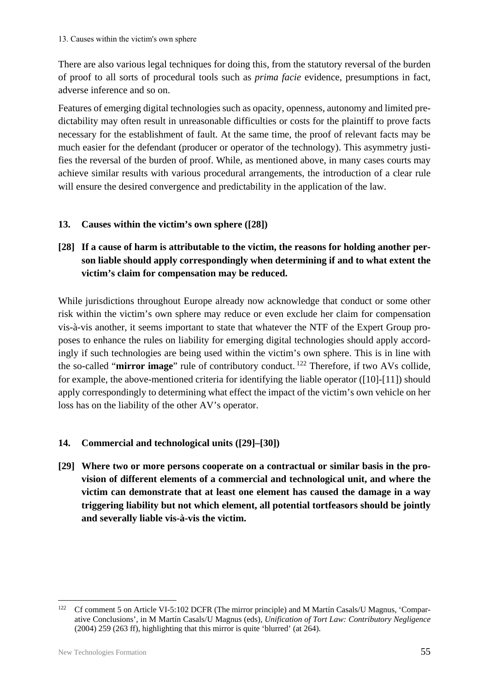There are also various legal techniques for doing this, from the statutory reversal of the burden of proof to all sorts of procedural tools such as *prima facie* evidence, presumptions in fact, adverse inference and so on.

Features of emerging digital technologies such as opacity, openness, autonomy and limited predictability may often result in unreasonable difficulties or costs for the plaintiff to prove facts necessary for the establishment of fault. At the same time, the proof of relevant facts may be much easier for the defendant (producer or operator of the technology). This asymmetry justifies the reversal of the burden of proof. While, as mentioned above, in many cases courts may achieve similar results with various procedural arrangements, the introduction of a clear rule will ensure the desired convergence and predictability in the application of the law.

#### <span id="page-56-0"></span>**13. Causes within the victim's own sphere ([28])**

## **[28] If a cause of harm is attributable to the victim, the reasons for holding another person liable should apply correspondingly when determining if and to what extent the victim's claim for compensation may be reduced.**

While jurisdictions throughout Europe already now acknowledge that conduct or some other risk within the victim's own sphere may reduce or even exclude her claim for compensation vis-à-vis another, it seems important to state that whatever the NTF of the Expert Group proposes to enhance the rules on liability for emerging digital technologies should apply accordingly if such technologies are being used within the victim's own sphere. This is in line with the so-called "**mirror image**" rule of contributory conduct.<sup>122</sup> Therefore, if two AVs collide, for example, the above-mentioned criteria for identifying the liable operator ([10]-[11]) should apply correspondingly to determining what effect the impact of the victim's own vehicle on her loss has on the liability of the other AV's operator.

#### <span id="page-56-1"></span>**14. Commercial and technological units ([29]–[30])**

**[29] Where two or more persons cooperate on a contractual or similar basis in the provision of different elements of a commercial and technological unit, and where the victim can demonstrate that at least one element has caused the damage in a way triggering liability but not which element, all potential tortfeasors should be jointly and severally liable vis-à-vis the victim.**

<sup>&</sup>lt;sup>122</sup> Cf comment 5 on Article VI-5:102 DCFR (The mirror principle) and M Martín Casals/U Magnus, 'Comparative Conclusions', in M Martín Casals/U Magnus (eds), *Unification of Tort Law: Contributory Negligence* (2004) 259 (263 ff), highlighting that this mirror is quite 'blurred' (at 264).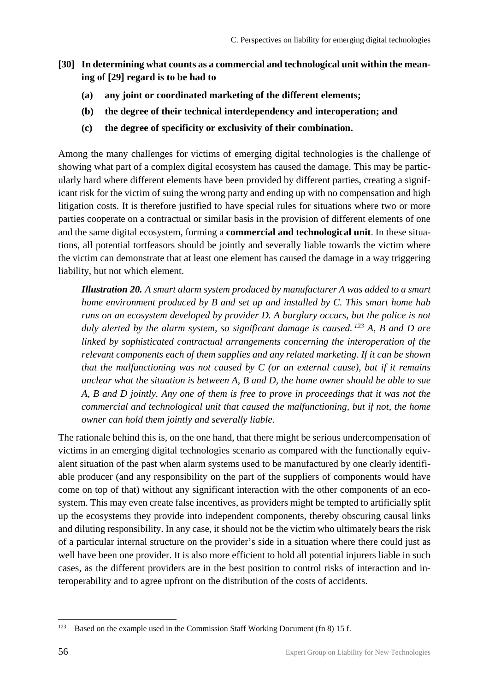- **[30] In determining what counts as a commercial and technological unit within the meaning of [29] regard is to be had to**
	- **(a) any joint or coordinated marketing of the different elements;**
	- **(b) the degree of their technical interdependency and interoperation; and**
	- **(c) the degree of specificity or exclusivity of their combination.**

Among the many challenges for victims of emerging digital technologies is the challenge of showing what part of a complex digital ecosystem has caused the damage. This may be particularly hard where different elements have been provided by different parties, creating a significant risk for the victim of suing the wrong party and ending up with no compensation and high litigation costs. It is therefore justified to have special rules for situations where two or more parties cooperate on a contractual or similar basis in the provision of different elements of one and the same digital ecosystem, forming a **commercial and technological unit**. In these situations, all potential tortfeasors should be jointly and severally liable towards the victim where the victim can demonstrate that at least one element has caused the damage in a way triggering liability, but not which element.

*Illustration 20. A smart alarm system produced by manufacturer A was added to a smart home environment produced by B and set up and installed by C. This smart home hub runs on an ecosystem developed by provider D. A burglary occurs, but the police is not*  duly alerted by the alarm system, so significant damage is caused.<sup>123</sup> A, B and D are *linked by sophisticated contractual arrangements concerning the interoperation of the relevant components each of them supplies and any related marketing. If it can be shown that the malfunctioning was not caused by C (or an external cause), but if it remains unclear what the situation is between A, B and D, the home owner should be able to sue A, B and D jointly. Any one of them is free to prove in proceedings that it was not the commercial and technological unit that caused the malfunctioning, but if not, the home owner can hold them jointly and severally liable.* 

The rationale behind this is, on the one hand, that there might be serious undercompensation of victims in an emerging digital technologies scenario as compared with the functionally equivalent situation of the past when alarm systems used to be manufactured by one clearly identifiable producer (and any responsibility on the part of the suppliers of components would have come on top of that) without any significant interaction with the other components of an ecosystem. This may even create false incentives, as providers might be tempted to artificially split up the ecosystems they provide into independent components, thereby obscuring causal links and diluting responsibility. In any case, it should not be the victim who ultimately bears the risk of a particular internal structure on the provider's side in a situation where there could just as well have been one provider. It is also more efficient to hold all potential injurers liable in such cases, as the different providers are in the best position to control risks of interaction and interoperability and to agree upfront on the distribution of the costs of accidents.

<sup>&</sup>lt;sup>123</sup> Based on the example used in the Commission Staff Working Document (fn 8) 15 f.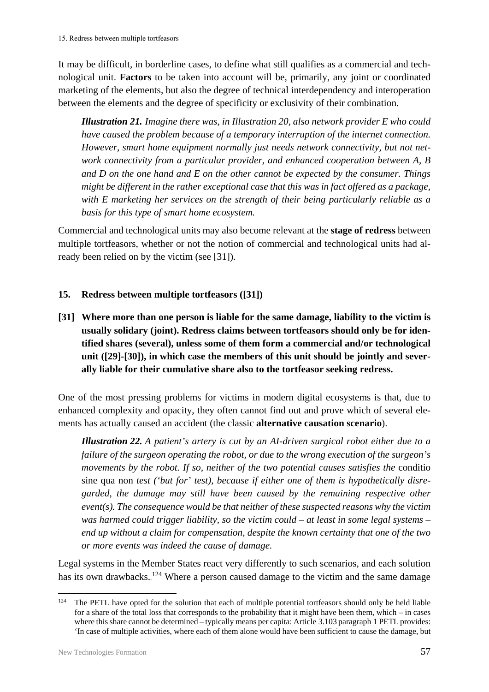It may be difficult, in borderline cases, to define what still qualifies as a commercial and technological unit. **Factors** to be taken into account will be, primarily, any joint or coordinated marketing of the elements, but also the degree of technical interdependency and interoperation between the elements and the degree of specificity or exclusivity of their combination.

*Illustration 21. Imagine there was, in Illustration 20, also network provider E who could have caused the problem because of a temporary interruption of the internet connection. However, smart home equipment normally just needs network connectivity, but not network connectivity from a particular provider, and enhanced cooperation between A, B and D on the one hand and E on the other cannot be expected by the consumer. Things might be different in the rather exceptional case that this was in fact offered as a package, with E marketing her services on the strength of their being particularly reliable as a basis for this type of smart home ecosystem.*

Commercial and technological units may also become relevant at the **stage of redress** between multiple tortfeasors, whether or not the notion of commercial and technological units had already been relied on by the victim (see [31]).

#### <span id="page-58-0"></span>**15. Redress between multiple tortfeasors ([31])**

**[31] Where more than one person is liable for the same damage, liability to the victim is usually solidary (joint). Redress claims between tortfeasors should only be for identified shares (several), unless some of them form a commercial and/or technological unit ([29]-[30]), in which case the members of this unit should be jointly and severally liable for their cumulative share also to the tortfeasor seeking redress.**

One of the most pressing problems for victims in modern digital ecosystems is that, due to enhanced complexity and opacity, they often cannot find out and prove which of several elements has actually caused an accident (the classic **alternative causation scenario**).

*Illustration 22. A patient's artery is cut by an AI-driven surgical robot either due to a failure of the surgeon operating the robot, or due to the wrong execution of the surgeon's movements by the robot. If so, neither of the two potential causes satisfies the* conditio sine qua non *test ('but for' test), because if either one of them is hypothetically disregarded, the damage may still have been caused by the remaining respective other event(s). The consequence would be that neither of these suspected reasons why the victim was harmed could trigger liability, so the victim could – at least in some legal systems – end up without a claim for compensation, despite the known certainty that one of the two or more events was indeed the cause of damage.* 

Legal systems in the Member States react very differently to such scenarios, and each solution has its own drawbacks.<sup>124</sup> Where a person caused damage to the victim and the same damage

<sup>&</sup>lt;sup>124</sup> The PETL have opted for the solution that each of multiple potential tortfeasors should only be held liable for a share of the total loss that corresponds to the probability that it might have been them, which – in cases where this share cannot be determined – typically means per capita: Article 3.103 paragraph 1 PETL provides: 'In case of multiple activities, where each of them alone would have been sufficient to cause the damage, but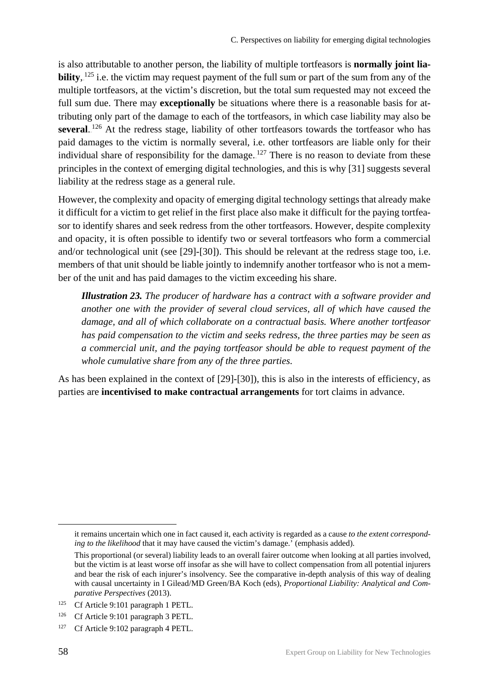is also attributable to another person, the liability of multiple tortfeasors is **normally joint liability**,  $125$  i.e. the victim may request payment of the full sum or part of the sum from any of the multiple tortfeasors, at the victim's discretion, but the total sum requested may not exceed the full sum due. There may **exceptionally** be situations where there is a reasonable basis for attributing only part of the damage to each of the tortfeasors, in which case liability may also be several.<sup>126</sup> At the redress stage, liability of other tortfeasors towards the tortfeasor who has paid damages to the victim is normally several, i.e. other tortfeasors are liable only for their individual share of responsibility for the damage.<sup>127</sup> There is no reason to deviate from these principles in the context of emerging digital technologies, and this is why [31] suggests several liability at the redress stage as a general rule.

However, the complexity and opacity of emerging digital technology settings that already make it difficult for a victim to get relief in the first place also make it difficult for the paying tortfeasor to identify shares and seek redress from the other tortfeasors. However, despite complexity and opacity, it is often possible to identify two or several tortfeasors who form a commercial and/or technological unit (see [29]-[30]). This should be relevant at the redress stage too, i.e. members of that unit should be liable jointly to indemnify another tortfeasor who is not a member of the unit and has paid damages to the victim exceeding his share.

*Illustration 23. The producer of hardware has a contract with a software provider and another one with the provider of several cloud services, all of which have caused the damage, and all of which collaborate on a contractual basis. Where another tortfeasor has paid compensation to the victim and seeks redress, the three parties may be seen as a commercial unit, and the paying tortfeasor should be able to request payment of the whole cumulative share from any of the three parties.*

As has been explained in the context of [29]-[30]), this is also in the interests of efficiency, as parties are **incentivised to make contractual arrangements** for tort claims in advance.

it remains uncertain which one in fact caused it, each activity is regarded as a cause *to the extent corresponding to the likelihood* that it may have caused the victim's damage.' (emphasis added).

This proportional (or several) liability leads to an overall fairer outcome when looking at all parties involved, but the victim is at least worse off insofar as she will have to collect compensation from all potential injurers and bear the risk of each injurer's insolvency. See the comparative in-depth analysis of this way of dealing with causal uncertainty in I Gilead/MD Green/BA Koch (eds), *Proportional Liability: Analytical and Comparative Perspectives* (2013).

<sup>125</sup> Cf Article 9:101 paragraph 1 PETL.

<sup>&</sup>lt;sup>126</sup> Cf Article 9:101 paragraph 3 PETL.

<sup>&</sup>lt;sup>127</sup> Cf Article 9:102 paragraph 4 PETL.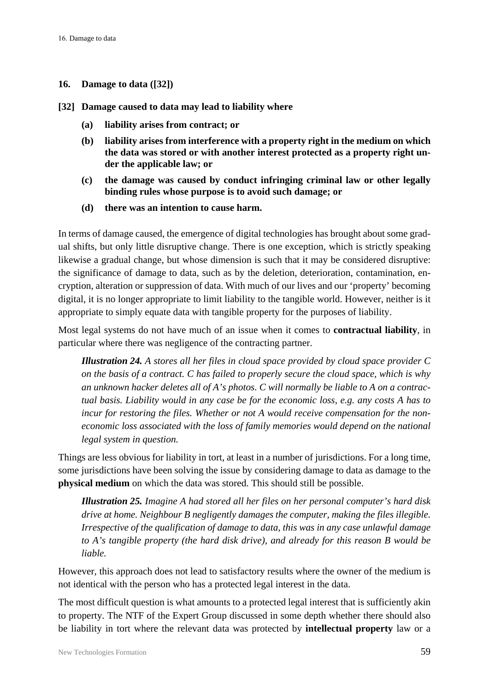#### <span id="page-60-0"></span>**16. Damage to data ([32])**

- **[32] Damage caused to data may lead to liability where** 
	- **(a) liability arises from contract; or**
	- **(b) liability arises from interference with a property right in the medium on which the data was stored or with another interest protected as a property right under the applicable law; or**
	- **(c) the damage was caused by conduct infringing criminal law or other legally binding rules whose purpose is to avoid such damage; or**
	- **(d) there was an intention to cause harm.**

In terms of damage caused, the emergence of digital technologies has brought about some gradual shifts, but only little disruptive change. There is one exception, which is strictly speaking likewise a gradual change, but whose dimension is such that it may be considered disruptive: the significance of damage to data, such as by the deletion, deterioration, contamination, encryption, alteration or suppression of data. With much of our lives and our 'property' becoming digital, it is no longer appropriate to limit liability to the tangible world. However, neither is it appropriate to simply equate data with tangible property for the purposes of liability.

Most legal systems do not have much of an issue when it comes to **contractual liability**, in particular where there was negligence of the contracting partner.

*Illustration 24. A stores all her files in cloud space provided by cloud space provider C on the basis of a contract. C has failed to properly secure the cloud space, which is why an unknown hacker deletes all of A's photos. C will normally be liable to A on a contractual basis. Liability would in any case be for the economic loss, e.g. any costs A has to incur for restoring the files. Whether or not A would receive compensation for the noneconomic loss associated with the loss of family memories would depend on the national legal system in question.* 

Things are less obvious for liability in tort, at least in a number of jurisdictions. For a long time, some jurisdictions have been solving the issue by considering damage to data as damage to the **physical medium** on which the data was stored. This should still be possible.

*Illustration 25. Imagine A had stored all her files on her personal computer's hard disk drive at home. Neighbour B negligently damages the computer, making the files illegible. Irrespective of the qualification of damage to data, this was in any case unlawful damage to A's tangible property (the hard disk drive), and already for this reason B would be liable.* 

However, this approach does not lead to satisfactory results where the owner of the medium is not identical with the person who has a protected legal interest in the data.

The most difficult question is what amounts to a protected legal interest that is sufficiently akin to property. The NTF of the Expert Group discussed in some depth whether there should also be liability in tort where the relevant data was protected by **intellectual property** law or a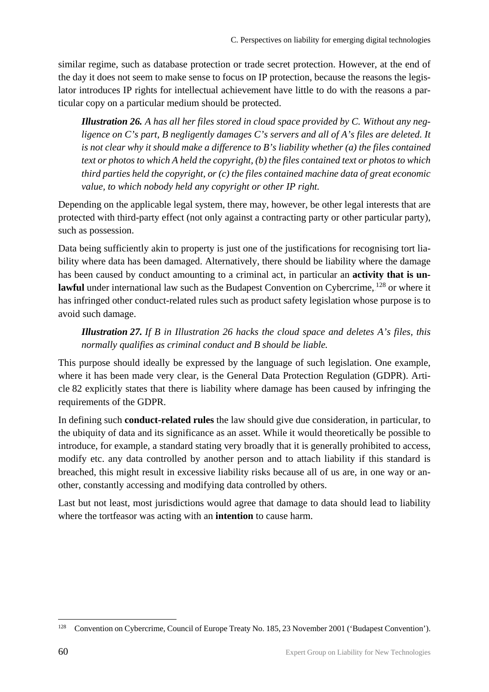similar regime, such as database protection or trade secret protection. However, at the end of the day it does not seem to make sense to focus on IP protection, because the reasons the legislator introduces IP rights for intellectual achievement have little to do with the reasons a particular copy on a particular medium should be protected.

*Illustration 26. A has all her files stored in cloud space provided by C. Without any negligence on C's part, B negligently damages C's servers and all of A's files are deleted. It is not clear why it should make a difference to B's liability whether (a) the files contained text or photos to which A held the copyright, (b) the files contained text or photos to which third parties held the copyright, or (c) the files contained machine data of great economic value, to which nobody held any copyright or other IP right.* 

Depending on the applicable legal system, there may, however, be other legal interests that are protected with third-party effect (not only against a contracting party or other particular party), such as possession.

Data being sufficiently akin to property is just one of the justifications for recognising tort liability where data has been damaged. Alternatively, there should be liability where the damage has been caused by conduct amounting to a criminal act, in particular an **activity that is un**lawful under international law such as the Budapest Convention on Cybercrime, <sup>128</sup> or where it has infringed other conduct-related rules such as product safety legislation whose purpose is to avoid such damage.

*Illustration 27. If B in Illustration 26 hacks the cloud space and deletes A's files, this normally qualifies as criminal conduct and B should be liable.* 

This purpose should ideally be expressed by the language of such legislation. One example, where it has been made very clear, is the General Data Protection Regulation (GDPR). Article 82 explicitly states that there is liability where damage has been caused by infringing the requirements of the GDPR.

In defining such **conduct-related rules** the law should give due consideration, in particular, to the ubiquity of data and its significance as an asset. While it would theoretically be possible to introduce, for example, a standard stating very broadly that it is generally prohibited to access, modify etc. any data controlled by another person and to attach liability if this standard is breached, this might result in excessive liability risks because all of us are, in one way or another, constantly accessing and modifying data controlled by others.

Last but not least, most jurisdictions would agree that damage to data should lead to liability where the tortfeasor was acting with an **intention** to cause harm.

<sup>&</sup>lt;sup>128</sup> Convention on Cybercrime, Council of Europe Treaty No. 185, 23 November 2001 ('Budapest Convention').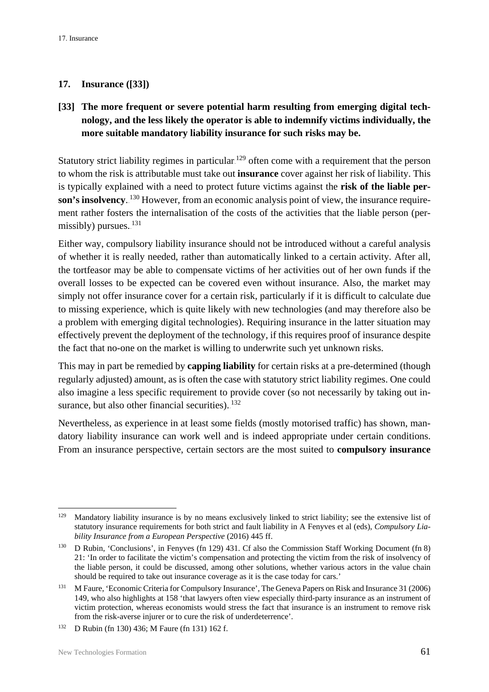#### <span id="page-62-0"></span>**17. Insurance ([33])**

### **[33] The more frequent or severe potential harm resulting from emerging digital technology, and the less likely the operator is able to indemnify victims individually, the more suitable mandatory liability insurance for such risks may be.**

Statutory strict liability regimes in particular.<sup>129</sup> often come with a requirement that the person to whom the risk is attributable must take out **insurance** cover against her risk of liability. This is typically explained with a need to protect future victims against the **risk of the liable per**son's insolvency.<sup>130</sup> However, from an economic analysis point of view, the insurance requirement rather fosters the internalisation of the costs of the activities that the liable person (permissibly) pursues.<sup>131</sup>

Either way, compulsory liability insurance should not be introduced without a careful analysis of whether it is really needed, rather than automatically linked to a certain activity. After all, the tortfeasor may be able to compensate victims of her activities out of her own funds if the overall losses to be expected can be covered even without insurance. Also, the market may simply not offer insurance cover for a certain risk, particularly if it is difficult to calculate due to missing experience, which is quite likely with new technologies (and may therefore also be a problem with emerging digital technologies). Requiring insurance in the latter situation may effectively prevent the deployment of the technology, if this requires proof of insurance despite the fact that no-one on the market is willing to underwrite such yet unknown risks.

This may in part be remedied by **capping liability** for certain risks at a pre-determined (though regularly adjusted) amount, as is often the case with statutory strict liability regimes. One could also imagine a less specific requirement to provide cover (so not necessarily by taking out insurance, but also other financial securities). $132$ 

Nevertheless, as experience in at least some fields (mostly motorised traffic) has shown, mandatory liability insurance can work well and is indeed appropriate under certain conditions. From an insurance perspective, certain sectors are the most suited to **compulsory insurance** 

<sup>&</sup>lt;sup>129</sup> Mandatory liability insurance is by no means exclusively linked to strict liability; see the extensive list of statutory insurance requirements for both strict and fault liability in A Fenyves et al (eds), *Compulsory Liability Insurance from a European Perspective* (2016) 445 ff.

<sup>130</sup> D Rubin, 'Conclusions', in Fenyves (fn 129) 431. Cf also the Commission Staff Working Document (fn 8) 21: 'In order to facilitate the victim's compensation and protecting the victim from the risk of insolvency of the liable person, it could be discussed, among other solutions, whether various actors in the value chain should be required to take out insurance coverage as it is the case today for cars.'

<sup>131</sup> M Faure, 'Economic Criteria for Compulsory Insurance', The Geneva Papers on Risk and Insurance 31 (2006) 149, who also highlights at 158 'that lawyers often view especially third-party insurance as an instrument of victim protection, whereas economists would stress the fact that insurance is an instrument to remove risk from the risk-averse injurer or to cure the risk of underdeterrence'.

<sup>132</sup> D Rubin (fn 130) 436; M Faure (fn 131) 162 f.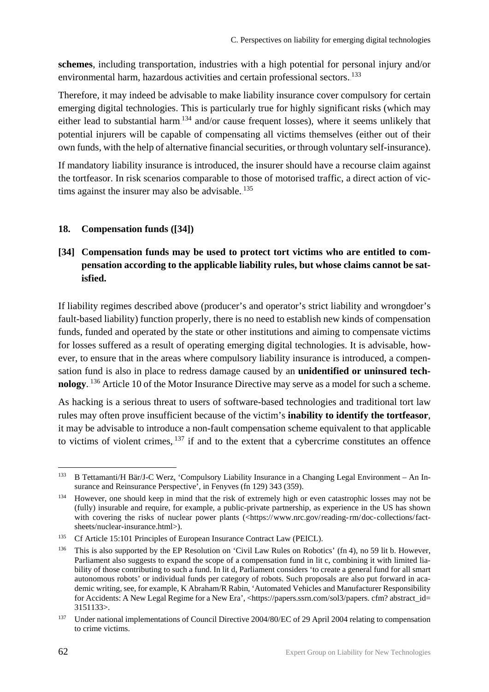**schemes**, including transportation, industries with a high potential for personal injury and/or environmental harm, hazardous activities and certain professional sectors. <sup>133</sup>

Therefore, it may indeed be advisable to make liability insurance cover compulsory for certain emerging digital technologies. This is particularly true for highly significant risks (which may either lead to substantial harm.<sup>134</sup> and/or cause frequent losses), where it seems unlikely that potential injurers will be capable of compensating all victims themselves (either out of their own funds, with the help of alternative financial securities, or through voluntary self-insurance).

If mandatory liability insurance is introduced, the insurer should have a recourse claim against the tortfeasor. In risk scenarios comparable to those of motorised traffic, a direct action of victims against the insurer may also be advisable. $135$ 

#### <span id="page-63-0"></span>**18. Compensation funds ([34])**

## **[34] Compensation funds may be used to protect tort victims who are entitled to compensation according to the applicable liability rules, but whose claims cannot be satisfied.**

If liability regimes described above (producer's and operator's strict liability and wrongdoer's fault-based liability) function properly, there is no need to establish new kinds of compensation funds, funded and operated by the state or other institutions and aiming to compensate victims for losses suffered as a result of operating emerging digital technologies. It is advisable, however, to ensure that in the areas where compulsory liability insurance is introduced, a compensation fund is also in place to redress damage caused by an **unidentified or uninsured tech**nology.<sup>136</sup> Article 10 of the Motor Insurance Directive may serve as a model for such a scheme.

As hacking is a serious threat to users of software-based technologies and traditional tort law rules may often prove insufficient because of the victim's **inability to identify the tortfeasor**, it may be advisable to introduce a non-fault compensation scheme equivalent to that applicable to victims of violent crimes, $137$  if and to the extent that a cybercrime constitutes an offence

<sup>133</sup> B Tettamanti/H Bär/J-C Werz, 'Compulsory Liability Insurance in a Changing Legal Environment – An Insurance and Reinsurance Perspective', in Fenyves (fn 129) 343 (359).

<sup>&</sup>lt;sup>134</sup> However, one should keep in mind that the risk of extremely high or even catastrophic losses may not be (fully) insurable and require, for example, a public-private partnership, as experience in the US has shown with covering the risks of nuclear power plants (<https://www.nrc.gov/reading-rm/doc-collections/factsheets/nuclear-insurance.html>).

<sup>&</sup>lt;sup>135</sup> Cf Article 15:101 Principles of European Insurance Contract Law (PEICL).

<sup>136</sup> This is also supported by the EP Resolution on 'Civil Law Rules on Robotics' (fn 4), no 59 lit b. However, Parliament also suggests to expand the scope of a compensation fund in lit c, combining it with limited liability of those contributing to such a fund. In lit d, Parliament considers 'to create a general fund for all smart autonomous robots' or individual funds per category of robots. Such proposals are also put forward in academic writing, see, for example, K Abraham/R Rabin, 'Automated Vehicles and Manufacturer Responsibility for Accidents: A New Legal Regime for a New Era', <https://papers.ssrn.com/sol3/papers. cfm? abstract\_id= 3151133>.

<sup>&</sup>lt;sup>137</sup> Under national implementations of Council Directive 2004/80/EC of 29 April 2004 relating to compensation to crime victims.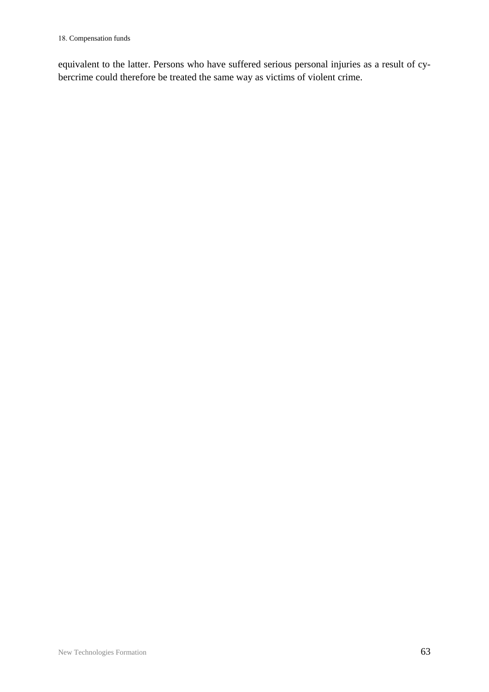equivalent to the latter. Persons who have suffered serious personal injuries as a result of cybercrime could therefore be treated the same way as victims of violent crime.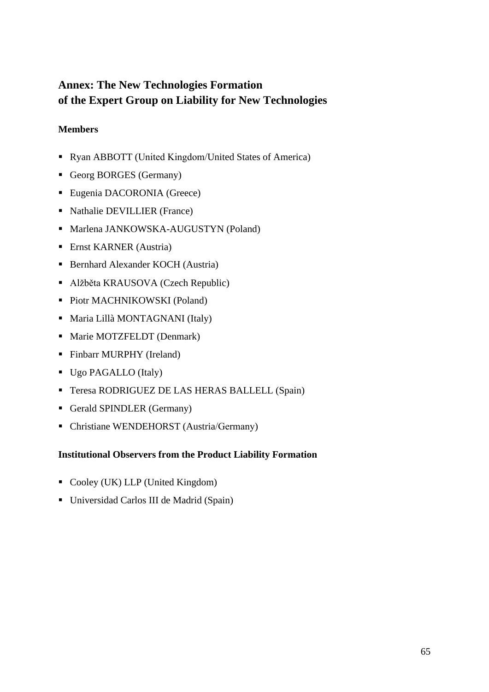# <span id="page-66-0"></span>**Annex: The New Technologies Formation of the Expert Group on Liability for New Technologies**

#### <span id="page-66-1"></span>**Members**

- Ryan ABBOTT (United Kingdom/United States of America)
- Georg BORGES (Germany)
- Eugenia DACORONIA (Greece)
- Nathalie DEVILLIER (France)
- **Marlena JANKOWSKA-AUGUSTYN (Poland)**
- Ernst KARNER (Austria)
- Bernhard Alexander KOCH (Austria)
- Alžběta KRAUSOVA (Czech Republic)
- Piotr MACHNIKOWSKI (Poland)
- Maria Lillà MONTAGNANI (Italy)
- Marie MOTZFELDT (Denmark)
- Finbarr MURPHY (Ireland)
- Ugo PAGALLO (Italy)
- Teresa RODRIGUEZ DE LAS HERAS BALLELL (Spain)
- Gerald SPINDLER (Germany)
- Christiane WENDEHORST (Austria/Germany)

#### <span id="page-66-2"></span>**Institutional Observers from the Product Liability Formation**

- Cooley (UK) LLP (United Kingdom)
- Universidad Carlos III de Madrid (Spain)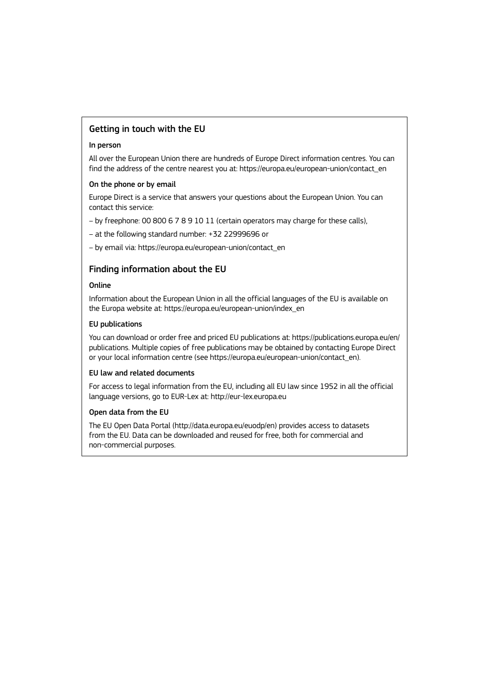#### Getting in touch with the EU

#### In person

All over the European Union there are hundreds of Europe Direct information centres. You can find the address of the centre nearest you at: [https://europa.eu/european-union/contact\\_en](https://europa.eu/european-union/contact_en)

#### On the phone or by email

Europe Direct is a service that answers your questions about the European Union. You can contact this service:

– by freephone: 00 800 6 7 8 9 10 11 (certain operators may charge for these calls),

– at the following standard number: +32 22999696 or

– by email via: [https://europa.eu/european-union/contact\\_en](https://europa.eu/european-union/contact_en)

#### Finding information about the EU

#### Online

Information about the European Union in all the official languages of the EU is available on the Europa website at: [https://europa.eu/european-union/index\\_en](https://europa.eu/european-union/index_en)

#### EU publications

You can download or order free and priced EU publications at:<https://publications.europa.eu/en/> publications. Multiple copies of free publications may be obtained by contacting Europe Direct or your local information centre (see [https://europa.eu/european-union/contact\\_en\)](https://europa.eu/european-union/contact_en).

#### EU law and related documents

For access to legal information from the EU, including all EU law since 1952 in all the official language versions, go to EUR-Lex at: http://eur-lex.europa.eu

#### Open data from the EU

The EU Open Data Portal (<http://data.europa.eu/euodp/en>) provides access to datasets from the EU. Data can be downloaded and reused for free, both for commercial and non-commercial purposes.